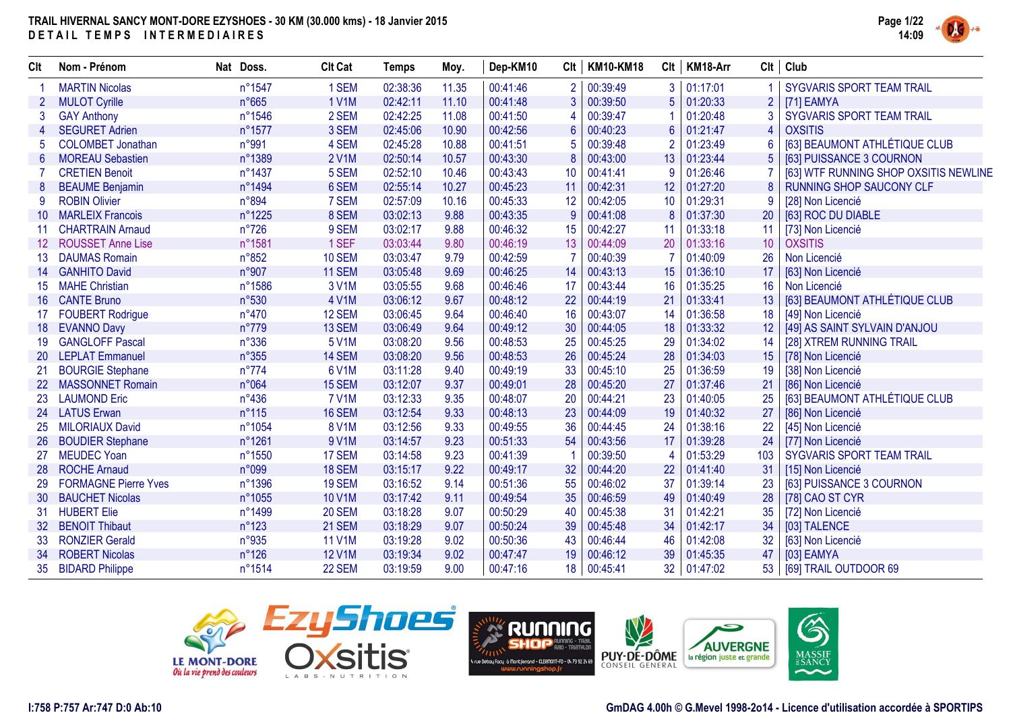

| Clt             | Nom - Prénom                | Nat Doss.      | <b>Clt Cat</b> | <b>Temps</b> | Moy.  | Dep-KM10 | Clt | <b>KM10-KM18</b> | Clt             | KM18-Arr | Clt             | Club                                  |
|-----------------|-----------------------------|----------------|----------------|--------------|-------|----------|-----|------------------|-----------------|----------|-----------------|---------------------------------------|
|                 | <b>MARTIN Nicolas</b>       | n°1547         | 1 SEM          | 02:38:36     | 11.35 | 00:41:46 | 2   | 00:39:49         | 3               | 01:17:01 |                 | SYGVARIS SPORT TEAM TRAIL             |
|                 | <b>MULOT Cyrille</b>        | n°665          | <b>1 V1M</b>   | 02:42:11     | 11.10 | 00:41:48 | 3   | 00:39:50         | 5               | 01:20:33 | $\overline{2}$  | [71] EAMYA                            |
|                 | <b>GAY Anthony</b>          | n°1546         | 2 SEM          | 02:42:25     | 11.08 | 00:41:50 | 4   | 00:39:47         |                 | 01:20:48 |                 | SYGVARIS SPORT TEAM TRAIL             |
|                 | <b>SEGURET Adrien</b>       | n°1577         | 3 SEM          | 02:45:06     | 10.90 | 00:42:56 | 6   | 00:40:23         | 6               | 01:21:47 |                 | <b>OXSITIS</b>                        |
|                 | <b>COLOMBET Jonathan</b>    | n°991          | 4 SEM          | 02:45:28     | 10.88 | 00:41:51 | 5   | 00:39:48         |                 | 01:23:49 |                 | [63] BEAUMONT ATHLÉTIQUE CLUB         |
|                 | <b>MOREAU Sebastien</b>     | n°1389         | <b>2 V1M</b>   | 02:50:14     | 10.57 | 00:43:30 | 8   | 00:43:00         | 13              | 01:23:44 |                 | [63] PUISSANCE 3 COURNON              |
|                 | <b>CRETIEN Benoit</b>       | n°1437         | 5 SEM          | 02:52:10     | 10.46 | 00:43:43 | 10  | 00:41:41         | 9               | 01:26:46 |                 | [63] WTF RUNNING SHOP OXSITIS NEWLINE |
| 8               | <b>BEAUME Benjamin</b>      | n°1494         | 6 SEM          | 02:55:14     | 10.27 | 00:45:23 | 11  | 00:42:31         | 12              | 01:27:20 |                 | <b>RUNNING SHOP SAUCONY CLF</b>       |
|                 | <b>ROBIN Olivier</b>        | n°894          | 7 SEM          | 02:57:09     | 10.16 | 00:45:33 | 12  | 00:42:05         | 10              | 01:29:31 |                 | [28] Non Licencié                     |
|                 | <b>MARLEIX Francois</b>     | n°1225         | 8 SEM          | 03:02:13     | 9.88  | 00:43:35 | 9   | 00:41:08         | 8               | 01:37:30 | 20              | [63] ROC DU DIABLE                    |
|                 | <b>CHARTRAIN Arnaud</b>     | $n^{\circ}726$ | 9 SEM          | 03:02:17     | 9.88  | 00:46:32 | 15  | 00:42:27         | 11              | 01:33:18 | 11              | [73] Non Licencié                     |
| 12.             | <b>ROUSSET Anne Lise</b>    | n°1581         | 1 SEF          | 03:03:44     | 9.80  | 00:46:19 | 13  | 00:44:09         | 20              | 01:33:16 | 10              | <b>OXSITIS</b>                        |
| 13 <sup>°</sup> | <b>DAUMAS Romain</b>        | n°852          | 10 SEM         | 03:03:47     | 9.79  | 00:42:59 |     | 00:40:39         |                 | 01:40:09 | 26              | Non Licencié                          |
| 14              | <b>GANHITO David</b>        | n°907          | 11 SEM         | 03:05:48     | 9.69  | 00:46:25 | 14  | 00:43:13         | 15              | 01:36:10 | 17              | [63] Non Licencié                     |
| 15              | <b>MAHE Christian</b>       | n°1586         | 3 V1M          | 03:05:55     | 9.68  | 00:46:46 | 17  | 00:43:44         | 16              | 01:35:25 | 16              | Non Licencié                          |
| 16              | <b>CANTE Bruno</b>          | n°530          | 4 V1M          | 03:06:12     | 9.67  | 00:48:12 | 22  | 00:44:19         | 21              | 01:33:41 | 13              | [63] BEAUMONT ATHLÉTIQUE CLUB         |
| 17              | <b>FOUBERT Rodrigue</b>     | n°470          | 12 SEM         | 03:06:45     | 9.64  | 00:46:40 | 16  | 00:43:07         | 14              | 01:36:58 | 18              | [49] Non Licencié                     |
| 18              | <b>EVANNO Davy</b>          | n°779          | 13 SEM         | 03:06:49     | 9.64  | 00:49:12 | 30  | 00:44:05         | 18              | 01:33:32 | 12 <sup>°</sup> | [49] AS SAINT SYLVAIN D'ANJOU         |
| 19              | <b>GANGLOFF Pascal</b>      | n°336          | 5 V1M          | 03:08:20     | 9.56  | 00:48:53 | 25  | 00:45:25         | 29              | 01:34:02 | 14              | [28] XTREM RUNNING TRAIL              |
| 20 <sub>2</sub> | <b>LEPLAT Emmanuel</b>      | n°355          | 14 SEM         | 03:08:20     | 9.56  | 00:48:53 | 26  | 00:45:24         | 28              | 01:34:03 | 15              | [78] Non Licencié                     |
| 21              | <b>BOURGIE Stephane</b>     | $n^{\circ}774$ | 6 V1M          | 03:11:28     | 9.40  | 00:49:19 | 33  | 00:45:10         | 25              | 01:36:59 | 19              | [38] Non Licencié                     |
| 22 <sub>2</sub> | <b>MASSONNET Romain</b>     | n°064          | 15 SEM         | 03:12:07     | 9.37  | 00:49:01 | 28  | 00:45:20         | 27              | 01:37:46 | 21              | [86] Non Licencié                     |
| 23              | <b>LAUMOND Eric</b>         | $n^{\circ}436$ | <b>7 V1M</b>   | 03:12:33     | 9.35  | 00:48:07 | 20  | 00:44:21         | 23              | 01:40:05 | 25              | [63] BEAUMONT ATHLÉTIQUE CLUB         |
| 24              | <b>LATUS Erwan</b>          | $n^{\circ}115$ | 16 SEM         | 03:12:54     | 9.33  | 00:48:13 | 23  | 00:44:09         | 19              | 01:40:32 | 27              | [86] Non Licencié                     |
| 25              | <b>MILORIAUX David</b>      | n°1054         | <b>8 V1M</b>   | 03:12:56     | 9.33  | 00:49:55 | 36  | 00:44:45         | 24              | 01:38:16 | 22              | [45] Non Licencié                     |
| 26              | <b>BOUDIER Stephane</b>     | n°1261         | 9 V1M          | 03:14:57     | 9.23  | 00:51:33 | 54  | 00:43:56         | 17              | 01:39:28 | 24              | [77] Non Licencié                     |
| 27              | <b>MEUDEC Yoan</b>          | n°1550         | 17 SEM         | 03:14:58     | 9.23  | 00:41:39 |     | 00:39:50         | $\overline{4}$  | 01:53:29 | 103             | SYGVARIS SPORT TEAM TRAIL             |
| 28              | <b>ROCHE Arnaud</b>         | n°099          | 18 SEM         | 03:15:17     | 9.22  | 00:49:17 | 32  | 00:44:20         | 22              | 01:41:40 | 31              | [15] Non Licencié                     |
|                 | <b>FORMAGNE Pierre Yves</b> | n°1396         | 19 SEM         | 03:16:52     | 9.14  | 00:51:36 | 55  | 00:46:02         | 37              | 01:39:14 | 23              | [63] PUISSANCE 3 COURNON              |
| 30              | <b>BAUCHET Nicolas</b>      | n°1055         | <b>10 V1M</b>  | 03:17:42     | 9.11  | 00:49:54 | 35  | 00:46:59         | 49              | 01:40:49 | 28              | [78] CAO ST CYR                       |
| 31              | <b>HUBERT Elie</b>          | n°1499         | <b>20 SEM</b>  | 03:18:28     | 9.07  | 00:50:29 | 40  | 00:45:38         | 31              | 01:42:21 | 35              | [72] Non Licencié                     |
| 32.             | <b>BENOIT Thibaut</b>       | $n^{\circ}123$ | 21 SEM         | 03:18:29     | 9.07  | 00:50:24 | 39  | 00:45:48         | 34              | 01:42:17 | 34              | [03] TALENCE                          |
| 33              | <b>RONZIER Gerald</b>       | n°935          | <b>11 V1M</b>  | 03:19:28     | 9.02  | 00:50:36 | 43  | 00:46:44         | 46              | 01:42:08 | 32              | [63] Non Licencié                     |
| 34              | <b>ROBERT Nicolas</b>       | $n^{\circ}126$ | <b>12 V1M</b>  | 03:19:34     | 9.02  | 00:47:47 | 19  | 00:46:12         | 39              | 01:45:35 | 47              | [03] EAMYA                            |
|                 | 35 BIDARD Philippe          | n°1514         | 22 SEM         | 03:19:59     | 9.00  | 00:47:16 | 18  | 00:45:41         | 32 <sup>°</sup> | 01:47:02 | 53 <sup>1</sup> | [69] TRAIL OUTDOOR 69                 |







6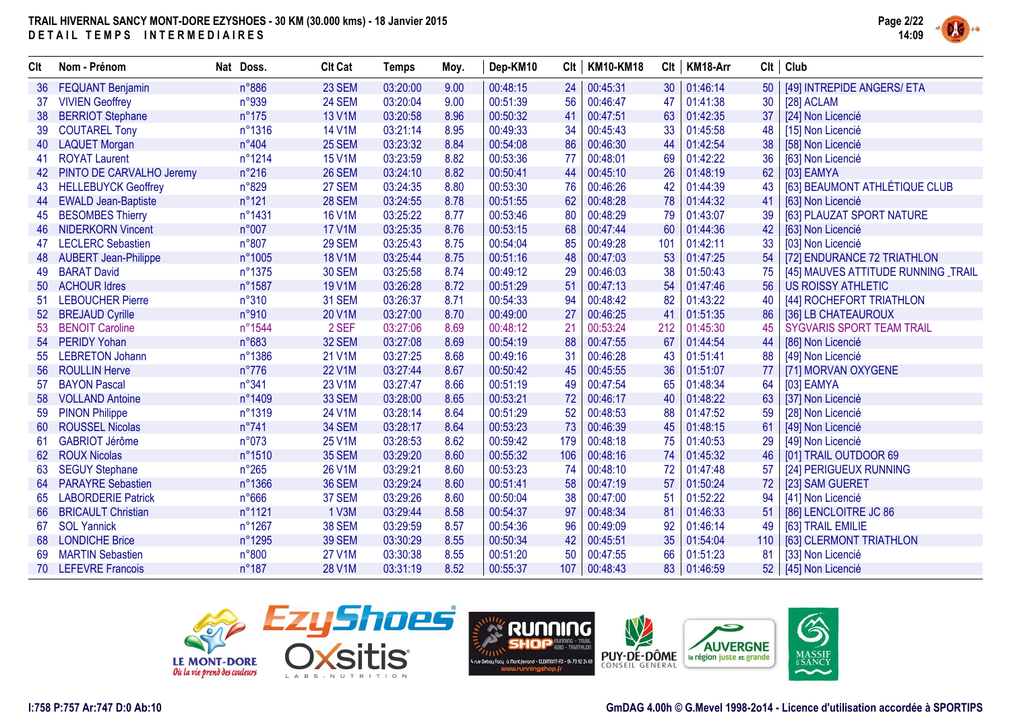

| Clt | Nom - Prénom                | Nat Doss.      | <b>Clt Cat</b> | <b>Temps</b> | Moy. | Dep-KM10 | Clt | <b>KM10-KM18</b> | Clt | KM18-Arr | Clt | Club                                |
|-----|-----------------------------|----------------|----------------|--------------|------|----------|-----|------------------|-----|----------|-----|-------------------------------------|
| 36  | <b>FEQUANT Benjamin</b>     | n°886          | 23 SEM         | 03:20:00     | 9.00 | 00:48:15 | 24  | 00:45:31         | 30  | 01:46:14 | 50  | [49] INTREPIDE ANGERS/ ETA          |
| 37  | <b>VIVIEN Geoffrey</b>      | n°939          | 24 SEM         | 03:20:04     | 9.00 | 00:51:39 | 56  | 00:46:47         | 47  | 01:41:38 | 30  | [28] ACLAM                          |
| 38  | <b>BERRIOT Stephane</b>     | $n^{\circ}175$ | <b>13 V1M</b>  | 03:20:58     | 8.96 | 00:50:32 | 41  | 00:47:51         | 63  | 01:42:35 | 37  | [24] Non Licencié                   |
|     | <b>COUTAREL Tony</b>        | n°1316         | <b>14 V1M</b>  | 03:21:14     | 8.95 | 00:49:33 | 34  | 00:45:43         | 33  | 01:45:58 | 48  | [15] Non Licencié                   |
|     | <b>LAQUET Morgan</b>        | n°404          | 25 SEM         | 03:23:32     | 8.84 | 00:54:08 | 86  | 00:46:30         | 44  | 01:42:54 | 38  | [58] Non Licencié                   |
| 41  | <b>ROYAT Laurent</b>        | n°1214         | <b>15 V1M</b>  | 03:23:59     | 8.82 | 00:53:36 | 77  | 00:48:01         | 69  | 01:42:22 | 36  | [63] Non Licencié                   |
| 42  | PINTO DE CARVALHO Jeremy    | $n^{\circ}216$ | 26 SEM         | 03:24:10     | 8.82 | 00:50:41 | 44  | 00:45:10         | 26  | 01:48:19 | 62  | [03] EAMYA                          |
| 43  | <b>HELLEBUYCK Geoffrey</b>  | n°829          | 27 SEM         | 03:24:35     | 8.80 | 00:53:30 | 76  | 00:46:26         | 42  | 01:44:39 | 43  | [63] BEAUMONT ATHLÉTIQUE CLUB       |
| 44  | <b>EWALD Jean-Baptiste</b>  | n°121          | <b>28 SEM</b>  | 03:24:55     | 8.78 | 00:51:55 | 62  | 00:48:28         | 78  | 01:44:32 | 41  | [63] Non Licencié                   |
| 45  | <b>BESOMBES Thierry</b>     | n°1431         | <b>16 V1M</b>  | 03:25:22     | 8.77 | 00:53:46 | 80  | 00:48:29         | 79  | 01:43:07 | 39  | [63] PLAUZAT SPORT NATURE           |
| 46  | <b>NIDERKORN Vincent</b>    | n°007          | <b>17 V1M</b>  | 03:25:35     | 8.76 | 00:53:15 | 68  | 00:47:44         | 60  | 01:44:36 | 42  | [63] Non Licencié                   |
| 47  | <b>LECLERC Sebastien</b>    | n°807          | 29 SEM         | 03:25:43     | 8.75 | 00:54:04 | 85  | 00:49:28         | 101 | 01:42:11 | 33  | [03] Non Licencié                   |
| 48  | <b>AUBERT Jean-Philippe</b> | n°1005         | <b>18 V1M</b>  | 03:25:44     | 8.75 | 00:51:16 | 48  | 00:47:03         | 53  | 01:47:25 | 54  | [72] ENDURANCE 72 TRIATHLON         |
| 49  | <b>BARAT David</b>          | n°1375         | <b>30 SEM</b>  | 03:25:58     | 8.74 | 00:49:12 | 29  | 00:46:03         | 38  | 01:50:43 | 75  | [45] MAUVES ATTITUDE RUNNING _TRAIL |
| 50  | <b>ACHOUR Idres</b>         | n°1587         | 19 V1M         | 03:26:28     | 8.72 | 00:51:29 | 51  | 00:47:13         | 54  | 01:47:46 | 56  | <b>US ROISSY ATHLETIC</b>           |
| 51  | <b>LEBOUCHER Pierre</b>     | $n^{\circ}310$ | <b>31 SEM</b>  | 03:26:37     | 8.71 | 00:54:33 | 94  | 00:48:42         | 82  | 01:43:22 | 40  | [44] ROCHEFORT TRIATHLON            |
| 52  | <b>BREJAUD Cyrille</b>      | n°910          | 20 V1M         | 03:27:00     | 8.70 | 00:49:00 | 27  | 00:46:25         | -41 | 01:51:35 | 86  | [36] LB CHATEAUROUX                 |
| 53  | <b>BENOIT Caroline</b>      | n°1544         | 2 SEF          | 03:27:06     | 8.69 | 00:48:12 | 21  | 00:53:24         | 212 | 01:45:30 | 45  | SYGVARIS SPORT TEAM TRAIL           |
| 54  | <b>PERIDY Yohan</b>         | n°683          | 32 SEM         | 03:27:08     | 8.69 | 00:54:19 | 88  | 00:47:55         | 67  | 01:44:54 | 44  | [86] Non Licencié                   |
| 55  | <b>LEBRETON Johann</b>      | n°1386         | 21 V1M         | 03:27:25     | 8.68 | 00:49:16 | 31  | 00:46:28         | 43  | 01:51:41 | 88  | [49] Non Licencié                   |
| 56  | <b>ROULLIN Herve</b>        | $n^{\circ}776$ | <b>22 V1M</b>  | 03:27:44     | 8.67 | 00:50:42 | 45  | 00:45:55         | 36  | 01:51:07 | 77  | [71] MORVAN OXYGENE                 |
| 57  | <b>BAYON Pascal</b>         | n°341          | 23 V1M         | 03:27:47     | 8.66 | 00:51:19 | 49  | 00:47:54         | 65  | 01:48:34 | 64  | [03] EAMYA                          |
| 58  | <b>VOLLAND Antoine</b>      | n°1409         | 33 SEM         | 03:28:00     | 8.65 | 00:53:21 | 72  | 00:46:17         | 40  | 01:48:22 | 63  | [37] Non Licencié                   |
| 59  | <b>PINON Philippe</b>       | n°1319         | 24 V1M         | 03:28:14     | 8.64 | 00:51:29 | 52  | 00:48:53         | 88  | 01:47:52 | 59  | [28] Non Licencié                   |
| 60  | <b>ROUSSEL Nicolas</b>      | $n^{\circ}741$ | 34 SEM         | 03:28:17     | 8.64 | 00:53:23 | 73  | 00:46:39         | 45  | 01:48:15 | 61  | [49] Non Licencié                   |
| 61  | <b>GABRIOT Jérôme</b>       | n°073          | <b>25 V1M</b>  | 03:28:53     | 8.62 | 00:59:42 | 179 | 00:48:18         | 75  | 01:40:53 | 29  | [49] Non Licencié                   |
| 62  | <b>ROUX Nicolas</b>         | n°1510         | <b>35 SEM</b>  | 03:29:20     | 8.60 | 00:55:32 | 106 | 00:48:16         | 74  | 01:45:32 | 46  | [01] TRAIL OUTDOOR 69               |
| 63  | <b>SEGUY Stephane</b>       | $n^{\circ}265$ | <b>26 V1M</b>  | 03:29:21     | 8.60 | 00:53:23 | 74  | 00:48:10         | 72  | 01:47:48 | 57  | [24] PERIGUEUX RUNNING              |
| 64  | <b>PARAYRE Sebastien</b>    | n°1366         | <b>36 SEM</b>  | 03:29:24     | 8.60 | 00:51:41 | 58  | 00:47:19         | 57  | 01:50:24 | 72  | [23] SAM GUERET                     |
|     | <b>LABORDERIE Patrick</b>   | n°666          | 37 SEM         | 03:29:26     | 8.60 | 00:50:04 | 38  | 00:47:00         | 51  | 01:52:22 | 94  | [41] Non Licencié                   |
| 66  | <b>BRICAULT Christian</b>   | n°1121         | 1 V3M          | 03:29:44     | 8.58 | 00:54:37 | 97  | 00:48:34         | 81  | 01:46:33 | 51  | [86] LENCLOITRE JC 86               |
| 67  | <b>SOL Yannick</b>          | n°1267         | <b>38 SEM</b>  | 03:29:59     | 8.57 | 00:54:36 | 96  | 00:49:09         | 92  | 01:46:14 | 49  | [63] TRAIL EMILIE                   |
| 68  | <b>LONDICHE Brice</b>       | n°1295         | <b>39 SEM</b>  | 03:30:29     | 8.55 | 00:50:34 | 42  | 00:45:51         | 35  | 01:54:04 | 110 | [63] CLERMONT TRIATHLON             |
| 69  | <b>MARTIN Sebastien</b>     | n°800          | <b>27 V1M</b>  | 03:30:38     | 8.55 | 00:51:20 | 50  | 00:47:55         | 66  | 01:51:23 | 81  | [33] Non Licencié                   |
|     | 70 LEFEVRE Francois         | $n^{\circ}187$ | 28 V1M         | 03:31:19     | 8.52 | 00:55:37 | 107 | 00:48:43         | 83  | 01:46:59 | 52  | [45] Non Licencié                   |





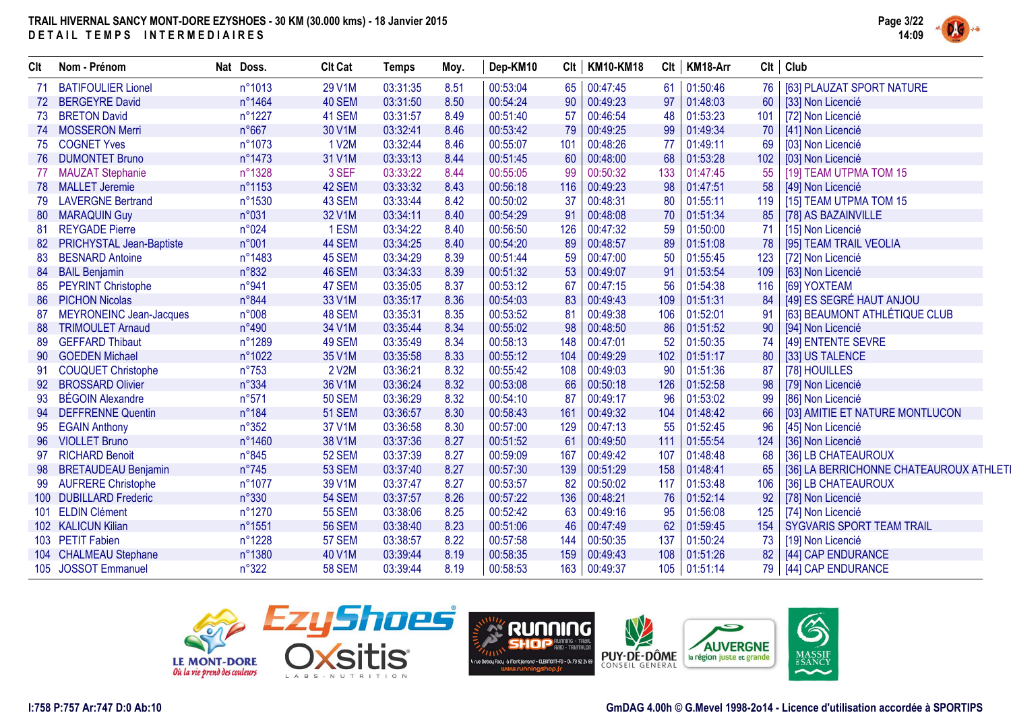

| Clt              | Nom - Prénom                    | Nat Doss.      | <b>Clt Cat</b> | <b>Temps</b> | Moy. | Dep-KM10 | Clt | <b>KM10-KM18</b> |     | Clt   KM18-Arr |                 | $Clt$ Club                             |
|------------------|---------------------------------|----------------|----------------|--------------|------|----------|-----|------------------|-----|----------------|-----------------|----------------------------------------|
|                  | <b>BATIFOULIER Lionel</b>       | n°1013         | 29 V1M         | 03:31:35     | 8.51 | 00:53:04 | 65  | 00:47:45         | 61  | 01:50:46       | 76              | [63] PLAUZAT SPORT NATURE              |
| 72               | <b>BERGEYRE David</b>           | n°1464         | 40 SEM         | 03:31:50     | 8.50 | 00:54:24 | 90  | 00:49:23         | 97  | 01:48:03       | 60              | [33] Non Licencié                      |
| 73               | <b>BRETON David</b>             | n°1227         | 41 SEM         | 03:31:57     | 8.49 | 00:51:40 | 57  | 00:46:54         | 48  | 01:53:23       |                 | 101   [72] Non Licencié                |
| 74               | <b>MOSSERON Merri</b>           | $n^{\circ}667$ | 30 V1M         | 03:32:41     | 8.46 | 00:53:42 | 79  | 00:49:25         | 99  | 01:49:34       | 70 <sup>1</sup> | [41] Non Licencié                      |
| 75               | <b>COGNET Yves</b>              | n°1073         | 1 V2M          | 03:32:44     | 8.46 | 00:55:07 | 101 | 00:48:26         | 77  | 01:49:11       | 69              | [03] Non Licencié                      |
| 76               | <b>DUMONTET Bruno</b>           | n°1473         | 31 V1M         | 03:33:13     | 8.44 | 00:51:45 | 60  | 00:48:00         | 68  | 01:53:28       | 102             | [03] Non Licencié                      |
| 77               | <b>MAUZAT Stephanie</b>         | n°1328         | 3 SEF          | 03:33:22     | 8.44 | 00:55:05 | 99  | 00:50:32         | 133 | 01:47:45       | 55              | [19] TEAM UTPMA TOM 15                 |
| 78               | <b>MALLET Jeremie</b>           | n°1153         | 42 SEM         | 03:33:32     | 8.43 | 00:56:18 | 116 | 00:49:23         | 98  | 01:47:51       | 58              | [49] Non Licencié                      |
| 79               | <b>LAVERGNE Bertrand</b>        | n°1530         | 43 SEM         | 03:33:44     | 8.42 | 00:50:02 | 37  | 00:48:31         | 80  | 01:55:11       | 119             | [15] TEAM UTPMA TOM 15                 |
| 80               | <b>MARAQUIN Guy</b>             | n°031          | 32 V1M         | 03:34:11     | 8.40 | 00:54:29 | 91  | 00:48:08         | 70  | 01:51:34       | 85              | [78] AS BAZAINVILLE                    |
| 81               | <b>REYGADE Pierre</b>           | n°024          | 1 ESM          | 03:34:22     | 8.40 | 00:56:50 | 126 | 00:47:32         | 59  | 01:50:00       | 71              | [15] Non Licencié                      |
| 82               | <b>PRICHYSTAL Jean-Baptiste</b> | n°001          | 44 SEM         | 03:34:25     | 8.40 | 00:54:20 | 89  | 00:48:57         | 89  | 01:51:08       | 78              | [95] TEAM TRAIL VEOLIA                 |
| 83               | <b>BESNARD Antoine</b>          | n°1483         | 45 SEM         | 03:34:29     | 8.39 | 00:51:44 | 59  | 00:47:00         | 50  | 01:55:45       | 123             | [72] Non Licencié                      |
| 84               | <b>BAIL Benjamin</b>            | n°832          | 46 SEM         | 03:34:33     | 8.39 | 00:51:32 | 53  | 00:49:07         | 91  | 01:53:54       | 109             | [63] Non Licencié                      |
| 85               | <b>PEYRINT Christophe</b>       | n°941          | 47 SEM         | 03:35:05     | 8.37 | 00:53:12 | 67  | 00:47:15         | 56  | 01:54:38       | 116             | [69] YOXTEAM                           |
| 86               | <b>PICHON Nicolas</b>           | n°844          | 33 V1M         | 03:35:17     | 8.36 | 00:54:03 | 83  | 00:49:43         | 109 | 01:51:31       | 84              | [49] ES SEGRÉ HAUT ANJOU               |
| 87               | <b>MEYRONEINC Jean-Jacques</b>  | n°008          | 48 SEM         | 03:35:31     | 8.35 | 00:53:52 | 81  | 00:49:38         | 106 | 01:52:01       |                 | [63] BEAUMONT ATHLÉTIQUE CLUB          |
| 88               | <b>TRIMOULET Arnaud</b>         | $n^{\circ}490$ | 34 V1M         | 03:35:44     | 8.34 | 00:55:02 | 98  | 00:48:50         | 86  | 01:51:52       | 90              | [94] Non Licencié                      |
| 89               | <b>GEFFARD Thibaut</b>          | n°1289         | 49 SEM         | 03:35:49     | 8.34 | 00:58:13 | 148 | 00:47:01         | 52  | 01:50:35       | 74              | [49] ENTENTE SEVRE                     |
| 90               | <b>GOEDEN Michael</b>           | n°1022         | 35 V1M         | 03:35:58     | 8.33 | 00:55:12 | 104 | 00:49:29         | 102 | 01:51:17       | 80              | [33] US TALENCE                        |
| 91               | <b>COUQUET Christophe</b>       | $n^{\circ}753$ | 2 V2M          | 03:36:21     | 8.32 | 00:55:42 | 108 | 00:49:03         | 90  | 01:51:36       | 87              | [78] HOUILLES                          |
| 92               | <b>BROSSARD Olivier</b>         | n°334          | 36 V1M         | 03:36:24     | 8.32 | 00:53:08 | 66  | 00:50:18         | 126 | 01:52:58       | 98              | [79] Non Licencié                      |
| 93               | <b>BÉGOIN Alexandre</b>         | n°571          | <b>50 SEM</b>  | 03:36:29     | 8.32 | 00:54:10 | 87  | 00:49:17         | 96  | 01:53:02       | 99              | [86] Non Licencié                      |
| 94               | <b>DEFFRENNE Quentin</b>        | n°184          | <b>51 SEM</b>  | 03:36:57     | 8.30 | 00:58:43 | 161 | 00:49:32         | 104 | 01:48:42       | 66              | [03] AMITIE ET NATURE MONTLUCON        |
| 95               | <b>EGAIN Anthony</b>            | $n^{\circ}352$ | 37 V1M         | 03:36:58     | 8.30 | 00:57:00 | 129 | 00:47:13         | 55  | 01:52:45       | 96              | [45] Non Licencié                      |
| 96               | <b>VIOLLET Bruno</b>            | n°1460         | 38 V1M         | 03:37:36     | 8.27 | 00:51:52 | 61  | 00:49:50         | 111 | 01:55:54       | 124             | [36] Non Licencié                      |
|                  | <b>RICHARD Benoit</b>           | $n^{\circ}845$ | <b>52 SEM</b>  | 03:37:39     | 8.27 | 00:59:09 | 167 | 00:49:42         | 107 | 01:48:48       | 68              | [36] LB CHATEAUROUX                    |
| 98               | <b>BRETAUDEAU Benjamin</b>      | $n^{\circ}745$ | <b>53 SEM</b>  | 03:37:40     | 8.27 | 00:57:30 | 139 | 00:51:29         | 158 | 01:48:41       | 65              | [36] LA BERRICHONNE CHATEAUROUX ATHLET |
|                  | <b>AUFRERE Christophe</b>       | n°1077         | 39 V1M         | 03:37:47     | 8.27 | 00:53:57 | 82  | 00:50:02         | 117 | 01:53:48       | 106             | [36] LB CHATEAUROUX                    |
| 100 <sup>°</sup> | <b>DUBILLARD Frederic</b>       | n°330          | <b>54 SEM</b>  | 03:37:57     | 8.26 | 00:57:22 | 136 | 00:48:21         | 76  | 01:52:14       | 92              | [78] Non Licencié                      |
| 101              | <b>ELDIN Clément</b>            | n°1270         | <b>55 SEM</b>  | 03:38:06     | 8.25 | 00:52:42 | 63  | 00:49:16         | 95  | 01:56:08       | 125             | [74] Non Licencié                      |
|                  | 102 KALICUN Kilian              | n°1551         | <b>56 SEM</b>  | 03:38:40     | 8.23 | 00:51:06 | 46  | 00:47:49         | 62  | 01:59:45       | 154             | <b>SYGVARIS SPORT TEAM TRAIL</b>       |
|                  | 103 PETIT Fabien                | n°1228         | <b>57 SEM</b>  | 03:38:57     | 8.22 | 00:57:58 | 144 | 00:50:35         | 137 | 01:50:24       | 73              | [19] Non Licencié                      |
|                  | 104 CHALMEAU Stephane           | n°1380         | 40 V1M         | 03:39:44     | 8.19 | 00:58:35 | 159 | 00:49:43         | 108 | 01:51:26       | 82 <sup>2</sup> | [44] CAP ENDURANCE                     |
|                  | 105 JOSSOT Emmanuel             | $n^{\circ}322$ | <b>58 SEM</b>  | 03:39:44     | 8.19 | 00:58:53 | 163 | 00:49:37         | 105 | 01:51:14       |                 | 79   [44] CAP ENDURANCE                |







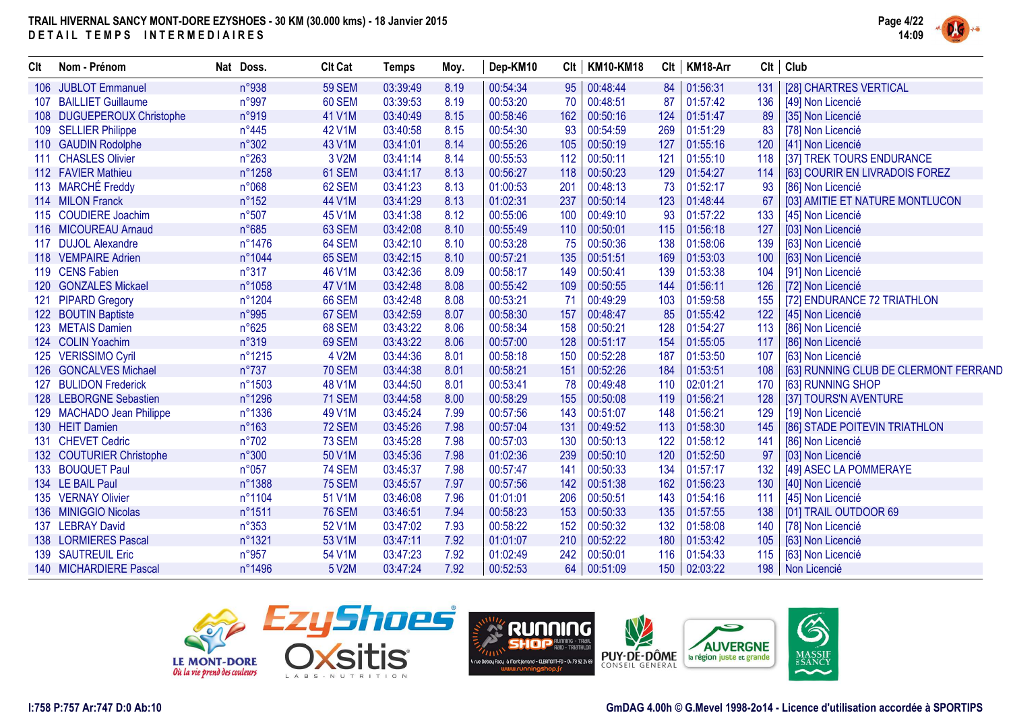

| Clt | Nom - Prénom               | Nat Doss.       | <b>Clt Cat</b> | <b>Temps</b> | Moy. | Dep-KM10 | Clt | <b>KM10-KM18</b> | Clt | KM18-Arr | Clt | Club                                  |
|-----|----------------------------|-----------------|----------------|--------------|------|----------|-----|------------------|-----|----------|-----|---------------------------------------|
|     | 106 JUBLOT Emmanuel        | n°938           | <b>59 SEM</b>  | 03:39:49     | 8.19 | 00:54:34 | 95  | 00:48:44         | 84  | 01:56:31 | 131 | [28] CHARTRES VERTICAL                |
|     | 107 BAILLIET Guillaume     | n°997           | 60 SEM         | 03:39:53     | 8.19 | 00:53:20 | 70  | 00:48:51         | 87  | 01:57:42 | 136 | [49] Non Licencié                     |
|     | 108 DUGUEPEROUX Christophe | n°919           | 41 V1M         | 03:40:49     | 8.15 | 00:58:46 | 162 | 00:50:16         | 124 | 01:51:47 | 89  | [35] Non Licencié                     |
|     | 109 SELLIER Philippe       | $n^{\circ}445$  | 42 V1M         | 03:40:58     | 8.15 | 00:54:30 | 93  | 00:54:59         | 269 | 01:51:29 | 83  | [78] Non Licencié                     |
|     | 110 GAUDIN Rodolphe        | n°302           | 43 V1M         | 03:41:01     | 8.14 | 00:55:26 | 105 | 00:50:19         | 127 | 01:55:16 | 120 | [41] Non Licencié                     |
|     | 111 CHASLES Olivier        | $n^{\circ}263$  | 3 V2M          | 03:41:14     | 8.14 | 00:55:53 | 112 | 00:50:11         | 121 | 01:55:10 | 118 | [37] TREK TOURS ENDURANCE             |
|     | 112 FAVIER Mathieu         | n°1258          | 61 SEM         | 03:41:17     | 8.13 | 00:56:27 | 118 | 00:50:23         | 129 | 01:54:27 | 114 | [63] COURIR EN LIVRADOIS FOREZ        |
|     | 113 MARCHÉ Freddy          | n°068           | 62 SEM         | 03:41:23     | 8.13 | 01:00:53 | 201 | 00:48:13         | 73  | 01:52:17 | 93  | [86] Non Licencié                     |
|     | 114 MILON Franck           | n°152           | 44 V1M         | 03:41:29     | 8.13 | 01:02:31 | 237 | 00:50:14         | 123 | 01:48:44 | 67  | [03] AMITIE ET NATURE MONTLUCON       |
|     | 115 COUDIERE Joachim       | n°507           | 45 V1M         | 03:41:38     | 8.12 | 00:55:06 | 100 | 00:49:10         | 93  | 01:57:22 | 133 | [45] Non Licencié                     |
|     | 116 MICOUREAU Arnaud       | n°685           | 63 SEM         | 03:42:08     | 8.10 | 00:55:49 | 110 | 00:50:01         | 115 | 01:56:18 | 127 | [03] Non Licencié                     |
|     | 117 DUJOL Alexandre        | n°1476          | 64 SEM         | 03:42:10     | 8.10 | 00:53:28 | 75  | 00:50:36         | 138 | 01:58:06 | 139 | [63] Non Licencié                     |
|     | 118 VEMPAIRE Adrien        | n°1044          | 65 SEM         | 03:42:15     | 8.10 | 00:57:21 | 135 | 00:51:51         | 169 | 01:53:03 | 100 | [63] Non Licencié                     |
|     | 119 CENS Fabien            | n°317           | 46 V1M         | 03:42:36     | 8.09 | 00:58:17 | 149 | 00:50:41         | 139 | 01:53:38 | 104 | [91] Non Licencié                     |
|     | 120 GONZALES Mickael       | n°1058          | <b>47 V1M</b>  | 03:42:48     | 8.08 | 00:55:42 | 109 | 00:50:55         | 144 | 01:56:11 | 126 | [72] Non Licencié                     |
|     | 121 PIPARD Gregory         | n°1204          | 66 SEM         | 03:42:48     | 8.08 | 00:53:21 | -71 | 00:49:29         | 103 | 01:59:58 | 155 | [72] ENDURANCE 72 TRIATHLON           |
|     | 122 BOUTIN Baptiste        | n°995           | 67 SEM         | 03:42:59     | 8.07 | 00:58:30 | 157 | 00:48:47         | 85  | 01:55:42 | 122 | [45] Non Licencié                     |
|     | 123 METAIS Damien          | n°625           | 68 SEM         | 03:43:22     | 8.06 | 00:58:34 | 158 | 00:50:21         | 128 | 01:54:27 | 113 | [86] Non Licencié                     |
|     | 124 COLIN Yoachim          | n°319           | 69 SEM         | 03:43:22     | 8.06 | 00:57:00 | 128 | 00:51:17         | 154 | 01:55:05 | 117 | [86] Non Licencié                     |
|     | 125 VERISSIMO Cyril        | n°1215          | 4 V2M          | 03:44:36     | 8.01 | 00:58:18 | 150 | 00:52:28         | 187 | 01:53:50 | 107 | [63] Non Licencié                     |
|     | 126 GONCALVES Michael      | n°737           | <b>70 SEM</b>  | 03:44:38     | 8.01 | 00:58:21 | 151 | 00:52:26         | 184 | 01:53:51 | 108 | [63] RUNNING CLUB DE CLERMONT FERRAND |
|     | 127 BULIDON Frederick      | n°1503          | 48 V1M         | 03:44:50     | 8.01 | 00:53:41 | 78  | 00:49:48         | 110 | 02:01:21 | 170 | [63] RUNNING SHOP                     |
|     | 128 LEBORGNE Sebastien     | n°1296          | <b>71 SEM</b>  | 03:44:58     | 8.00 | 00:58:29 | 155 | 00:50:08         | 119 | 01:56:21 | 128 | [37] TOURS'N AVENTURE                 |
|     | 129 MACHADO Jean Philippe  | $n^{\circ}1336$ | 49 V1M         | 03:45:24     | 7.99 | 00:57:56 | 143 | 00:51:07         | 148 | 01:56:21 | 129 | [19] Non Licencié                     |
|     | 130 HEIT Damien            | n°163           | <b>72 SEM</b>  | 03:45:26     | 7.98 | 00:57:04 | 131 | 00:49:52         | 113 | 01:58:30 | 145 | [86] STADE POITEVIN TRIATHLON         |
|     | 131 CHEVET Cedric          | n°702           | 73 SEM         | 03:45:28     | 7.98 | 00:57:03 | 130 | 00:50:13         | 122 | 01:58:12 | 141 | [86] Non Licencié                     |
|     | 132 COUTURIER Christophe   | n°300           | 50 V1M         | 03:45:36     | 7.98 | 01:02:36 | 239 | 00:50:10         | 120 | 01:52:50 | 97  | [03] Non Licencié                     |
|     | 133 BOUQUET Paul           | n°057           | <b>74 SEM</b>  | 03:45:37     | 7.98 | 00:57:47 | 141 | 00:50:33         | 134 | 01:57:17 | 132 | [49] ASEC LA POMMERAYE                |
|     | 134 LE BAIL Paul           | n°1388          | <b>75 SEM</b>  | 03:45:57     | 7.97 | 00:57:56 | 142 | 00:51:38         | 162 | 01:56:23 | 130 | [40] Non Licencié                     |
|     | 135 VERNAY Olivier         | n°1104          | 51 V1M         | 03:46:08     | 7.96 | 01:01:01 | 206 | 00:50:51         | 143 | 01:54:16 | 111 | [45] Non Licencié                     |
|     | 136 MINIGGIO Nicolas       | n°1511          | <b>76 SEM</b>  | 03:46:51     | 7.94 | 00:58:23 | 153 | 00:50:33         | 135 | 01:57:55 | 138 | [01] TRAIL OUTDOOR 69                 |
|     | 137 LEBRAY David           | $n^{\circ}353$  | 52 V1M         | 03:47:02     | 7.93 | 00:58:22 | 152 | 00:50:32         | 132 | 01:58:08 | 140 | [78] Non Licencié                     |
|     | 138 LORMIERES Pascal       | n°1321          | 53 V1M         | 03:47:11     | 7.92 | 01:01:07 | 210 | 00:52:22         | 180 | 01:53:42 | 105 | [63] Non Licencié                     |
|     | 139 SAUTREUIL Eric         | n°957           | 54 V1M         | 03:47:23     | 7.92 | 01:02:49 | 242 | 00:50:01         | 116 | 01:54:33 | 115 | [63] Non Licencié                     |
|     | 140 MICHARDIERE Pascal     | n°1496          | 5 V2M          | 03:47:24     | 7.92 | 00:52:53 | 64  | 00:51:09         | 150 | 02:03:22 | 198 | Non Licencié                          |





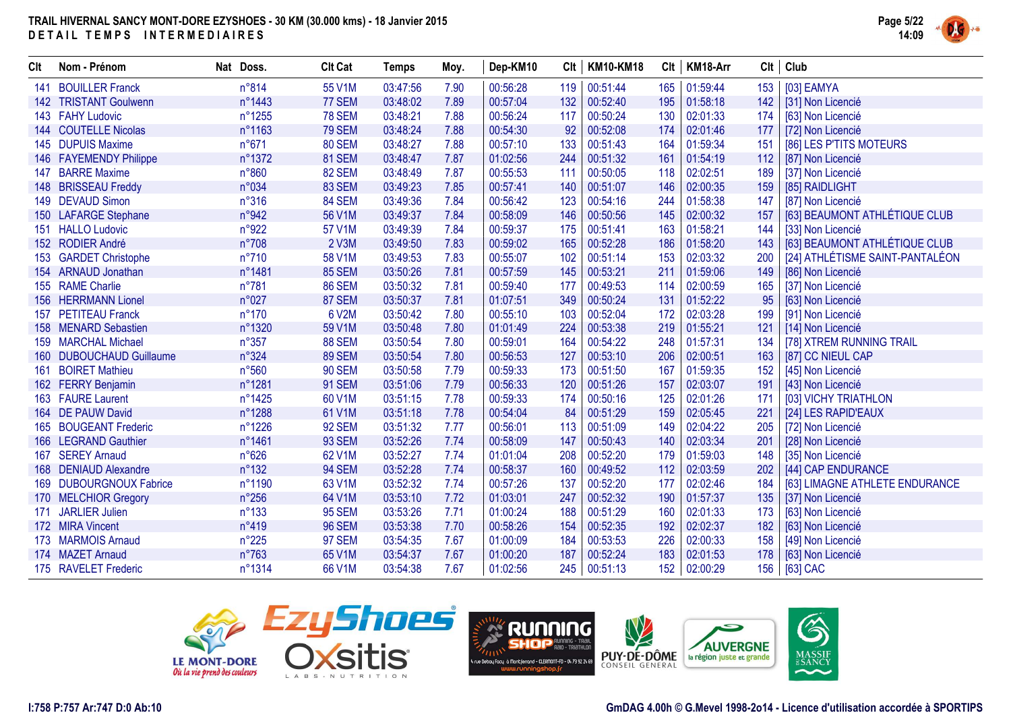

| Clt | Nom - Prénom             | Nat Doss.      | <b>Clt Cat</b> | <b>Temps</b> | Moy. | Dep-KM10 |     | Clt   KM10-KM18 | Clt | KM18-Arr |     | Clt   Club                      |
|-----|--------------------------|----------------|----------------|--------------|------|----------|-----|-----------------|-----|----------|-----|---------------------------------|
| 141 | <b>BOUILLER Franck</b>   | n°814          | 55 V1M         | 03:47:56     | 7.90 | 00:56:28 | 119 | 00:51:44        | 165 | 01:59:44 | 153 | [03] EAMYA                      |
|     | 142 TRISTANT Goulwenn    | n°1443         | 77 SEM         | 03:48:02     | 7.89 | 00:57:04 | 132 | 00:52:40        | 195 | 01:58:18 | 142 | [31] Non Licencié               |
|     | 143 FAHY Ludovic         | n°1255         | <b>78 SEM</b>  | 03:48:21     | 7.88 | 00:56:24 | 117 | 00:50:24        | 130 | 02:01:33 | 174 | [63] Non Licencié               |
|     | 144 COUTELLE Nicolas     | n°1163         | <b>79 SEM</b>  | 03:48:24     | 7.88 | 00:54:30 | 92  | 00:52:08        | 174 | 02:01:46 | 177 | [72] Non Licencié               |
|     | 145 DUPUIS Maxime        | $n^{\circ}671$ | 80 SEM         | 03:48:27     | 7.88 | 00:57:10 | 133 | 00:51:43        | 164 | 01:59:34 | 151 | [86] LES P'TITS MOTEURS         |
|     | 146 FAYEMENDY Philippe   | n°1372         | 81 SEM         | 03:48:47     | 7.87 | 01:02:56 | 244 | 00:51:32        | 161 | 01:54:19 | 112 | [87] Non Licencié               |
|     | 147 BARRE Maxime         | n°860          | 82 SEM         | 03:48:49     | 7.87 | 00:55:53 | 111 | 00:50:05        | 118 | 02:02:51 | 189 | [37] Non Licencié               |
|     | 148 BRISSEAU Freddy      | n°034          | 83 SEM         | 03:49:23     | 7.85 | 00:57:41 | 140 | 00:51:07        | 146 | 02:00:35 | 159 | [85] RAIDLIGHT                  |
|     | 149 DEVAUD Simon         | $n^{\circ}316$ | 84 SEM         | 03:49:36     | 7.84 | 00:56:42 | 123 | 00:54:16        | 244 | 01:58:38 | 147 | [87] Non Licencié               |
|     | 150 LAFARGE Stephane     | n°942          | 56 V1M         | 03:49:37     | 7.84 | 00:58:09 | 146 | 00:50:56        | 145 | 02:00:32 | 157 | [63] BEAUMONT ATHLÉTIQUE CLUB   |
|     | 151 HALLO Ludovic        | n°922          | 57 V1M         | 03:49:39     | 7.84 | 00:59:37 | 175 | 00:51:41        | 163 | 01:58:21 | 144 | [33] Non Licencié               |
|     | 152 RODIER André         | $n^{\circ}708$ | 2 V3M          | 03:49:50     | 7.83 | 00:59:02 | 165 | 00:52:28        | 186 | 01:58:20 | 143 | [63] BEAUMONT ATHLÉTIQUE CLUB   |
|     | 153 GARDET Christophe    | $n^{\circ}710$ | 58 V1M         | 03:49:53     | 7.83 | 00:55:07 | 102 | 00:51:14        | 153 | 02:03:32 | 200 | [24] ATHLÉTISME SAINT-PANTALÉON |
|     | 154 ARNAUD Jonathan      | n°1481         | <b>85 SEM</b>  | 03:50:26     | 7.81 | 00:57:59 | 145 | 00:53:21        | 211 | 01:59:06 | 149 | [86] Non Licencié               |
|     | 155 RAME Charlie         | $n^{\circ}781$ | <b>86 SEM</b>  | 03:50:32     | 7.81 | 00:59:40 | 177 | 00:49:53        | 114 | 02:00:59 | 165 | [37] Non Licencié               |
|     | 156 HERRMANN Lionel      | n°027          | 87 SEM         | 03:50:37     | 7.81 | 01:07:51 | 349 | 00:50:24        | 131 | 01:52:22 | 95  | [63] Non Licencié               |
|     | 157 PETITEAU Franck      | $n^{\circ}170$ | 6 V2M          | 03:50:42     | 7.80 | 00:55:10 | 103 | 00:52:04        | 172 | 02:03:28 | 199 | [91] Non Licencié               |
|     | 158 MENARD Sebastien     | n°1320         | 59 V1M         | 03:50:48     | 7.80 | 01:01:49 | 224 | 00:53:38        | 219 | 01:55:21 | 121 | [14] Non Licencié               |
|     | 159 MARCHAL Michael      | $n^{\circ}357$ | 88 SEM         | 03:50:54     | 7.80 | 00:59:01 | 164 | 00:54:22        | 248 | 01:57:31 | 134 | [78] XTREM RUNNING TRAIL        |
|     | 160 DUBOUCHAUD Guillaume | n°324          | <b>89 SEM</b>  | 03:50:54     | 7.80 | 00:56:53 | 127 | 00:53:10        | 206 | 02:00:51 | 163 | [87] CC NIEUL CAP               |
|     | 161 BOIRET Mathieu       | n°560          | <b>90 SEM</b>  | 03:50:58     | 7.79 | 00:59:33 | 173 | 00:51:50        | 167 | 01:59:35 | 152 | [45] Non Licencié               |
|     | 162 FERRY Benjamin       | n°1281         | <b>91 SEM</b>  | 03:51:06     | 7.79 | 00:56:33 | 120 | 00:51:26        | 157 | 02:03:07 | 191 | [43] Non Licencié               |
|     | 163 FAURE Laurent        | n°1425         | 60 V1M         | 03:51:15     | 7.78 | 00:59:33 | 174 | 00:50:16        | 125 | 02:01:26 | 171 | [03] VICHY TRIATHLON            |
|     | 164 DE PAUW David        | n°1288         | 61 V1M         | 03:51:18     | 7.78 | 00:54:04 | 84  | 00:51:29        | 159 | 02:05:45 | 221 | [24] LES RAPID'EAUX             |
|     | 165 BOUGEANT Frederic    | n°1226         | 92 SEM         | 03:51:32     | 7.77 | 00:56:01 | 113 | 00:51:09        | 149 | 02:04:22 | 205 | [72] Non Licencié               |
|     | 166 LEGRAND Gauthier     | n°1461         | <b>93 SEM</b>  | 03:52:26     | 7.74 | 00:58:09 | 147 | 00:50:43        | 140 | 02:03:34 | 201 | [28] Non Licencié               |
| 167 | <b>SEREY Arnaud</b>      | $n^{\circ}626$ | 62 V1M         | 03:52:27     | 7.74 | 01:01:04 | 208 | 00:52:20        | 179 | 01:59:03 | 148 | [35] Non Licencié               |
|     | 168 DENIAUD Alexandre    | $n^{\circ}132$ | <b>94 SEM</b>  | 03:52:28     | 7.74 | 00:58:37 | 160 | 00:49:52        | 112 | 02:03:59 | 202 | [44] CAP ENDURANCE              |
|     | 169 DUBOURGNOUX Fabrice  | n°1190         | 63 V1M         | 03:52:32     | 7.74 | 00:57:26 | 137 | 00:52:20        | 177 | 02:02:46 | 184 | [63] LIMAGNE ATHLETE ENDURANCE  |
|     | 170 MELCHIOR Gregory     | $n^{\circ}256$ | 64 V1M         | 03:53:10     | 7.72 | 01:03:01 | 247 | 00:52:32        | 190 | 01:57:37 | 135 | [37] Non Licencié               |
|     | 171 JARLIER Julien       | $n^{\circ}133$ | <b>95 SEM</b>  | 03:53:26     | 7.71 | 01:00:24 | 188 | 00:51:29        | 160 | 02:01:33 | 173 | [63] Non Licencié               |
|     | 172 MIRA Vincent         | $n^{\circ}419$ | <b>96 SEM</b>  | 03:53:38     | 7.70 | 00:58:26 | 154 | 00:52:35        | 192 | 02:02:37 | 182 | [63] Non Licencié               |
|     | 173 MARMOIS Arnaud       | $n^{\circ}225$ | <b>97 SEM</b>  | 03:54:35     | 7.67 | 01:00:09 | 184 | 00:53:53        | 226 | 02:00:33 | 158 | [49] Non Licencié               |
|     | 174 MAZET Arnaud         | $n^{\circ}763$ | 65 V1M         | 03:54:37     | 7.67 | 01:00:20 | 187 | 00:52:24        | 183 | 02:01:53 | 178 | [63] Non Licencié               |
|     | 175 RAVELET Frederic     | n°1314         | 66 V1M         | 03:54:38     | 7.67 | 01:02:56 | 245 | 00:51:13        | 152 | 02:00:29 | 156 | [63] CAC                        |





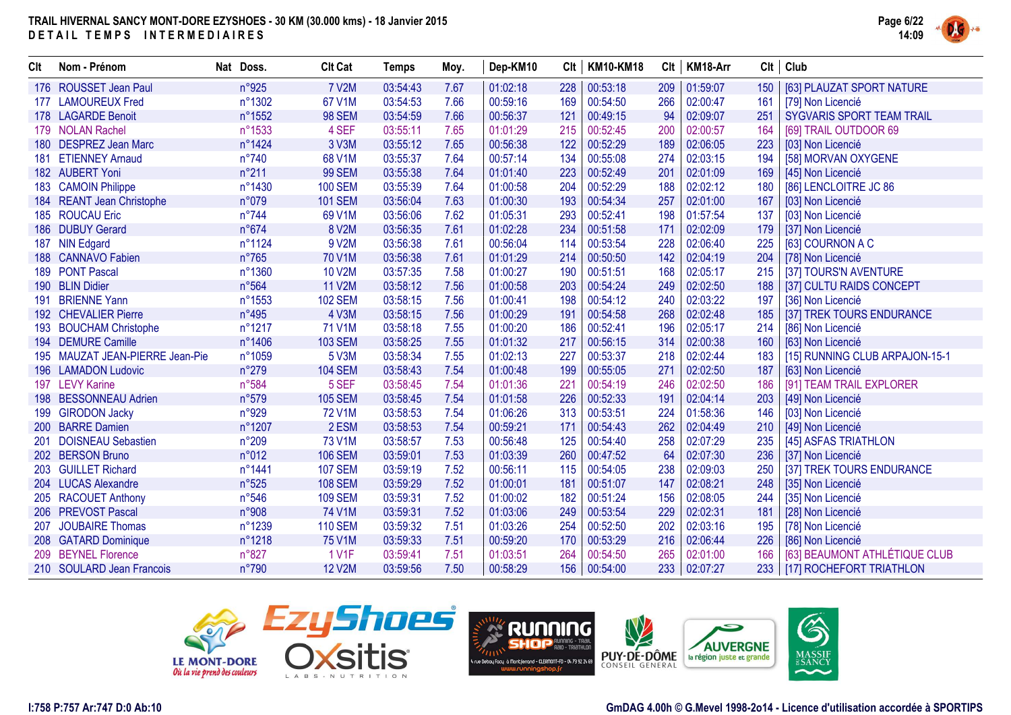

| Clt | Nom - Prénom                    | Nat Doss.      | <b>Clt Cat</b> | Temps    | Moy. | Dep-KM10 | Clt | <b>KM10-KM18</b> | Clt | KM18-Arr | Clt | Club                             |
|-----|---------------------------------|----------------|----------------|----------|------|----------|-----|------------------|-----|----------|-----|----------------------------------|
|     | 176 ROUSSET Jean Paul           | n°925          | <b>7 V2M</b>   | 03:54:43 | 7.67 | 01:02:18 | 228 | 00:53:18         | 209 | 01:59:07 | 150 | [63] PLAUZAT SPORT NATURE        |
|     | 177 LAMOUREUX Fred              | n°1302         | 67 V1M         | 03:54:53 | 7.66 | 00:59:16 | 169 | 00:54:50         | 266 | 02:00:47 | 161 | [79] Non Licencié                |
|     | 178 LAGARDE Benoit              | n°1552         | <b>98 SEM</b>  | 03:54:59 | 7.66 | 00:56:37 | 121 | 00:49:15         | 94  | 02:09:07 | 251 | <b>SYGVARIS SPORT TEAM TRAIL</b> |
|     | 179 NOLAN Rachel                | n°1533         | 4 SEF          | 03:55:11 | 7.65 | 01:01:29 | 215 | 00:52:45         | 200 | 02:00:57 | 164 | [69] TRAIL OUTDOOR 69            |
|     | 180 DESPREZ Jean Marc           | n°1424         | 3 V3M          | 03:55:12 | 7.65 | 00:56:38 | 122 | 00:52:29         | 189 | 02:06:05 | 223 | [03] Non Licencié                |
|     | 181 ETIENNEY Arnaud             | $n^{\circ}740$ | 68 V1M         | 03:55:37 | 7.64 | 00:57:14 | 134 | 00:55:08         | 274 | 02:03:15 | 194 | [58] MORVAN OXYGENE              |
|     | 182 AUBERT Yoni                 | $n^{\circ}211$ | <b>99 SEM</b>  | 03:55:38 | 7.64 | 01:01:40 | 223 | 00:52:49         | 201 | 02:01:09 | 169 | [45] Non Licencié                |
|     | 183 CAMOIN Philippe             | n°1430         | <b>100 SEM</b> | 03:55:39 | 7.64 | 01:00:58 | 204 | 00:52:29         | 188 | 02:02:12 | 180 | [86] LENCLOITRE JC 86            |
|     | 184 REANT Jean Christophe       | n°079          | <b>101 SEM</b> | 03:56:04 | 7.63 | 01:00:30 | 193 | 00:54:34         | 257 | 02:01:00 | 167 | [03] Non Licencié                |
|     | 185 ROUCAU Eric                 | $n^{\circ}744$ | 69 V1M         | 03:56:06 | 7.62 | 01:05:31 | 293 | 00:52:41         | 198 | 01:57:54 | 137 | [03] Non Licencié                |
|     | 186 DUBUY Gerard                | $n^{\circ}674$ | 8 V2M          | 03:56:35 | 7.61 | 01:02:28 | 234 | 00:51:58         | 171 | 02:02:09 | 179 | [37] Non Licencié                |
| 187 | <b>NIN Edgard</b>               | n°1124         | 9 V2M          | 03:56:38 | 7.61 | 00:56:04 | 114 | 00:53:54         | 228 | 02:06:40 | 225 | [63] COURNON A C                 |
|     | 188 CANNAVO Fabien              | $n^{\circ}765$ | <b>70 V1M</b>  | 03:56:38 | 7.61 | 01:01:29 | 214 | 00:50:50         | 142 | 02:04:19 | 204 | [78] Non Licencié                |
|     | 189 PONT Pascal                 | n°1360         | <b>10 V2M</b>  | 03:57:35 | 7.58 | 01:00:27 | 190 | 00:51:51         | 168 | 02:05:17 | 215 | [37] TOURS'N AVENTURE            |
|     | 190 BLIN Didier                 | n°564          | 11 V2M         | 03:58:12 | 7.56 | 01:00:58 | 203 | 00:54:24         | 249 | 02:02:50 | 188 | [37] CULTU RAIDS CONCEPT         |
| 191 | <b>BRIENNE Yann</b>             | n°1553         | <b>102 SEM</b> | 03:58:15 | 7.56 | 01:00:41 | 198 | 00:54:12         | 240 | 02:03:22 | 197 | [36] Non Licencié                |
|     | 192 CHEVALIER Pierre            | n°495          | 4 V3M          | 03:58:15 | 7.56 | 01:00:29 | 191 | 00:54:58         | 268 | 02:02:48 | 185 | [37] TREK TOURS ENDURANCE        |
|     | 193 BOUCHAM Christophe          | n°1217         | 71 V1M         | 03:58:18 | 7.55 | 01:00:20 | 186 | 00:52:41         | 196 | 02:05:17 | 214 | [86] Non Licencié                |
|     | 194 DEMURE Camille              | n°1406         | <b>103 SEM</b> | 03:58:25 | 7.55 | 01:01:32 | 217 | 00:56:15         | 314 | 02:00:38 | 160 | [63] Non Licencié                |
|     | 195 MAUZAT JEAN-PIERRE Jean-Pie | n°1059         | 5 V3M          | 03:58:34 | 7.55 | 01:02:13 | 227 | 00:53:37         | 218 | 02:02:44 | 183 | [15] RUNNING CLUB ARPAJON-15-1   |
|     | 196 LAMADON Ludovic             | n°279          | <b>104 SEM</b> | 03:58:43 | 7.54 | 01:00:48 | 199 | 00:55:05         | 271 | 02:02:50 | 187 | [63] Non Licencié                |
|     | 197 LEVY Karine                 | n°584          | 5 SEF          | 03:58:45 | 7.54 | 01:01:36 | 221 | 00:54:19         | 246 | 02:02:50 | 186 | [91] TEAM TRAIL EXPLORER         |
|     | 198 BESSONNEAU Adrien           | n°579          | <b>105 SEM</b> | 03:58:45 | 7.54 | 01:01:58 | 226 | 00:52:33         | 191 | 02:04:14 | 203 | [49] Non Licencié                |
|     | 199 GIRODON Jacky               | n°929          | <b>72 V1M</b>  | 03:58:53 | 7.54 | 01:06:26 | 313 | 00:53:51         | 224 | 01:58:36 | 146 | [03] Non Licencié                |
|     | 200 BARRE Damien                | n°1207         | 2 ESM          | 03:58:53 | 7.54 | 00:59:21 | 171 | 00:54:43         | 262 | 02:04:49 | 210 | [49] Non Licencié                |
|     | 201 DOISNEAU Sebastien          | $n^{\circ}209$ | <b>73 V1M</b>  | 03:58:57 | 7.53 | 00:56:48 | 125 | 00:54:40         | 258 | 02:07:29 | 235 | [45] ASFAS TRIATHLON             |
|     | 202 BERSON Bruno                | n°012          | <b>106 SEM</b> | 03:59:01 | 7.53 | 01:03:39 | 260 | 00:47:52         | 64  | 02:07:30 | 236 | [37] Non Licencié                |
|     | 203 GUILLET Richard             | n°1441         | <b>107 SEM</b> | 03:59:19 | 7.52 | 00:56:11 | 115 | 00:54:05         | 238 | 02:09:03 | 250 | [37] TREK TOURS ENDURANCE        |
|     | 204 LUCAS Alexandre             | $n^{\circ}525$ | <b>108 SEM</b> | 03:59:29 | 7.52 | 01:00:01 | 181 | 00:51:07         | 147 | 02:08:21 | 248 | [35] Non Licencié                |
|     | 205 RACOUET Anthony             | $n^{\circ}546$ | <b>109 SEM</b> | 03:59:31 | 7.52 | 01:00:02 | 182 | 00:51:24         | 156 | 02:08:05 | 244 | [35] Non Licencié                |
|     | 206 PREVOST Pascal              | n°908          | 74 V1M         | 03:59:31 | 7.52 | 01:03:06 | 249 | 00:53:54         | 229 | 02:02:31 | 181 | [28] Non Licencié                |
| 207 | <b>JOUBAIRE Thomas</b>          | n°1239         | <b>110 SEM</b> | 03:59:32 | 7.51 | 01:03:26 | 254 | 00:52:50         | 202 | 02:03:16 | 195 | [78] Non Licencié                |
|     | 208 GATARD Dominique            | n°1218         | 75 V1M         | 03:59:33 | 7.51 | 00:59:20 | 170 | 00:53:29         | 216 | 02:06:44 | 226 | [86] Non Licencié                |
|     | 209 BEYNEL Florence             | n°827          | <b>1 V1F</b>   | 03:59:41 | 7.51 | 01:03:51 | 264 | 00:54:50         | 265 | 02:01:00 | 166 | [63] BEAUMONT ATHLÉTIQUE CLUB    |
|     | 210 SOULARD Jean Francois       | $n^{\circ}790$ | <b>12 V2M</b>  | 03:59:56 | 7.50 | 00:58:29 | 156 | 00:54:00         | 233 | 02:07:27 |     | 233   [17] ROCHEFORT TRIATHLON   |





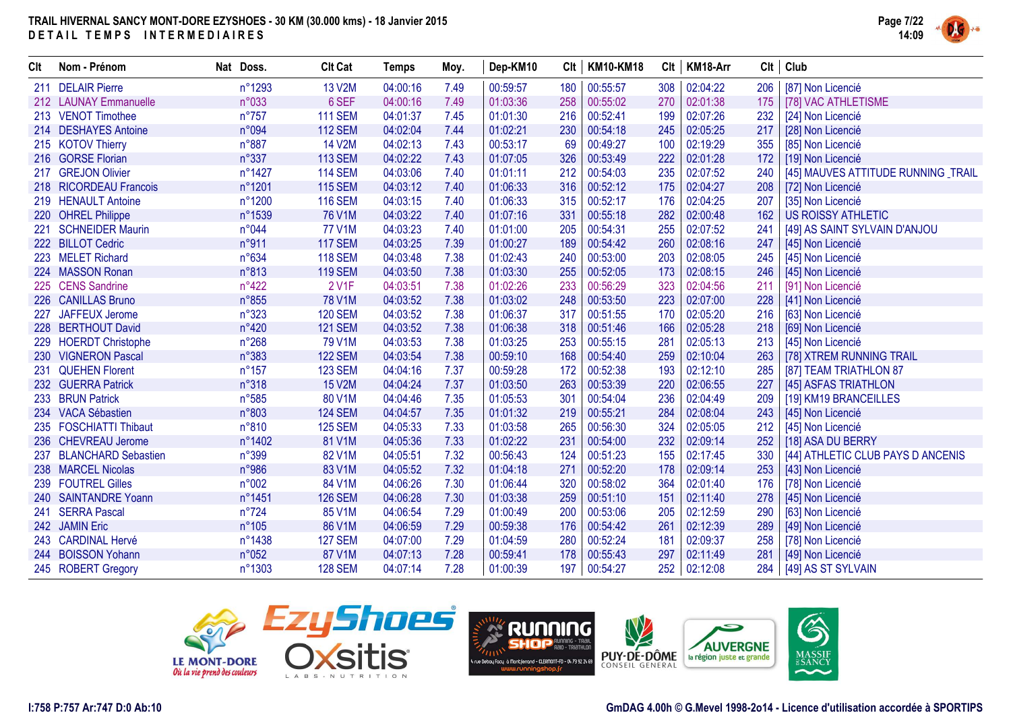

| Clt | Nom - Prénom               | Nat Doss.      | <b>Clt Cat</b> | <b>Temps</b> | Moy. | Dep-KM10 | Clt | <b>KM10-KM18</b> | Clt | KM18-Arr |     | $Clt$ Club                          |
|-----|----------------------------|----------------|----------------|--------------|------|----------|-----|------------------|-----|----------|-----|-------------------------------------|
|     | 211 DELAIR Pierre          | n°1293         | 13 V2M         | 04:00:16     | 7.49 | 00:59:57 | 180 | 00:55:57         | 308 | 02:04:22 | 206 | [87] Non Licencié                   |
|     | 212 LAUNAY Emmanuelle      | n°033          | 6 SEF          | 04:00:16     | 7.49 | 01:03:36 | 258 | 00:55:02         | 270 | 02:01:38 | 175 | [78] VAC ATHLETISME                 |
|     | 213 VENOT Timothee         | $n^{\circ}757$ | <b>111 SEM</b> | 04:01:37     | 7.45 | 01:01:30 | 216 | 00:52:41         | 199 | 02:07:26 | 232 | [24] Non Licencié                   |
|     | 214 DESHAYES Antoine       | n°094          | <b>112 SEM</b> | 04:02:04     | 7.44 | 01:02:21 | 230 | 00:54:18         | 245 | 02:05:25 | 217 | [28] Non Licencié                   |
|     | 215 KOTOV Thierry          | n°887          | <b>14 V2M</b>  | 04:02:13     | 7.43 | 00:53:17 | 69  | 00:49:27         | 100 | 02:19:29 | 355 | [85] Non Licencié                   |
|     | 216 GORSE Florian          | $n^{\circ}337$ | <b>113 SEM</b> | 04:02:22     | 7.43 | 01:07:05 | 326 | 00:53:49         | 222 | 02:01:28 | 172 | [19] Non Licencié                   |
|     | 217 GREJON Olivier         | n°1427         | <b>114 SEM</b> | 04:03:06     | 7.40 | 01:01:11 | 212 | 00:54:03         | 235 | 02:07:52 | 240 | [45] MAUVES ATTITUDE RUNNING _TRAIL |
|     | 218 RICORDEAU Francois     | n°1201         | <b>115 SEM</b> | 04:03:12     | 7.40 | 01:06:33 | 316 | 00:52:12         | 175 | 02:04:27 | 208 | [72] Non Licencié                   |
|     | 219 HENAULT Antoine        | n°1200         | <b>116 SEM</b> | 04:03:15     | 7.40 | 01:06:33 | 315 | 00:52:17         | 176 | 02:04:25 | 207 | [35] Non Licencié                   |
|     | 220 OHREL Philippe         | n°1539         | 76 V1M         | 04:03:22     | 7.40 | 01:07:16 | 331 | 00:55:18         | 282 | 02:00:48 | 162 | <b>US ROISSY ATHLETIC</b>           |
|     | 221 SCHNEIDER Maurin       | n°044          | <b>77 V1M</b>  | 04:03:23     | 7.40 | 01:01:00 | 205 | 00:54:31         | 255 | 02:07:52 | 241 | [49] AS SAINT SYLVAIN D'ANJOU       |
|     | 222 BILLOT Cedric          | n°911          | <b>117 SEM</b> | 04:03:25     | 7.39 | 01:00:27 | 189 | 00:54:42         | 260 | 02:08:16 | 247 | [45] Non Licencié                   |
|     | 223 MELET Richard          | n°634          | <b>118 SEM</b> | 04:03:48     | 7.38 | 01:02:43 | 240 | 00:53:00         | 203 | 02:08:05 | 245 | [45] Non Licencié                   |
|     | 224 MASSON Ronan           | n°813          | <b>119 SEM</b> | 04:03:50     | 7.38 | 01:03:30 | 255 | 00:52:05         | 173 | 02:08:15 | 246 | [45] Non Licencié                   |
|     | 225 CENS Sandrine          | $n^{\circ}422$ | 2 V1F          | 04:03:51     | 7.38 | 01:02:26 | 233 | 00:56:29         | 323 | 02:04:56 | 211 | [91] Non Licencié                   |
|     | 226 CANILLAS Bruno         | n°855          | <b>78 V1M</b>  | 04:03:52     | 7.38 | 01:03:02 | 248 | 00:53:50         | 223 | 02:07:00 | 228 | [41] Non Licencié                   |
| 227 | JAFFEUX Jerome             | n°323          | <b>120 SEM</b> | 04:03:52     | 7.38 | 01:06:37 | 317 | 00:51:55         | 170 | 02:05:20 | 216 | [63] Non Licencié                   |
|     | 228 BERTHOUT David         | n°420          | <b>121 SEM</b> | 04:03:52     | 7.38 | 01:06:38 | 318 | 00:51:46         | 166 | 02:05:28 | 218 | [69] Non Licencié                   |
|     | 229 HOERDT Christophe      | $n^{\circ}268$ | 79 V1M         | 04:03:53     | 7.38 | 01:03:25 | 253 | 00:55:15         | 281 | 02:05:13 | 213 | [45] Non Licencié                   |
|     | 230 VIGNERON Pascal        | n°383          | <b>122 SEM</b> | 04:03:54     | 7.38 | 00:59:10 | 168 | 00:54:40         | 259 | 02:10:04 | 263 | [78] XTREM RUNNING TRAIL            |
| 231 | <b>QUEHEN Florent</b>      | $n^{\circ}157$ | <b>123 SEM</b> | 04:04:16     | 7.37 | 00:59:28 | 172 | 00:52:38         | 193 | 02:12:10 | 285 | [87] TEAM TRIATHLON 87              |
|     | 232 GUERRA Patrick         | n°318          | <b>15 V2M</b>  | 04:04:24     | 7.37 | 01:03:50 | 263 | 00:53:39         | 220 | 02:06:55 | 227 | [45] ASFAS TRIATHLON                |
|     | 233 BRUN Patrick           | $n^{\circ}585$ | 80 V1M         | 04:04:46     | 7.35 | 01:05:53 | 301 | 00:54:04         | 236 | 02:04:49 | 209 | [19] KM19 BRANCEILLES               |
|     | 234 VACA Sébastien         | n°803          | <b>124 SEM</b> | 04:04:57     | 7.35 | 01:01:32 | 219 | 00:55:21         | 284 | 02:08:04 | 243 | [45] Non Licencié                   |
|     | 235 FOSCHIATTI Thibaut     | n°810          | <b>125 SEM</b> | 04:05:33     | 7.33 | 01:03:58 | 265 | 00:56:30         | 324 | 02:05:05 | 212 | [45] Non Licencié                   |
|     | 236 CHEVREAU Jerome        | n°1402         | 81 V1M         | 04:05:36     | 7.33 | 01:02:22 | 231 | 00:54:00         | 232 | 02:09:14 | 252 | [18] ASA DU BERRY                   |
| 237 | <b>BLANCHARD Sebastien</b> | n°399          | 82 V1M         | 04:05:51     | 7.32 | 00:56:43 | 124 | 00:51:23         | 155 | 02:17:45 | 330 | [44] ATHLETIC CLUB PAYS D ANCENIS   |
|     | 238 MARCEL Nicolas         | n°986          | 83 V1M         | 04:05:52     | 7.32 | 01:04:18 | 271 | 00:52:20         | 178 | 02:09:14 | 253 | [43] Non Licencié                   |
|     | 239 FOUTREL Gilles         | n°002          | 84 V1M         | 04:06:26     | 7.30 | 01:06:44 | 320 | 00:58:02         | 364 | 02:01:40 | 176 | [78] Non Licencié                   |
|     | 240 SAINTANDRE Yoann       | n°1451         | <b>126 SEM</b> | 04:06:28     | 7.30 | 01:03:38 | 259 | 00:51:10         | 151 | 02:11:40 | 278 | [45] Non Licencié                   |
|     | 241 SERRA Pascal           | $n^{\circ}724$ | 85 V1M         | 04:06:54     | 7.29 | 01:00:49 | 200 | 00:53:06         | 205 | 02:12:59 | 290 | [63] Non Licencié                   |
|     | 242 JAMIN Eric             | $n^{\circ}105$ | 86 V1M         | 04:06:59     | 7.29 | 00:59:38 | 176 | 00:54:42         | 261 | 02:12:39 | 289 | [49] Non Licencié                   |
|     | 243 CARDINAL Hervé         | n°1438         | <b>127 SEM</b> | 04:07:00     | 7.29 | 01:04:59 | 280 | 00:52:24         | 181 | 02:09:37 | 258 | [78] Non Licencié                   |
|     | 244 BOISSON Yohann         | n°052          | 87 V1M         | 04:07:13     | 7.28 | 00:59:41 | 178 | 00:55:43         | 297 | 02:11:49 | 281 | [49] Non Licencié                   |
|     | 245 ROBERT Gregory         | n°1303         | <b>128 SEM</b> | 04:07:14     | 7.28 | 01:00:39 | 197 | 00:54:27         | 252 | 02:12:08 | 284 | [49] AS ST SYLVAIN                  |





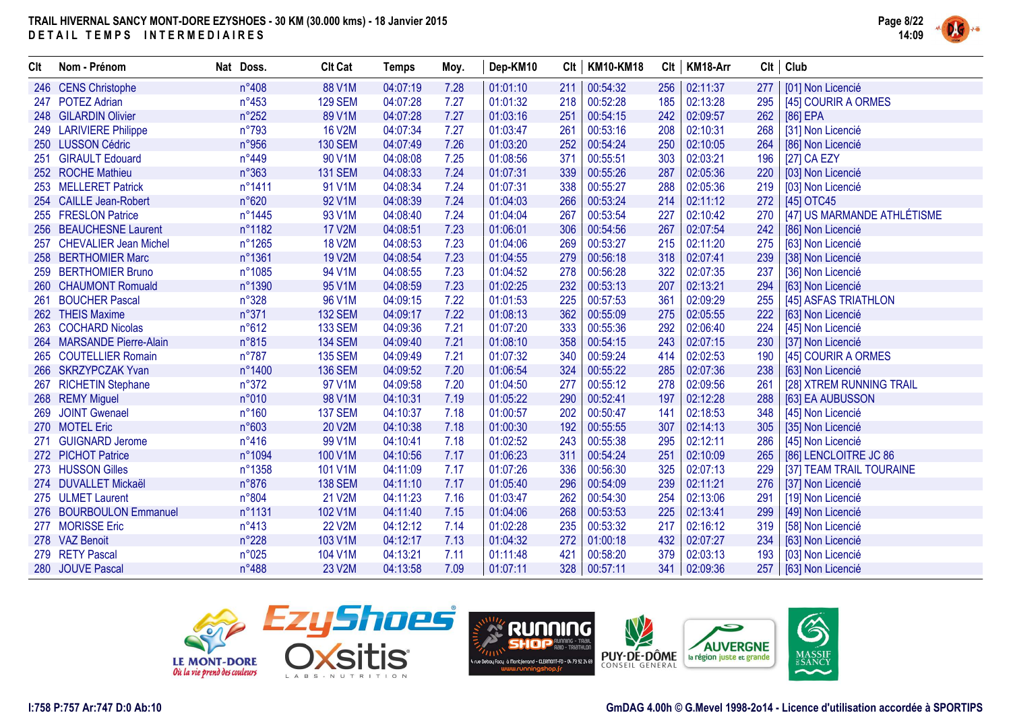

| Clt | Nom - Prénom              | Nat Doss.      | <b>Clt Cat</b> | <b>Temps</b> | Moy. | Dep-KM10 | Clt | <b>KM10-KM18</b> | Clt | KM18-Arr | Clt | Club                        |
|-----|---------------------------|----------------|----------------|--------------|------|----------|-----|------------------|-----|----------|-----|-----------------------------|
|     | 246 CENS Christophe       | n°408          | 88 V1M         | 04:07:19     | 7.28 | 01:01:10 | 211 | 00:54:32         | 256 | 02:11:37 | 277 | [01] Non Licencié           |
|     | 247 POTEZ Adrian          | $n^{\circ}453$ | <b>129 SEM</b> | 04:07:28     | 7.27 | 01:01:32 | 218 | 00:52:28         | 185 | 02:13:28 | 295 | [45] COURIR A ORMES         |
|     | 248 GILARDIN Olivier      | $n^{\circ}252$ | 89 V1M         | 04:07:28     | 7.27 | 01:03:16 | 251 | 00:54:15         | 242 | 02:09:57 | 262 | $[86]$ EPA                  |
|     | 249 LARIVIERE Philippe    | n°793          | <b>16 V2M</b>  | 04:07:34     | 7.27 | 01:03:47 | 261 | 00:53:16         | 208 | 02:10:31 | 268 | [31] Non Licencié           |
|     | 250 LUSSON Cédric         | n°956          | <b>130 SEM</b> | 04:07:49     | 7.26 | 01:03:20 | 252 | 00:54:24         | 250 | 02:10:05 | 264 | [86] Non Licencié           |
| 251 | <b>GIRAULT Edouard</b>    | $n^{\circ}449$ | 90 V1M         | 04:08:08     | 7.25 | 01:08:56 | 371 | 00:55:51         | 303 | 02:03:21 | 196 | [27] CA EZY                 |
|     | 252 ROCHE Mathieu         | n°363          | <b>131 SEM</b> | 04:08:33     | 7.24 | 01:07:31 | 339 | 00:55:26         | 287 | 02:05:36 | 220 | [03] Non Licencié           |
|     | 253 MELLERET Patrick      | n°1411         | 91 V1M         | 04:08:34     | 7.24 | 01:07:31 | 338 | 00:55:27         | 288 | 02:05:36 | 219 | [03] Non Licencié           |
|     | 254 CAILLE Jean-Robert    | n°620          | 92 V1M         | 04:08:39     | 7.24 | 01:04:03 | 266 | 00:53:24         | 214 | 02:11:12 | 272 | [45] OTC45                  |
|     | 255 FRESLON Patrice       | n°1445         | 93 V1M         | 04:08:40     | 7.24 | 01:04:04 | 267 | 00:53:54         | 227 | 02:10:42 | 270 | [47] US MARMANDE ATHLÉTISME |
|     | 256 BEAUCHESNE Laurent    | n°1182         | <b>17 V2M</b>  | 04:08:51     | 7.23 | 01:06:01 | 306 | 00:54:56         | 267 | 02:07:54 | 242 | [86] Non Licencié           |
|     | 257 CHEVALIER Jean Michel | n°1265         | <b>18 V2M</b>  | 04:08:53     | 7.23 | 01:04:06 | 269 | 00:53:27         | 215 | 02:11:20 | 275 | [63] Non Licencié           |
|     | 258 BERTHOMIER Marc       | n°1361         | 19 V2M         | 04:08:54     | 7.23 | 01:04:55 | 279 | 00:56:18         | 318 | 02:07:41 | 239 | [38] Non Licencié           |
|     | 259 BERTHOMIER Bruno      | n°1085         | 94 V1M         | 04:08:55     | 7.23 | 01:04:52 | 278 | 00:56:28         | 322 | 02:07:35 | 237 | [36] Non Licencié           |
|     | 260 CHAUMONT Romuald      | n°1390         | 95 V1M         | 04:08:59     | 7.23 | 01:02:25 | 232 | 00:53:13         | 207 | 02:13:21 | 294 | [63] Non Licencié           |
|     | 261 BOUCHER Pascal        | n°328          | 96 V1M         | 04:09:15     | 7.22 | 01:01:53 | 225 | 00:57:53         | 361 | 02:09:29 | 255 | [45] ASFAS TRIATHLON        |
|     | 262 THEIS Maxime          | n°371          | <b>132 SEM</b> | 04:09:17     | 7.22 | 01:08:13 | 362 | 00:55:09         | 275 | 02:05:55 | 222 | [63] Non Licencié           |
|     | 263 COCHARD Nicolas       | n°612          | <b>133 SEM</b> | 04:09:36     | 7.21 | 01:07:20 | 333 | 00:55:36         | 292 | 02:06:40 | 224 | [45] Non Licencié           |
|     | 264 MARSANDE Pierre-Alain | n°815          | <b>134 SEM</b> | 04:09:40     | 7.21 | 01:08:10 | 358 | 00:54:15         | 243 | 02:07:15 | 230 | [37] Non Licencié           |
|     | 265 COUTELLIER Romain     | $n^{\circ}787$ | <b>135 SEM</b> | 04:09:49     | 7.21 | 01:07:32 | 340 | 00:59:24         | 414 | 02:02:53 | 190 | [45] COURIR A ORMES         |
|     | 266 SKRZYPCZAK Yvan       | n°1400         | <b>136 SEM</b> | 04:09:52     | 7.20 | 01:06:54 | 324 | 00:55:22         | 285 | 02:07:36 | 238 | [63] Non Licencié           |
| 267 | <b>RICHETIN Stephane</b>  | $n^{\circ}372$ | 97 V1M         | 04:09:58     | 7.20 | 01:04:50 | 277 | 00:55:12         | 278 | 02:09:56 | 261 | [28] XTREM RUNNING TRAIL    |
|     | 268 REMY Miguel           | n°010          | 98 V1M         | 04:10:31     | 7.19 | 01:05:22 | 290 | 00:52:41         | 197 | 02:12:28 | 288 | [63] EA AUBUSSON            |
| 269 | <b>JOINT Gwenael</b>      | $n^{\circ}160$ | <b>137 SEM</b> | 04:10:37     | 7.18 | 01:00:57 | 202 | 00:50:47         | 141 | 02:18:53 | 348 | [45] Non Licencié           |
|     | 270 MOTEL Eric            | n°603          | <b>20 V2M</b>  | 04:10:38     | 7.18 | 01:00:30 | 192 | 00:55:55         | 307 | 02:14:13 | 305 | [35] Non Licencié           |
|     | <b>GUIGNARD Jerome</b>    | $n^{\circ}416$ | 99 V1M         | 04:10:41     | 7.18 | 01:02:52 | 243 | 00:55:38         | 295 | 02:12:11 | 286 | [45] Non Licencié           |
|     | 272 PICHOT Patrice        | n°1094         | 100 V1M        | 04:10:56     | 7.17 | 01:06:23 | 311 | 00:54:24         | 251 | 02:10:09 | 265 | [86] LENCLOITRE JC 86       |
|     | 273 HUSSON Gilles         | n°1358         | 101 V1M        | 04:11:09     | 7.17 | 01:07:26 | 336 | 00:56:30         | 325 | 02:07:13 | 229 | [37] TEAM TRAIL TOURAINE    |
|     | 274 DUVALLET Mickaël      | n°876          | <b>138 SEM</b> | 04:11:10     | 7.17 | 01:05:40 | 296 | 00:54:09         | 239 | 02:11:21 | 276 | [37] Non Licencié           |
|     | 275 ULMET Laurent         | n°804          | 21 V2M         | 04:11:23     | 7.16 | 01:03:47 | 262 | 00:54:30         | 254 | 02:13:06 | 291 | [19] Non Licencié           |
|     | 276 BOURBOULON Emmanuel   | n°1131         | 102 V1M        | 04:11:40     | 7.15 | 01:04:06 | 268 | 00:53:53         | 225 | 02:13:41 | 299 | [49] Non Licencié           |
|     | 277 MORISSE Eric          | $n^{\circ}413$ | <b>22 V2M</b>  | 04:12:12     | 7.14 | 01:02:28 | 235 | 00:53:32         | 217 | 02:16:12 | 319 | [58] Non Licencié           |
|     | 278 VAZ Benoit            | n°228          | 103 V1M        | 04:12:17     | 7.13 | 01:04:32 | 272 | 01:00:18         | 432 | 02:07:27 | 234 | [63] Non Licencié           |
|     | 279 RETY Pascal           | n°025          | 104 V1M        | 04:13:21     | 7.11 | 01:11:48 | 421 | 00:58:20         | 379 | 02:03:13 | 193 | [03] Non Licencié           |
|     | 280 JOUVE Pascal          | n°488          | 23 V2M         | 04:13:58     | 7.09 | 01:07:11 | 328 | 00:57:11         | 341 | 02:09:36 | 257 | [63] Non Licencié           |





V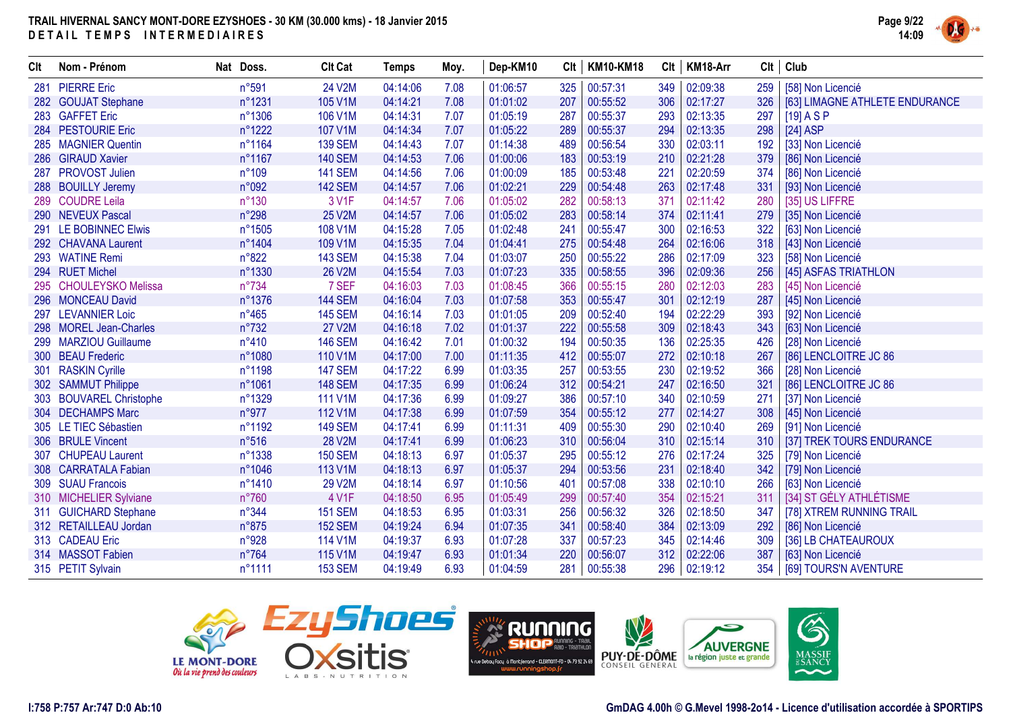

| Clt | Nom - Prénom            | Nat Doss.      | <b>Clt Cat</b> | <b>Temps</b> | Moy. | Dep-KM10 | Clt | <b>KM10-KM18</b> |     | Clt   KM18-Arr | Clt | Club                           |
|-----|-------------------------|----------------|----------------|--------------|------|----------|-----|------------------|-----|----------------|-----|--------------------------------|
| 281 | <b>PIERRE Eric</b>      | n°591          | 24 V2M         | 04:14:06     | 7.08 | 01:06:57 | 325 | 00:57:31         | 349 | 02:09:38       | 259 | [58] Non Licencié              |
|     | 282 GOUJAT Stephane     | n°1231         | 105 V1M        | 04:14:21     | 7.08 | 01:01:02 | 207 | 00:55:52         | 306 | 02:17:27       | 326 | [63] LIMAGNE ATHLETE ENDURANCE |
|     | 283 GAFFET Eric         | n°1306         | 106 V1M        | 04:14:31     | 7.07 | 01:05:19 | 287 | 00:55:37         | 293 | 02:13:35       | 297 | $[19]$ A S P                   |
|     | 284 PESTOURIE Eric      | n°1222         | 107 V1M        | 04:14:34     | 7.07 | 01:05:22 | 289 | 00:55:37         | 294 | 02:13:35       | 298 | $[24]$ ASP                     |
|     | 285 MAGNIER Quentin     | n°1164         | <b>139 SEM</b> | 04:14:43     | 7.07 | 01:14:38 | 489 | 00:56:54         | 330 | 02:03:11       | 192 | [33] Non Licencié              |
|     | 286 GIRAUD Xavier       | n°1167         | <b>140 SEM</b> | 04:14:53     | 7.06 | 01:00:06 | 183 | 00:53:19         | 210 | 02:21:28       | 379 | [86] Non Licencié              |
|     | 287 PROVOST Julien      | n°109          | <b>141 SEM</b> | 04:14:56     | 7.06 | 01:00:09 | 185 | 00:53:48         | 221 | 02:20:59       | 374 | [86] Non Licencié              |
|     | 288 BOUILLY Jeremy      | n°092          | <b>142 SEM</b> | 04:14:57     | 7.06 | 01:02:21 | 229 | 00:54:48         | 263 | 02:17:48       | 331 | [93] Non Licencié              |
|     | 289 COUDRE Leila        | $n^{\circ}130$ | 3 V1F          | 04:14:57     | 7.06 | 01:05:02 | 282 | 00:58:13         | 371 | 02:11:42       | 280 | [35] US LIFFRE                 |
|     | 290 NEVEUX Pascal       | n°298          | 25 V2M         | 04:14:57     | 7.06 | 01:05:02 | 283 | 00:58:14         | 374 | 02:11:41       | 279 | [35] Non Licencié              |
| 291 | LE BOBINNEC Elwis       | n°1505         | 108 V1M        | 04:15:28     | 7.05 | 01:02:48 | 241 | 00:55:47         | 300 | 02:16:53       | 322 | [63] Non Licencié              |
|     | 292 CHAVANA Laurent     | n°1404         | 109 V1M        | 04:15:35     | 7.04 | 01:04:41 | 275 | 00:54:48         | 264 | 02:16:06       | 318 | [43] Non Licencié              |
|     | 293 WATINE Remi         | n°822          | <b>143 SEM</b> | 04:15:38     | 7.04 | 01:03:07 | 250 | 00:55:22         | 286 | 02:17:09       | 323 | [58] Non Licencié              |
|     | 294 RUET Michel         | n°1330         | <b>26 V2M</b>  | 04:15:54     | 7.03 | 01:07:23 | 335 | 00:58:55         | 396 | 02:09:36       | 256 | [45] ASFAS TRIATHLON           |
|     | 295 CHOULEYSKO Melissa  | n°734          | 7 SEF          | 04:16:03     | 7.03 | 01:08:45 | 366 | 00:55:15         | 280 | 02:12:03       | 283 | [45] Non Licencié              |
|     | 296 MONCEAU David       | n°1376         | <b>144 SEM</b> | 04:16:04     | 7.03 | 01:07:58 | 353 | 00:55:47         | 301 | 02:12:19       | 287 | [45] Non Licencié              |
| 297 | <b>LEVANNIER Loic</b>   | $n^{\circ}465$ | <b>145 SEM</b> | 04:16:14     | 7.03 | 01:01:05 | 209 | 00:52:40         | 194 | 02:22:29       | 393 | [92] Non Licencié              |
|     | 298 MOREL Jean-Charles  | n°732          | <b>27 V2M</b>  | 04:16:18     | 7.02 | 01:01:37 | 222 | 00:55:58         | 309 | 02:18:43       | 343 | [63] Non Licencié              |
|     | 299 MARZIOU Guillaume   | $n^{\circ}410$ | <b>146 SEM</b> | 04:16:42     | 7.01 | 01:00:32 | 194 | 00:50:35         | 136 | 02:25:35       | 426 | [28] Non Licencié              |
|     | 300 BEAU Frederic       | n°1080         | 110 V1M        | 04:17:00     | 7.00 | 01:11:35 | 412 | 00:55:07         | 272 | 02:10:18       | 267 | [86] LENCLOITRE JC 86          |
| 301 | <b>RASKIN Cyrille</b>   | n°1198         | <b>147 SEM</b> | 04:17:22     | 6.99 | 01:03:35 | 257 | 00:53:55         | 230 | 02:19:52       | 366 | [28] Non Licencié              |
|     | 302 SAMMUT Philippe     | n°1061         | <b>148 SEM</b> | 04:17:35     | 6.99 | 01:06:24 | 312 | 00:54:21         | 247 | 02:16:50       | 321 | [86] LENCLOITRE JC 86          |
|     | 303 BOUVAREL Christophe | n°1329         | 111 V1M        | 04:17:36     | 6.99 | 01:09:27 | 386 | 00:57:10         | 340 | 02:10:59       | 271 | [37] Non Licencié              |
|     | 304 DECHAMPS Marc       | n°977          | 112 V1M        | 04:17:38     | 6.99 | 01:07:59 | 354 | 00:55:12         | 277 | 02:14:27       | 308 | [45] Non Licencié              |
|     | 305 LE TIEC Sébastien   | n°1192         | <b>149 SEM</b> | 04:17:41     | 6.99 | 01:11:31 | 409 | 00:55:30         | 290 | 02:10:40       | 269 | [91] Non Licencié              |
|     | 306 BRULE Vincent       | n°516          | <b>28 V2M</b>  | 04:17:41     | 6.99 | 01:06:23 | 310 | 00:56:04         | 310 | 02:15:14       | 310 | [37] TREK TOURS ENDURANCE      |
| 307 | <b>CHUPEAU Laurent</b>  | n°1338         | <b>150 SEM</b> | 04:18:13     | 6.97 | 01:05:37 | 295 | 00:55:12         | 276 | 02:17:24       | 325 | [79] Non Licencié              |
|     | 308 CARRATALA Fabian    | n°1046         | 113 V1M        | 04:18:13     | 6.97 | 01:05:37 | 294 | 00:53:56         | 231 | 02:18:40       | 342 | [79] Non Licencié              |
|     | 309 SUAU Francois       | n°1410         | 29 V2M         | 04:18:14     | 6.97 | 01:10:56 | 401 | 00:57:08         | 338 | 02:10:10       | 266 | [63] Non Licencié              |
|     | 310 MICHELIER Sylviane  | n°760          | 4 V1F          | 04:18:50     | 6.95 | 01:05:49 | 299 | 00:57:40         | 354 | 02:15:21       | 311 | [34] ST GÉLY ATHLÉTISME        |
|     | 311 GUICHARD Stephane   | $n^{\circ}344$ | <b>151 SEM</b> | 04:18:53     | 6.95 | 01:03:31 | 256 | 00:56:32         | 326 | 02:18:50       | 347 | [78] XTREM RUNNING TRAIL       |
|     | 312 RETAILLEAU Jordan   | n°875          | <b>152 SEM</b> | 04:19:24     | 6.94 | 01:07:35 | 341 | 00:58:40         | 384 | 02:13:09       | 292 | [86] Non Licencié              |
|     | 313 CADEAU Eric         | n°928          | 114 V1M        | 04:19:37     | 6.93 | 01:07:28 | 337 | 00:57:23         | 345 | 02:14:46       | 309 | [36] LB CHATEAUROUX            |
|     | 314 MASSOT Fabien       | $n^{\circ}764$ | 115 V1M        | 04:19:47     | 6.93 | 01:01:34 | 220 | 00:56:07         | 312 | 02:22:06       | 387 | [63] Non Licencié              |
|     | 315 PETIT Sylvain       | n°1111         | <b>153 SEM</b> | 04:19:49     | 6.93 | 01:04:59 | 281 | 00:55:38         | 296 | 02:19:12       | 354 | [69] TOURS'N AVENTURE          |





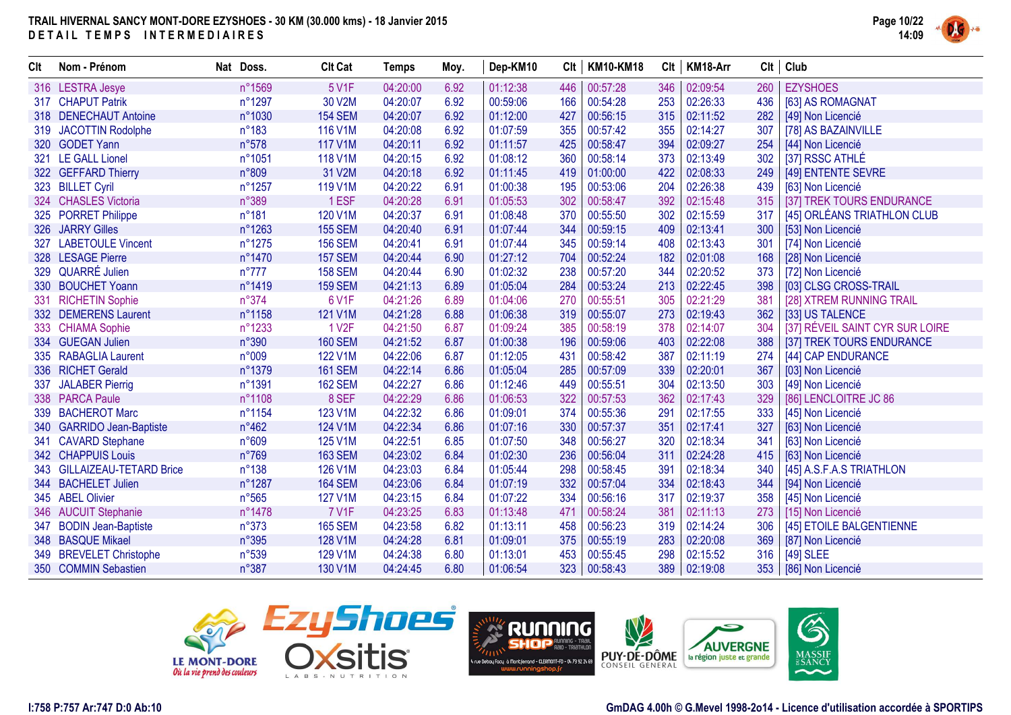

| Clt | Nom - Prénom                | Nat Doss.      | <b>Clt Cat</b>     | <b>Temps</b> | Moy. | Dep-KM10 | Clt | <b>KM10-KM18</b> | Clt | KM18-Arr | Clt | Club                            |
|-----|-----------------------------|----------------|--------------------|--------------|------|----------|-----|------------------|-----|----------|-----|---------------------------------|
|     | 316 LESTRA Jesye            | n°1569         | 5 V1F              | 04:20:00     | 6.92 | 01:12:38 | 446 | 00:57:28         | 346 | 02:09:54 | 260 | <b>EZYSHOES</b>                 |
|     | 317 CHAPUT Patrik           | n°1297         | 30 V2M             | 04:20:07     | 6.92 | 00:59:06 | 166 | 00:54:28         | 253 | 02:26:33 | 436 | [63] AS ROMAGNAT                |
|     | 318 DENECHAUT Antoine       | n°1030         | <b>154 SEM</b>     | 04:20:07     | 6.92 | 01:12:00 | 427 | 00:56:15         | 315 | 02:11:52 | 282 | [49] Non Licencié               |
| 319 | <b>JACOTTIN Rodolphe</b>    | n°183          | 116 V1M            | 04:20:08     | 6.92 | 01:07:59 | 355 | 00:57:42         | 355 | 02:14:27 | 307 | [78] AS BAZAINVILLE             |
|     | 320 GODET Yann              | n°578          | 117 V1M            | 04:20:11     | 6.92 | 01:11:57 | 425 | 00:58:47         | 394 | 02:09:27 | 254 | [44] Non Licencié               |
| 321 | <b>LE GALL Lionel</b>       | n°1051         | 118 V1M            | 04:20:15     | 6.92 | 01:08:12 | 360 | 00:58:14         | 373 | 02:13:49 | 302 | [37] RSSC ATHLÉ                 |
|     | 322 GEFFARD Thierry         | n°809          | 31 V2M             | 04:20:18     | 6.92 | 01:11:45 | 419 | 01:00:00         | 422 | 02:08:33 | 249 | [49] ENTENTE SEVRE              |
|     | 323 BILLET Cyril            | n°1257         | 119 V1M            | 04:20:22     | 6.91 | 01:00:38 | 195 | 00:53:06         | 204 | 02:26:38 | 439 | [63] Non Licencié               |
|     | 324 CHASLES Victoria        | n°389          | 1 ESF              | 04:20:28     | 6.91 | 01:05:53 | 302 | 00:58:47         | 392 | 02:15:48 | 315 | [37] TREK TOURS ENDURANCE       |
| 325 | <b>PORRET Philippe</b>      | n°181          | 120 V1M            | 04:20:37     | 6.91 | 01:08:48 | 370 | 00:55:50         | 302 | 02:15:59 | 317 | [45] ORLÉANS TRIATHLON CLUB     |
|     | 326 JARRY Gilles            | n°1263         | <b>155 SEM</b>     | 04:20:40     | 6.91 | 01:07:44 | 344 | 00:59:15         | 409 | 02:13:41 | 300 | [53] Non Licencié               |
| 327 | <b>LABETOULE Vincent</b>    | n°1275         | <b>156 SEM</b>     | 04:20:41     | 6.91 | 01:07:44 | 345 | 00:59:14         | 408 | 02:13:43 | 301 | [74] Non Licencié               |
|     | 328 LESAGE Pierre           | n°1470         | <b>157 SEM</b>     | 04:20:44     | 6.90 | 01:27:12 | 704 | 00:52:24         | 182 | 02:01:08 | 168 | [28] Non Licencié               |
|     | 329 QUARRÉ Julien           | $n^{\circ}777$ | <b>158 SEM</b>     | 04:20:44     | 6.90 | 01:02:32 | 238 | 00:57:20         | 344 | 02:20:52 | 373 | [72] Non Licencié               |
|     | 330 BOUCHET Yoann           | n°1419         | <b>159 SEM</b>     | 04:21:13     | 6.89 | 01:05:04 | 284 | 00:53:24         | 213 | 02:22:45 | 398 | [03] CLSG CROSS-TRAIL           |
| 331 | <b>RICHETIN Sophie</b>      | n°374          | <b>6 V1F</b>       | 04:21:26     | 6.89 | 01:04:06 | 270 | 00:55:51         | 305 | 02:21:29 | 381 | [28] XTREM RUNNING TRAIL        |
|     | 332 DEMERENS Laurent        | n°1158         | 121 V1M            | 04:21:28     | 6.88 | 01:06:38 | 319 | 00:55:07         | 273 | 02:19:43 | 362 | [33] US TALENCE                 |
| 333 | <b>CHIAMA Sophie</b>        | n°1233         | 1 V <sub>2</sub> F | 04:21:50     | 6.87 | 01:09:24 | 385 | 00:58:19         | 378 | 02:14:07 | 304 | [37] RÉVEIL SAINT CYR SUR LOIRE |
|     | 334 GUEGAN Julien           | n°390          | <b>160 SEM</b>     | 04:21:52     | 6.87 | 01:00:38 | 196 | 00:59:06         | 403 | 02:22:08 | 388 | [37] TREK TOURS ENDURANCE       |
| 335 | <b>RABAGLIA Laurent</b>     | n°009          | 122 V1M            | 04:22:06     | 6.87 | 01:12:05 | 431 | 00:58:42         | 387 | 02:11:19 | 274 | [44] CAP ENDURANCE              |
|     | 336 RICHET Gerald           | n°1379         | <b>161 SEM</b>     | 04:22:14     | 6.86 | 01:05:04 | 285 | 00:57:09         | 339 | 02:20:01 | 367 | [03] Non Licencié               |
| 337 | <b>JALABER Pierrig</b>      | n°1391         | <b>162 SEM</b>     | 04:22:27     | 6.86 | 01:12:46 | 449 | 00:55:51         | 304 | 02:13:50 | 303 | [49] Non Licencié               |
|     | 338 PARCA Paule             | n°1108         | 8 SEF              | 04:22:29     | 6.86 | 01:06:53 | 322 | 00:57:53         | 362 | 02:17:43 | 329 | [86] LENCLOITRE JC 86           |
|     | 339 BACHEROT Marc           | n°1154         | 123 V1M            | 04:22:32     | 6.86 | 01:09:01 | 374 | 00:55:36         | 291 | 02:17:55 | 333 | [45] Non Licencié               |
|     | 340 GARRIDO Jean-Baptiste   | $n^{\circ}462$ | 124 V1M            | 04:22:34     | 6.86 | 01:07:16 | 330 | 00:57:37         | 351 | 02:17:41 | 327 | [63] Non Licencié               |
| 341 | <b>CAVARD Stephane</b>      | n°609          | 125 V1M            | 04:22:51     | 6.85 | 01:07:50 | 348 | 00:56:27         | 320 | 02:18:34 | 341 | [63] Non Licencié               |
|     | 342 CHAPPUIS Louis          | n°769          | <b>163 SEM</b>     | 04:23:02     | 6.84 | 01:02:30 | 236 | 00:56:04         | 311 | 02:24:28 | 415 | [63] Non Licencié               |
|     | 343 GILLAIZEAU-TETARD Brice | $n^{\circ}138$ | 126 V1M            | 04:23:03     | 6.84 | 01:05:44 | 298 | 00:58:45         | 391 | 02:18:34 | 340 | [45] A.S.F.A.S TRIATHLON        |
|     | 344 BACHELET Julien         | n°1287         | <b>164 SEM</b>     | 04:23:06     | 6.84 | 01:07:19 | 332 | 00:57:04         | 334 | 02:18:43 | 344 | [94] Non Licencié               |
|     | 345 ABEL Olivier            | n°565          | 127 V1M            | 04:23:15     | 6.84 | 01:07:22 | 334 | 00:56:16         | 317 | 02:19:37 | 358 | [45] Non Licencié               |
|     | 346 AUCUIT Stephanie        | n°1478         | <b>7 V1F</b>       | 04:23:25     | 6.83 | 01:13:48 | 471 | 00:58:24         | 381 | 02:11:13 | 273 | [15] Non Licencié               |
| 347 | <b>BODIN Jean-Baptiste</b>  | n°373          | <b>165 SEM</b>     | 04:23:58     | 6.82 | 01:13:11 | 458 | 00:56:23         | 319 | 02:14:24 | 306 | [45] ETOILE BALGENTIENNE        |
|     | 348 BASQUE Mikael           | n°395          | 128 V1M            | 04:24:28     | 6.81 | 01:09:01 | 375 | 00:55:19         | 283 | 02:20:08 | 369 | [87] Non Licencié               |
| 349 | <b>BREVELET Christophe</b>  | n°539          | 129 V1M            | 04:24:38     | 6.80 | 01:13:01 | 453 | 00:55:45         | 298 | 02:15:52 | 316 | [49] SLEE                       |
|     | 350 COMMIN Sebastien        | n°387          | 130 V1M            | 04:24:45     | 6.80 | 01:06:54 | 323 | 00:58:43         | 389 | 02:19:08 |     | 353   [86] Non Licencié         |





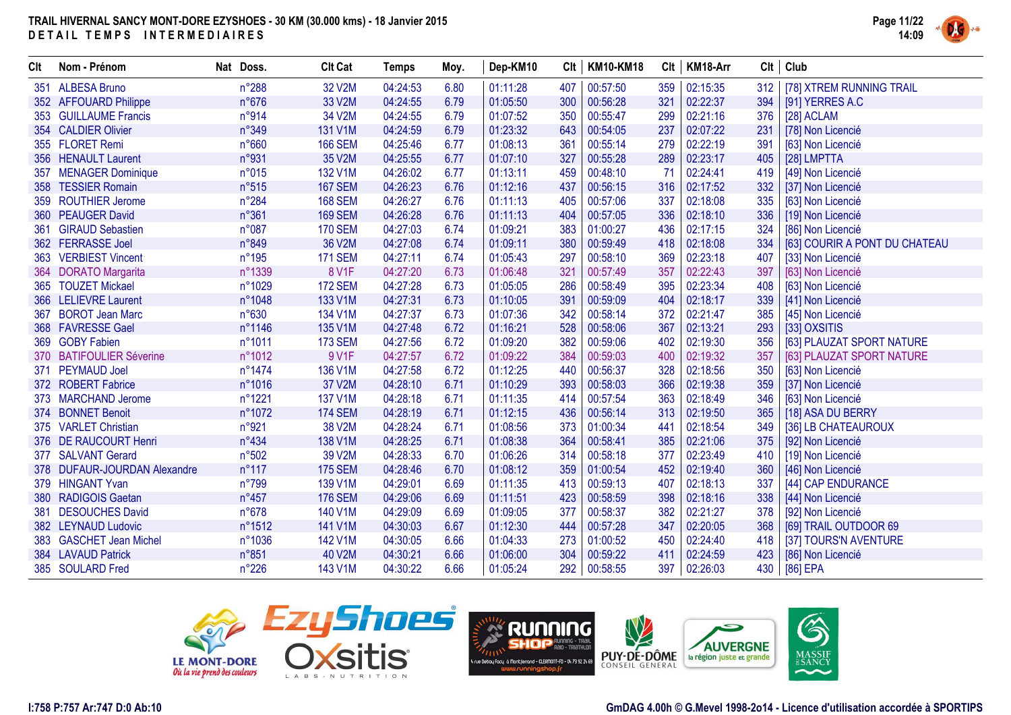

| Clt | Nom - Prénom                 | Nat Doss.      | <b>Clt Cat</b> | <b>Temps</b> | Moy. | Dep-KM10 | Clt | <b>KM10-KM18</b> |     | $Clt$   KM18-Arr | Clt | Club                          |
|-----|------------------------------|----------------|----------------|--------------|------|----------|-----|------------------|-----|------------------|-----|-------------------------------|
| 351 | <b>ALBESA Bruno</b>          | n°288          | 32 V2M         | 04:24:53     | 6.80 | 01:11:28 | 407 | 00:57:50         | 359 | 02:15:35         | 312 | [78] XTREM RUNNING TRAIL      |
|     | 352 AFFOUARD Philippe        | $n^{\circ}676$ | 33 V2M         | 04:24:55     | 6.79 | 01:05:50 | 300 | 00:56:28         | 321 | 02:22:37         | 394 | [91] YERRES A.C               |
|     | 353 GUILLAUME Francis        | n°914          | 34 V2M         | 04:24:55     | 6.79 | 01:07:52 | 350 | 00:55:47         | 299 | 02:21:16         | 376 | [28] ACLAM                    |
|     | 354 CALDIER Olivier          | n°349          | 131 V1M        | 04:24:59     | 6.79 | 01:23:32 | 643 | 00:54:05         | 237 | 02:07:22         | 231 | [78] Non Licencié             |
|     | 355 FLORET Remi              | n°660          | <b>166 SEM</b> | 04:25:46     | 6.77 | 01:08:13 | 361 | 00:55:14         | 279 | 02:22:19         | 391 | [63] Non Licencié             |
|     | 356 HENAULT Laurent          | n°931          | 35 V2M         | 04:25:55     | 6.77 | 01:07:10 | 327 | 00:55:28         | 289 | 02:23:17         | 405 | [28] LMPTTA                   |
| 357 | <b>MENAGER Dominique</b>     | n°015          | 132 V1M        | 04:26:02     | 6.77 | 01:13:11 | 459 | 00:48:10         | -71 | 02:24:41         | 419 | [49] Non Licencié             |
|     | 358 TESSIER Romain           | n°515          | <b>167 SEM</b> | 04:26:23     | 6.76 | 01:12:16 | 437 | 00:56:15         | 316 | 02:17:52         | 332 | [37] Non Licencié             |
| 359 | <b>ROUTHIER Jerome</b>       | n°284          | <b>168 SEM</b> | 04:26:27     | 6.76 | 01:11:13 | 405 | 00:57:06         | 337 | 02:18:08         | 335 | [63] Non Licencié             |
|     | 360 PEAUGER David            | n°361          | <b>169 SEM</b> | 04:26:28     | 6.76 | 01:11:13 | 404 | 00:57:05         | 336 | 02:18:10         | 336 | [19] Non Licencié             |
| 361 | <b>GIRAUD Sebastien</b>      | n°087          | <b>170 SEM</b> | 04:27:03     | 6.74 | 01:09:21 | 383 | 01:00:27         | 436 | 02:17:15         | 324 | [86] Non Licencié             |
|     | 362 FERRASSE Joel            | n°849          | 36 V2M         | 04:27:08     | 6.74 | 01:09:11 | 380 | 00:59:49         | 418 | 02:18:08         | 334 | [63] COURIR A PONT DU CHATEAU |
|     | 363 VERBIEST Vincent         | n°195          | <b>171 SEM</b> | 04:27:11     | 6.74 | 01:05:43 | 297 | 00:58:10         | 369 | 02:23:18         | 407 | [33] Non Licencié             |
|     | 364 DORATO Margarita         | n°1339         | <b>8 V1F</b>   | 04:27:20     | 6.73 | 01:06:48 | 321 | 00:57:49         | 357 | 02:22:43         | 397 | [63] Non Licencié             |
|     | 365 TOUZET Mickael           | n°1029         | <b>172 SEM</b> | 04:27:28     | 6.73 | 01:05:05 | 286 | 00:58:49         | 395 | 02:23:34         | 408 | [63] Non Licencié             |
|     | 366 LELIEVRE Laurent         | n°1048         | 133 V1M        | 04:27:31     | 6.73 | 01:10:05 | 391 | 00:59:09         | 404 | 02:18:17         | 339 | [41] Non Licencié             |
| 367 | <b>BOROT Jean Marc</b>       | n°630          | 134 V1M        | 04:27:37     | 6.73 | 01:07:36 | 342 | 00:58:14         | 372 | 02:21:47         | 385 | [45] Non Licencié             |
|     | 368 FAVRESSE Gael            | n°1146         | 135 V1M        | 04:27:48     | 6.72 | 01:16:21 | 528 | 00:58:06         | 367 | 02:13:21         | 293 | [33] OXSITIS                  |
|     | 369 GOBY Fabien              | n°1011         | <b>173 SEM</b> | 04:27:56     | 6.72 | 01:09:20 | 382 | 00:59:06         | 402 | 02:19:30         | 356 | [63] PLAUZAT SPORT NATURE     |
|     | 370 BATIFOULIER Séverine     | n°1012         | 9 V1F          | 04:27:57     | 6.72 | 01:09:22 | 384 | 00:59:03         | 400 | 02:19:32         | 357 | [63] PLAUZAT SPORT NATURE     |
| 371 | <b>PEYMAUD Joel</b>          | n°1474         | 136 V1M        | 04:27:58     | 6.72 | 01:12:25 | 440 | 00:56:37         | 328 | 02:18:56         | 350 | [63] Non Licencié             |
|     | 372 ROBERT Fabrice           | n°1016         | 37 V2M         | 04:28:10     | 6.71 | 01:10:29 | 393 | 00:58:03         | 366 | 02:19:38         | 359 | [37] Non Licencié             |
|     | 373 MARCHAND Jerome          | n°1221         | 137 V1M        | 04:28:18     | 6.71 | 01:11:35 | 414 | 00:57:54         | 363 | 02:18:49         | 346 | [63] Non Licencié             |
|     | 374 BONNET Benoit            | n°1072         | <b>174 SEM</b> | 04:28:19     | 6.71 | 01:12:15 | 436 | 00:56:14         | 313 | 02:19:50         | 365 | [18] ASA DU BERRY             |
|     | 375 VARLET Christian         | n°921          | 38 V2M         | 04:28:24     | 6.71 | 01:08:56 | 373 | 01:00:34         | 441 | 02:18:54         | 349 | [36] LB CHATEAUROUX           |
|     | 376 DE RAUCOURT Henri        | n°434          | 138 V1M        | 04:28:25     | 6.71 | 01:08:38 | 364 | 00:58:41         | 385 | 02:21:06         | 375 | [92] Non Licencié             |
|     | 377 SALVANT Gerard           | n°502          | 39 V2M         | 04:28:33     | 6.70 | 01:06:26 | 314 | 00:58:18         | 377 | 02:23:49         | 410 | [19] Non Licencié             |
|     | 378 DUFAUR-JOURDAN Alexandre | $n^{\circ}117$ | <b>175 SEM</b> | 04:28:46     | 6.70 | 01:08:12 | 359 | 01:00:54         | 452 | 02:19:40         | 360 | [46] Non Licencié             |
|     | 379 HINGANT Yvan             | n°799          | 139 V1M        | 04:29:01     | 6.69 | 01:11:35 | 413 | 00:59:13         | 407 | 02:18:13         | 337 | [44] CAP ENDURANCE            |
| 380 | <b>RADIGOIS Gaetan</b>       | $n^{\circ}457$ | <b>176 SEM</b> | 04:29:06     | 6.69 | 01:11:51 | 423 | 00:58:59         | 398 | 02:18:16         | 338 | [44] Non Licencié             |
| 381 | <b>DESOUCHES David</b>       | $n^{\circ}678$ | 140 V1M        | 04:29:09     | 6.69 | 01:09:05 | 377 | 00:58:37         | 382 | 02:21:27         | 378 | [92] Non Licencié             |
|     | 382 LEYNAUD Ludovic          | n°1512         | 141 V1M        | 04:30:03     | 6.67 | 01:12:30 | 444 | 00:57:28         | 347 | 02:20:05         | 368 | [69] TRAIL OUTDOOR 69         |
|     | 383 GASCHET Jean Michel      | n°1036         | 142 V1M        | 04:30:05     | 6.66 | 01:04:33 | 273 | 01:00:52         | 450 | 02:24:40         | 418 | [37] TOURS'N AVENTURE         |
|     | 384 LAVAUD Patrick           | n°851          | 40 V2M         | 04:30:21     | 6.66 | 01:06:00 | 304 | 00:59:22         | 411 | 02:24:59         | 423 | [86] Non Licencié             |
|     | 385 SOULARD Fred             | $n^{\circ}226$ | 143 V1M        | 04:30:22     | 6.66 | 01:05:24 | 292 | 00:58:55         | 397 | 02:26:03         | 430 | [86] EPA                      |





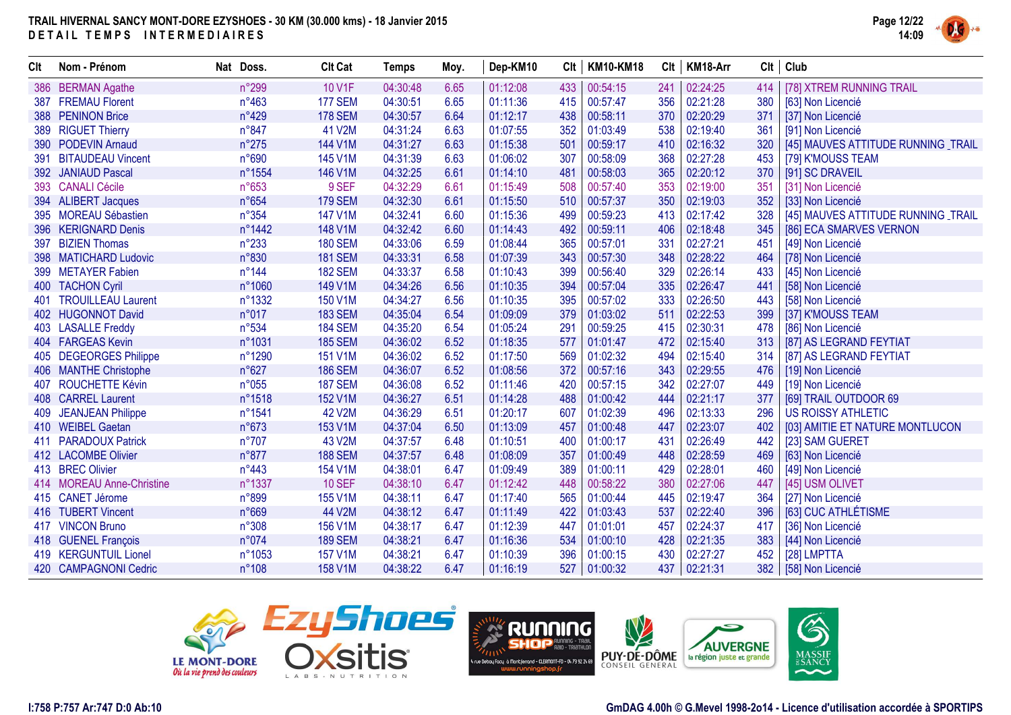

| Clt        | Nom - Prénom              | Nat Doss.       | <b>Clt Cat</b> | <b>Temps</b> | Moy. | Dep-KM10 | Clt | <b>KM10-KM18</b> |     | Clt   KM18-Arr | Clt | Club                                |
|------------|---------------------------|-----------------|----------------|--------------|------|----------|-----|------------------|-----|----------------|-----|-------------------------------------|
| 386        | <b>BERMAN Agathe</b>      | n°299           | 10 V1F         | 04:30:48     | 6.65 | 01:12:08 | 433 | 00:54:15         | 241 | 02:24:25       | 414 | [78] XTREM RUNNING TRAIL            |
| 387        | <b>FREMAU Florent</b>     | $n^{\circ}463$  | <b>177 SEM</b> | 04:30:51     | 6.65 | 01:11:36 | 415 | 00:57:47         | 356 | 02:21:28       | 380 | [63] Non Licencié                   |
|            | 388 PENINON Brice         | n°429           | <b>178 SEM</b> | 04:30:57     | 6.64 | 01:12:17 | 438 | 00:58:11         | 370 | 02:20:29       | 371 | [37] Non Licencié                   |
|            | 389 RIGUET Thierry        | n°847           | 41 V2M         | 04:31:24     | 6.63 | 01:07:55 | 352 | 01:03:49         | 538 | 02:19:40       | 361 | [91] Non Licencié                   |
| <b>390</b> | <b>PODEVIN Arnaud</b>     | $n^{\circ}275$  | 144 V1M        | 04:31:27     | 6.63 | 01:15:38 | 501 | 00:59:17         | 410 | 02:16:32       | 320 | [45] MAUVES ATTITUDE RUNNING TRAIL  |
| 391        | <b>BITAUDEAU Vincent</b>  | n°690           | 145 V1M        | 04:31:39     | 6.63 | 01:06:02 | 307 | 00:58:09         | 368 | 02:27:28       | 453 | [79] K'MOUSS TEAM                   |
|            | 392 JANIAUD Pascal        | n°1554          | 146 V1M        | 04:32:25     | 6.61 | 01:14:10 | 481 | 00:58:03         | 365 | 02:20:12       | 370 | [91] SC DRAVEIL                     |
|            | 393 CANALI Cécile         | n°653           | 9 SEF          | 04:32:29     | 6.61 | 01:15:49 | 508 | 00:57:40         | 353 | 02:19:00       | 351 | [31] Non Licencié                   |
|            | 394 ALIBERT Jacques       | n°654           | <b>179 SEM</b> | 04:32:30     | 6.61 | 01:15:50 | 510 | 00:57:37         | 350 | 02:19:03       | 352 | [33] Non Licencié                   |
|            | 395 MOREAU Sébastien      | $n^{\circ}354$  | 147 V1M        | 04:32:41     | 6.60 | 01:15:36 | 499 | 00:59:23         | 413 | 02:17:42       | 328 | [45] MAUVES ATTITUDE RUNNING _TRAIL |
| 396        | <b>KERIGNARD Denis</b>    | n°1442          | 148 V1M        | 04:32:42     | 6.60 | 01:14:43 | 492 | 00:59:11         | 406 | 02:18:48       | 345 | [86] ECA SMARVES VERNON             |
| 397        | <b>BIZIEN Thomas</b>      | $n^{\circ}233$  | <b>180 SEM</b> | 04:33:06     | 6.59 | 01:08:44 | 365 | 00:57:01         | 331 | 02:27:21       | 451 | [49] Non Licencié                   |
|            | 398 MATICHARD Ludovic     | n°830           | <b>181 SEM</b> | 04:33:31     | 6.58 | 01:07:39 | 343 | 00:57:30         | 348 | 02:28:22       | 464 | [78] Non Licencié                   |
| 399        | <b>METAYER Fabien</b>     | $n^{\circ}$ 144 | <b>182 SEM</b> | 04:33:37     | 6.58 | 01:10:43 | 399 | 00:56:40         | 329 | 02:26:14       | 433 | [45] Non Licencié                   |
|            | 400 TACHON Cyril          | n°1060          | 149 V1M        | 04:34:26     | 6.56 | 01:10:35 | 394 | 00:57:04         | 335 | 02:26:47       | 441 | [58] Non Licencié                   |
| 401        | <b>TROUILLEAU Laurent</b> | n°1332          | 150 V1M        | 04:34:27     | 6.56 | 01:10:35 | 395 | 00:57:02         | 333 | 02:26:50       | 443 | [58] Non Licencié                   |
|            | 402 HUGONNOT David        | n°017           | <b>183 SEM</b> | 04:35:04     | 6.54 | 01:09:09 | 379 | 01:03:02         | 511 | 02:22:53       | 399 | [37] K'MOUSS TEAM                   |
|            | 403 LASALLE Freddy        | n°534           | <b>184 SEM</b> | 04:35:20     | 6.54 | 01:05:24 | 291 | 00:59:25         | 415 | 02:30:31       | 478 | [86] Non Licencié                   |
|            | 404 FARGEAS Kevin         | n°1031          | <b>185 SEM</b> | 04:36:02     | 6.52 | 01:18:35 | 577 | 01:01:47         | 472 | 02:15:40       | 313 | [87] AS LEGRAND FEYTIAT             |
|            | 405 DEGEORGES Philippe    | n°1290          | 151 V1M        | 04:36:02     | 6.52 | 01:17:50 | 569 | 01:02:32         | 494 | 02:15:40       | 314 | [87] AS LEGRAND FEYTIAT             |
|            | 406 MANTHE Christophe     | n°627           | <b>186 SEM</b> | 04:36:07     | 6.52 | 01:08:56 | 372 | 00:57:16         | 343 | 02:29:55       | 476 | [19] Non Licencié                   |
| 407        | <b>ROUCHETTE Kévin</b>    | n°055           | <b>187 SEM</b> | 04:36:08     | 6.52 | 01:11:46 | 420 | 00:57:15         | 342 | 02:27:07       | 449 | [19] Non Licencié                   |
|            | 408 CARREL Laurent        | n°1518          | 152 V1M        | 04:36:27     | 6.51 | 01:14:28 | 488 | 01:00:42         | 444 | 02:21:17       | 377 | [69] TRAIL OUTDOOR 69               |
| 409        | <b>JEANJEAN Philippe</b>  | n°1541          | 42 V2M         | 04:36:29     | 6.51 | 01:20:17 | 607 | 01:02:39         | 496 | 02:13:33       | 296 | <b>US ROISSY ATHLETIC</b>           |
|            | 410 WEIBEL Gaetan         | n°673           | 153 V1M        | 04:37:04     | 6.50 | 01:13:09 | 457 | 01:00:48         | 447 | 02:23:07       | 402 | [03] AMITIE ET NATURE MONTLUCON     |
|            | 411 PARADOUX Patrick      | $n^{\circ}707$  | 43 V2M         | 04:37:57     | 6.48 | 01:10:51 | 400 | 01:00:17         | 431 | 02:26:49       | 442 | [23] SAM GUERET                     |
|            | 412 LACOMBE Olivier       | n°877           | <b>188 SEM</b> | 04:37:57     | 6.48 | 01:08:09 | 357 | 01:00:49         | 448 | 02:28:59       | 469 | [63] Non Licencié                   |
|            | 413 BREC Olivier          | $n^{\circ}443$  | 154 V1M        | 04:38:01     | 6.47 | 01:09:49 | 389 | 01:00:11         | 429 | 02:28:01       | 460 | [49] Non Licencié                   |
|            | 414 MOREAU Anne-Christine | n°1337          | <b>10 SEF</b>  | 04:38:10     | 6.47 | 01:12:42 | 448 | 00:58:22         | 380 | 02:27:06       | 447 | [45] USM OLIVET                     |
|            | 415 CANET Jérome          | n°899           | 155 V1M        | 04:38:11     | 6.47 | 01:17:40 | 565 | 01:00:44         | 445 | 02:19:47       | 364 | [27] Non Licencié                   |
|            | 416 TUBERT Vincent        | n°669           | 44 V2M         | 04:38:12     | 6.47 | 01:11:49 | 422 | 01:03:43         | 537 | 02:22:40       | 396 | [63] CUC ATHLÉTISME                 |
|            | 417 VINCON Bruno          | n°308           | 156 V1M        | 04:38:17     | 6.47 | 01:12:39 | 447 | 01:01:01         | 457 | 02:24:37       | 417 | [36] Non Licencié                   |
|            | 418 GUENEL François       | n°074           | <b>189 SEM</b> | 04:38:21     | 6.47 | 01:16:36 | 534 | 01:00:10         | 428 | 02:21:35       | 383 | [44] Non Licencié                   |
|            | 419 KERGUNTUIL Lionel     | n°1053          | 157 V1M        | 04:38:21     | 6.47 | 01:10:39 | 396 | 01:00:15         | 430 | 02:27:27       | 452 | [28] LMPTTA                         |
|            | 420 CAMPAGNONI Cedric     | $n^{\circ}108$  | 158 V1M        | 04:38:22     | 6.47 | 01:16:19 | 527 | 01:00:32         | 437 | 02:21:31       | 382 | [58] Non Licencié                   |





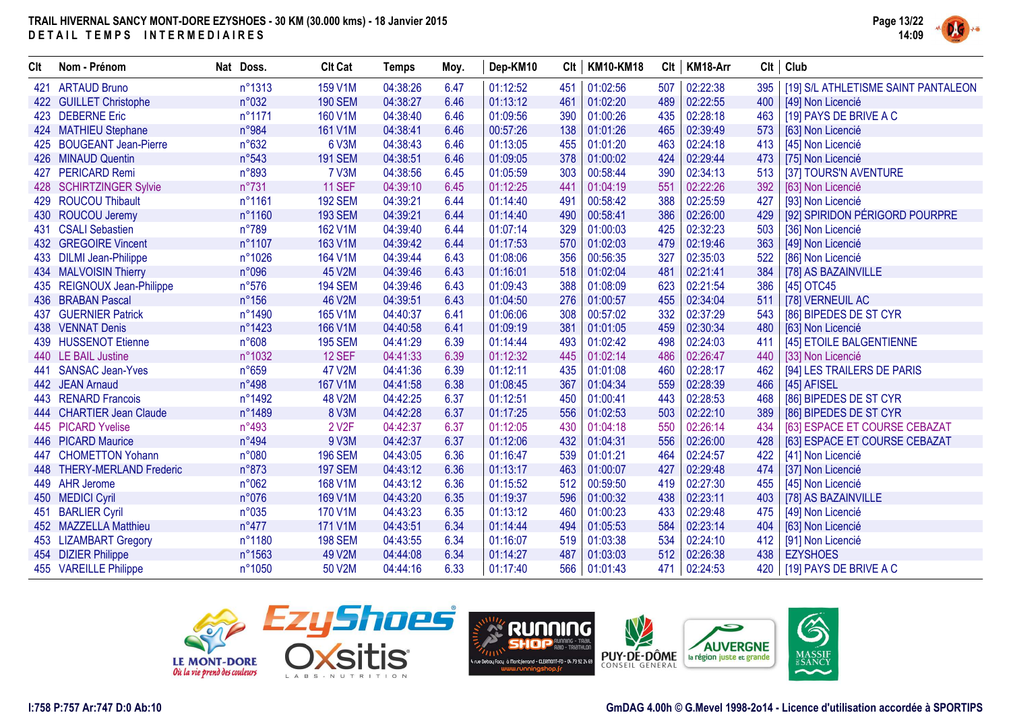

| Clt | Nom - Prénom                | Nat Doss.      | <b>Clt Cat</b>     | Temps    | Moy. | Dep-KM10 | Clt | <b>KM10-KM18</b> | Clt | KM18-Arr |     | $Clt$ Club                          |
|-----|-----------------------------|----------------|--------------------|----------|------|----------|-----|------------------|-----|----------|-----|-------------------------------------|
| 421 | <b>ARTAUD Bruno</b>         | n°1313         | 159 V1M            | 04:38:26 | 6.47 | 01:12:52 | 451 | 01:02:56         | 507 | 02:22:38 | 395 | [19] S/L ATHLETISME SAINT PANTALEON |
|     | 422 GUILLET Christophe      | n°032          | <b>190 SEM</b>     | 04:38:27 | 6.46 | 01:13:12 | 461 | 01:02:20         | 489 | 02:22:55 | 400 | [49] Non Licencié                   |
|     | 423 DEBERNE Eric            | n°1171         | 160 V1M            | 04:38:40 | 6.46 | 01:09:56 | 390 | 01:00:26         | 435 | 02:28:18 | 463 | [19] PAYS DE BRIVE A C              |
|     | 424 MATHIEU Stephane        | n°984          | 161 V1M            | 04:38:41 | 6.46 | 00:57:26 | 138 | 01:01:26         | 465 | 02:39:49 | 573 | [63] Non Licencié                   |
| 425 | <b>BOUGEANT Jean-Pierre</b> | n°632          | 6 V3M              | 04:38:43 | 6.46 | 01:13:05 | 455 | 01:01:20         | 463 | 02:24:18 | 413 | [45] Non Licencié                   |
| 426 | <b>MINAUD Quentin</b>       | n°543          | <b>191 SEM</b>     | 04:38:51 | 6.46 | 01:09:05 | 378 | 01:00:02         | 424 | 02:29:44 | 473 | [75] Non Licencié                   |
| 427 | <b>PERICARD Remi</b>        | n°893          | <b>7 V3M</b>       | 04:38:56 | 6.45 | 01:05:59 | 303 | 00:58:44         | 390 | 02:34:13 | 513 | [37] TOURS'N AVENTURE               |
|     | 428 SCHIRTZINGER Sylvie     | n°731          | <b>11 SEF</b>      | 04:39:10 | 6.45 | 01:12:25 | 441 | 01:04:19         | 551 | 02:22:26 | 392 | [63] Non Licencié                   |
|     | 429 ROUCOU Thibault         | n°1161         | <b>192 SEM</b>     | 04:39:21 | 6.44 | 01:14:40 | 491 | 00:58:42         | 388 | 02:25:59 | 427 | [93] Non Licencié                   |
|     | 430 ROUCOU Jeremy           | n°1160         | <b>193 SEM</b>     | 04:39:21 | 6.44 | 01:14:40 | 490 | 00:58:41         | 386 | 02:26:00 | 429 | [92] SPIRIDON PÉRIGORD POURPRE      |
| 431 | <b>CSALI Sebastien</b>      | n°789          | 162 V1M            | 04:39:40 | 6.44 | 01:07:14 | 329 | 01:00:03         | 425 | 02:32:23 | 503 | [36] Non Licencié                   |
|     | 432 GREGOIRE Vincent        | n°1107         | 163 V1M            | 04:39:42 | 6.44 | 01:17:53 | 570 | 01:02:03         | 479 | 02:19:46 | 363 | [49] Non Licencié                   |
|     | 433 DILMI Jean-Philippe     | n°1026         | 164 V1M            | 04:39:44 | 6.43 | 01:08:06 | 356 | 00:56:35         | 327 | 02:35:03 | 522 | [86] Non Licencié                   |
|     | 434 MALVOISIN Thierry       | n°096          | 45 V2M             | 04:39:46 | 6.43 | 01:16:01 | 518 | 01:02:04         | 481 | 02:21:41 | 384 | [78] AS BAZAINVILLE                 |
|     | 435 REIGNOUX Jean-Philippe  | $n^{\circ}576$ | <b>194 SEM</b>     | 04:39:46 | 6.43 | 01:09:43 | 388 | 01:08:09         | 623 | 02:21:54 | 386 | [45] OTC45                          |
|     | 436 BRABAN Pascal           | $n^{\circ}156$ | 46 V2M             | 04:39:51 | 6.43 | 01:04:50 | 276 | 01:00:57         | 455 | 02:34:04 | 511 | [78] VERNEUIL AC                    |
| 437 | <b>GUERNIER Patrick</b>     | n°1490         | 165 V1M            | 04:40:37 | 6.41 | 01:06:06 | 308 | 00:57:02         | 332 | 02:37:29 | 543 | [86] BIPEDES DE ST CYR              |
|     | 438 VENNAT Denis            | n°1423         | 166 V1M            | 04:40:58 | 6.41 | 01:09:19 | 381 | 01:01:05         | 459 | 02:30:34 | 480 | [63] Non Licencié                   |
| 439 | <b>HUSSENOT Etienne</b>     | n°608          | <b>195 SEM</b>     | 04:41:29 | 6.39 | 01:14:44 | 493 | 01:02:42         | 498 | 02:24:03 | 411 | [45] ETOILE BALGENTIENNE            |
|     | 440 LE BAIL Justine         | n°1032         | 12 SEF             | 04:41:33 | 6.39 | 01:12:32 | 445 | 01:02:14         | 486 | 02:26:47 | 440 | [33] Non Licencié                   |
| 441 | <b>SANSAC Jean-Yves</b>     | n°659          | 47 V2M             | 04:41:36 | 6.39 | 01:12:11 | 435 | 01:01:08         | 460 | 02:28:17 | 462 | [94] LES TRAILERS DE PARIS          |
|     | 442 JEAN Arnaud             | $n^{\circ}498$ | 167 V1M            | 04:41:58 | 6.38 | 01:08:45 | 367 | 01:04:34         | 559 | 02:28:39 | 466 | [45] AFISEL                         |
|     | 443 RENARD Francois         | n°1492         | <b>48 V2M</b>      | 04:42:25 | 6.37 | 01:12:51 | 450 | 01:00:41         | 443 | 02:28:53 | 468 | [86] BIPEDES DE ST CYR              |
|     | 444 CHARTIER Jean Claude    | n°1489         | 8 V3M              | 04:42:28 | 6.37 | 01:17:25 | 556 | 01:02:53         | 503 | 02:22:10 | 389 | [86] BIPEDES DE ST CYR              |
|     | 445 PICARD Yvelise          | $n^{\circ}493$ | 2 V <sub>2</sub> F | 04:42:37 | 6.37 | 01:12:05 | 430 | 01:04:18         | 550 | 02:26:14 | 434 | [63] ESPACE ET COURSE CEBAZAT       |
|     | 446 PICARD Maurice          | n°494          | 9 V3M              | 04:42:37 | 6.37 | 01:12:06 | 432 | 01:04:31         | 556 | 02:26:00 | 428 | [63] ESPACE ET COURSE CEBAZAT       |
| 447 | <b>CHOMETTON Yohann</b>     | n°080          | <b>196 SEM</b>     | 04:43:05 | 6.36 | 01:16:47 | 539 | 01:01:21         | 464 | 02:24:57 | 422 | [41] Non Licencié                   |
|     | 448 THERY-MERLAND Frederic  | n°873          | <b>197 SEM</b>     | 04:43:12 | 6.36 | 01:13:17 | 463 | 01:00:07         | 427 | 02:29:48 | 474 | [37] Non Licencié                   |
|     | 449 AHR Jerome              | n°062          | 168 V1M            | 04:43:12 | 6.36 | 01:15:52 | 512 | 00:59:50         | 419 | 02:27:30 | 455 | [45] Non Licencié                   |
|     | 450 MEDICI Cyril            | n°076          | 169 V1M            | 04:43:20 | 6.35 | 01:19:37 | 596 | 01:00:32         | 438 | 02:23:11 | 403 | [78] AS BAZAINVILLE                 |
| 451 | <b>BARLIER Cyril</b>        | n°035          | 170 V1M            | 04:43:23 | 6.35 | 01:13:12 | 460 | 01:00:23         | 433 | 02:29:48 | 475 | [49] Non Licencié                   |
|     | 452 MAZZELLA Matthieu       | $n^{\circ}477$ | 171 V1M            | 04:43:51 | 6.34 | 01:14:44 | 494 | 01:05:53         | 584 | 02:23:14 | 404 | [63] Non Licencié                   |
|     | 453 LIZAMBART Gregory       | n°1180         | <b>198 SEM</b>     | 04:43:55 | 6.34 | 01:16:07 | 519 | 01:03:38         | 534 | 02:24:10 | 412 | [91] Non Licencié                   |
|     | 454 DIZIER Philippe         | n°1563         | 49 V2M             | 04:44:08 | 6.34 | 01:14:27 | 487 | 01:03:03         | 512 | 02:26:38 | 438 | <b>EZYSHOES</b>                     |
|     | 455 VAREILLE Philippe       | n°1050         | 50 V2M             | 04:44:16 | 6.33 | 01:17:40 | 566 | 01:01:43         | 471 | 02:24:53 | 420 | [19] PAYS DE BRIVE A C              |





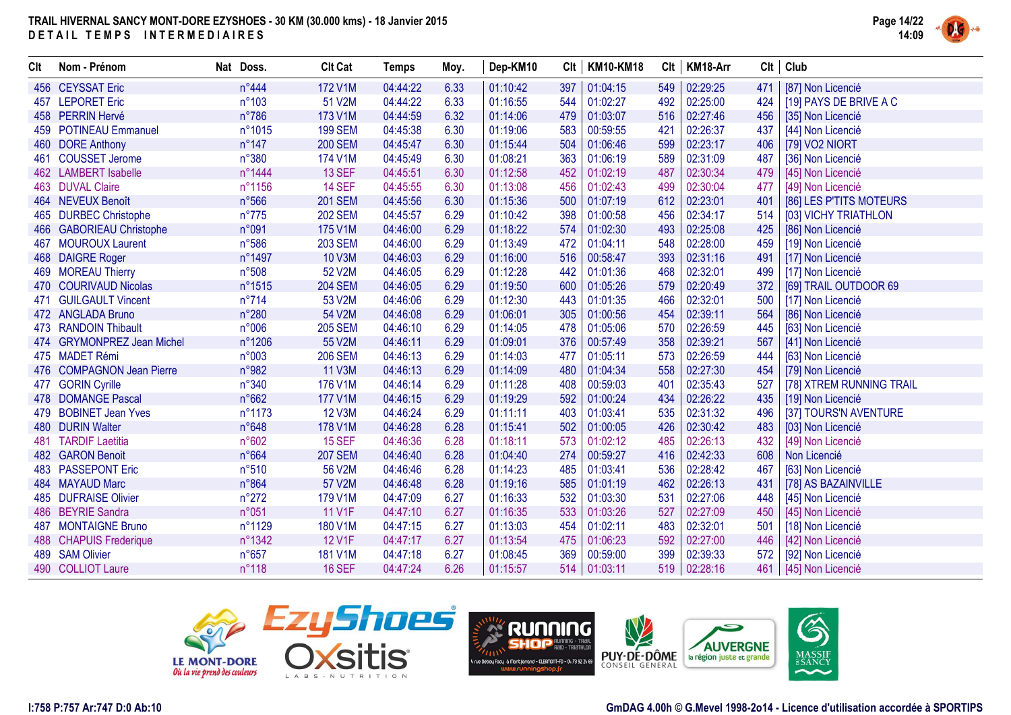

| Clt | Nom - Prénom               | Nat Doss.       | <b>Clt Cat</b> | <b>Temps</b> | Moy. | Dep-KM10 | Clt | <b>KM10-KM18</b> | Clt | KM18-Arr |     | $Clt$ Club               |
|-----|----------------------------|-----------------|----------------|--------------|------|----------|-----|------------------|-----|----------|-----|--------------------------|
|     | 456 CEYSSAT Eric           | n°444           | 172 V1M        | 04:44:22     | 6.33 | 01:10:42 | 397 | 01:04:15         | 549 | 02:29:25 | 471 | [87] Non Licencié        |
|     | 457 LEPORET Eric           | $n^{\circ}103$  | 51 V2M         | 04:44:22     | 6.33 | 01:16:55 | 544 | 01:02:27         | 492 | 02:25:00 | 424 | [19] PAYS DE BRIVE A C   |
|     | 458 PERRIN Hervé           | $n^{\circ}786$  | 173 V1M        | 04:44:59     | 6.32 | 01:14:06 | 479 | 01:03:07         | 516 | 02:27:46 | 456 | [35] Non Licencié        |
| 459 | <b>POTINEAU Emmanuel</b>   | n°1015          | <b>199 SEM</b> | 04:45:38     | 6.30 | 01:19:06 | 583 | 00:59:55         | 421 | 02:26:37 | 437 | [44] Non Licencié        |
|     | 460 DORE Anthony           | $n^{\circ}$ 147 | <b>200 SEM</b> | 04:45:47     | 6.30 | 01:15:44 | 504 | 01:06:46         | 599 | 02:23:17 | 406 | [79] VO2 NIORT           |
| 461 | <b>COUSSET Jerome</b>      | n°380           | 174 V1M        | 04:45:49     | 6.30 | 01:08:21 | 363 | 01:06:19         | 589 | 02:31:09 | 487 | [36] Non Licencié        |
|     | 462 LAMBERT Isabelle       | n°1444          | <b>13 SEF</b>  | 04:45:51     | 6.30 | 01:12:58 | 452 | 01:02:19         | 487 | 02:30:34 | 479 | [45] Non Licencié        |
|     | 463 DUVAL Claire           | n°1156          | <b>14 SEF</b>  | 04:45:55     | 6.30 | 01:13:08 | 456 | 01:02:43         | 499 | 02:30:04 | 477 | [49] Non Licencié        |
|     | 464 NEVEUX Benoît          | n°566           | <b>201 SEM</b> | 04:45:56     | 6.30 | 01:15:36 | 500 | 01:07:19         | 612 | 02:23:01 | 401 | [86] LES P'TITS MOTEURS  |
|     | 465 DURBEC Christophe      | $n^{\circ}775$  | <b>202 SEM</b> | 04:45:57     | 6.29 | 01:10:42 | 398 | 01:00:58         | 456 | 02:34:17 | 514 | [03] VICHY TRIATHLON     |
|     | 466 GABORIEAU Christophe   | n°091           | 175 V1M        | 04:46:00     | 6.29 | 01:18:22 | 574 | 01:02:30         | 493 | 02:25:08 | 425 | [86] Non Licencié        |
| 467 | <b>MOUROUX Laurent</b>     | $n^{\circ}586$  | <b>203 SEM</b> | 04:46:00     | 6.29 | 01:13:49 | 472 | 01:04:11         | 548 | 02:28:00 | 459 | [19] Non Licencié        |
|     | 468 DAIGRE Roger           | n°1497          | <b>10 V3M</b>  | 04:46:03     | 6.29 | 01:16:00 | 516 | 00:58:47         | 393 | 02:31:16 | 491 | [17] Non Licencié        |
|     | 469 MOREAU Thierry         | n°508           | 52 V2M         | 04:46:05     | 6.29 | 01:12:28 | 442 | 01:01:36         | 468 | 02:32:01 | 499 | [17] Non Licencié        |
|     | 470 COURIVAUD Nicolas      | n°1515          | <b>204 SEM</b> | 04:46:05     | 6.29 | 01:19:50 | 600 | 01:05:26         | 579 | 02:20:49 | 372 | [69] TRAIL OUTDOOR 69    |
| 471 | <b>GUILGAULT Vincent</b>   | $n^{\circ}714$  | 53 V2M         | 04:46:06     | 6.29 | 01:12:30 | 443 | 01:01:35         | 466 | 02:32:01 | 500 | [17] Non Licencié        |
|     | 472 ANGLADA Bruno          | n°280           | 54 V2M         | 04:46:08     | 6.29 | 01:06:01 | 305 | 01:00:56         | 454 | 02:39:11 | 564 | [86] Non Licencié        |
|     | 473 RANDOIN Thibault       | n°006           | <b>205 SEM</b> | 04:46:10     | 6.29 | 01:14:05 | 478 | 01:05:06         | 570 | 02:26:59 | 445 | [63] Non Licencié        |
|     | 474 GRYMONPREZ Jean Michel | n°1206          | 55 V2M         | 04:46:11     | 6.29 | 01:09:01 | 376 | 00:57:49         | 358 | 02:39:21 | 567 | [41] Non Licencié        |
|     | 475 MADET Rémi             | n°003           | <b>206 SEM</b> | 04:46:13     | 6.29 | 01:14:03 | 477 | 01:05:11         | 573 | 02:26:59 | 444 | [63] Non Licencié        |
|     | 476 COMPAGNON Jean Pierre  | n°982           | <b>11 V3M</b>  | 04:46:13     | 6.29 | 01:14:09 | 480 | 01:04:34         | 558 | 02:27:30 | 454 | [79] Non Licencié        |
|     | 477 GORIN Cyrille          | $n^{\circ}340$  | 176 V1M        | 04:46:14     | 6.29 | 01:11:28 | 408 | 00:59:03         | 401 | 02:35:43 | 527 | [78] XTREM RUNNING TRAIL |
|     | 478 DOMANGE Pascal         | n°662           | 177 V1M        | 04:46:15     | 6.29 | 01:19:29 | 592 | 01:00:24         | 434 | 02:26:22 | 435 | [19] Non Licencié        |
|     | 479 BOBINET Jean Yves      | n°1173          | <b>12 V3M</b>  | 04:46:24     | 6.29 | 01:11:11 | 403 | 01:03:41         | 535 | 02:31:32 | 496 | [37] TOURS'N AVENTURE    |
| 480 | <b>DURIN Walter</b>        | n°648           | 178 V1M        | 04:46:28     | 6.28 | 01:15:41 | 502 | 01:00:05         | 426 | 02:30:42 | 483 | [03] Non Licencié        |
| 481 | <b>TARDIF Laetitia</b>     | n°602           | <b>15 SEF</b>  | 04:46:36     | 6.28 | 01:18:11 | 573 | 01:02:12         | 485 | 02:26:13 | 432 | [49] Non Licencié        |
|     | 482 GARON Benoit           | n°664           | <b>207 SEM</b> | 04:46:40     | 6.28 | 01:04:40 | 274 | 00:59:27         | 416 | 02:42:33 | 608 | Non Licencié             |
|     | 483 PASSEPONT Eric         | n°510           | 56 V2M         | 04:46:46     | 6.28 | 01:14:23 | 485 | 01:03:41         | 536 | 02:28:42 | 467 | [63] Non Licencié        |
|     | 484 MAYAUD Marc            | n°864           | 57 V2M         | 04:46:48     | 6.28 | 01:19:16 | 585 | 01:01:19         | 462 | 02:26:13 | 431 | [78] AS BAZAINVILLE      |
|     | 485 DUFRAISE Olivier       | $n^{\circ}272$  | 179 V1M        | 04:47:09     | 6.27 | 01:16:33 | 532 | 01:03:30         | 531 | 02:27:06 | 448 | [45] Non Licencié        |
|     | 486 BEYRIE Sandra          | n°051           | <b>11 V1F</b>  | 04:47:10     | 6.27 | 01:16:35 | 533 | 01:03:26         | 527 | 02:27:09 | 450 | [45] Non Licencié        |
| 487 | <b>MONTAIGNE Bruno</b>     | n°1129          | 180 V1M        | 04:47:15     | 6.27 | 01:13:03 | 454 | 01:02:11         | 483 | 02:32:01 | 501 | [18] Non Licencié        |
|     | 488 CHAPUIS Frederique     | n°1342          | <b>12 V1F</b>  | 04:47:17     | 6.27 | 01:13:54 | 475 | 01:06:23         | 592 | 02:27:00 | 446 | [42] Non Licencié        |
| 489 | <b>SAM Olivier</b>         | $n^{\circ}657$  | 181 V1M        | 04:47:18     | 6.27 | 01:08:45 | 369 | 00:59:00         | 399 | 02:39:33 | 572 | [92] Non Licencié        |
|     | 490 COLLIOT Laure          | n°118           | <b>16 SEF</b>  | 04:47:24     | 6.26 | 01:15:57 |     | 514   01:03:11   | 519 | 02:28:16 | 461 | [45] Non Licencié        |





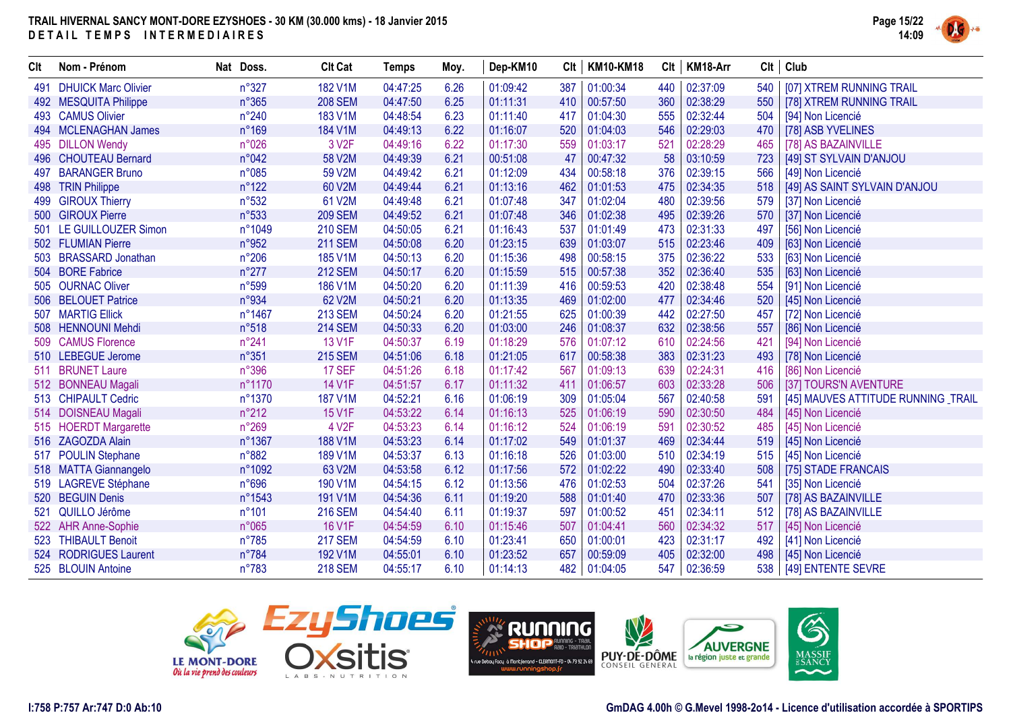

| Clt | Nom - Prénom               | Nat Doss.      | <b>Clt Cat</b>     | <b>Temps</b> | Moy. | Dep-KM10 | Clt | <b>KM10-KM18</b> | Clt | KM18-Arr |     | $Clt$ Club                          |
|-----|----------------------------|----------------|--------------------|--------------|------|----------|-----|------------------|-----|----------|-----|-------------------------------------|
| 491 | <b>DHUICK Marc Olivier</b> | n°327          | 182 V1M            | 04:47:25     | 6.26 | 01:09:42 | 387 | 01:00:34         | 440 | 02:37:09 | 540 | [07] XTREM RUNNING TRAIL            |
|     | 492 MESQUITA Philippe      | n°365          | <b>208 SEM</b>     | 04:47:50     | 6.25 | 01:11:31 | 410 | 00:57:50         | 360 | 02:38:29 | 550 | [78] XTREM RUNNING TRAIL            |
|     | 493 CAMUS Olivier          | $n^{\circ}240$ | 183 V1M            | 04:48:54     | 6.23 | 01:11:40 | 417 | 01:04:30         | 555 | 02:32:44 | 504 | [94] Non Licencié                   |
|     | 494 MCLENAGHAN James       | n°169          | 184 V1M            | 04:49:13     | 6.22 | 01:16:07 | 520 | 01:04:03         | 546 | 02:29:03 | 470 | [78] ASB YVELINES                   |
|     | 495 DILLON Wendy           | n°026          | 3 V <sub>2F</sub>  | 04:49:16     | 6.22 | 01:17:30 | 559 | 01:03:17         | 521 | 02:28:29 | 465 | [78] AS BAZAINVILLE                 |
|     | 496 CHOUTEAU Bernard       | n°042          | 58 V2M             | 04:49:39     | 6.21 | 00:51:08 | 47  | 00:47:32         | 58  | 03:10:59 | 723 | [49] ST SYLVAIN D'ANJOU             |
|     | 497 BARANGER Bruno         | n°085          | 59 V2M             | 04:49:42     | 6.21 | 01:12:09 | 434 | 00:58:18         | 376 | 02:39:15 | 566 | [49] Non Licencié                   |
|     | 498 TRIN Philippe          | $n^{\circ}122$ | 60 V2M             | 04:49:44     | 6.21 | 01:13:16 | 462 | 01:01:53         | 475 | 02:34:35 | 518 | [49] AS SAINT SYLVAIN D'ANJOU       |
| 499 | <b>GIROUX Thierry</b>      | n°532          | 61 V2M             | 04:49:48     | 6.21 | 01:07:48 | 347 | 01:02:04         | 480 | 02:39:56 | 579 | [37] Non Licencié                   |
|     | 500 GIROUX Pierre          | n°533          | <b>209 SEM</b>     | 04:49:52     | 6.21 | 01:07:48 | 346 | 01:02:38         | 495 | 02:39:26 | 570 | [37] Non Licencié                   |
| 501 | <b>LE GUILLOUZER Simon</b> | n°1049         | <b>210 SEM</b>     | 04:50:05     | 6.21 | 01:16:43 | 537 | 01:01:49         | 473 | 02:31:33 | 497 | [56] Non Licencié                   |
|     | 502 FLUMIAN Pierre         | n°952          | <b>211 SEM</b>     | 04:50:08     | 6.20 | 01:23:15 | 639 | 01:03:07         | 515 | 02:23:46 | 409 | [63] Non Licencié                   |
| 503 | <b>BRASSARD Jonathan</b>   | $n^{\circ}206$ | 185 V1M            | 04:50:13     | 6.20 | 01:15:36 | 498 | 00:58:15         | 375 | 02:36:22 | 533 | [63] Non Licencié                   |
|     | 504 BORE Fabrice           | $n^{\circ}277$ | <b>212 SEM</b>     | 04:50:17     | 6.20 | 01:15:59 | 515 | 00:57:38         | 352 | 02:36:40 | 535 | [63] Non Licencié                   |
| 505 | <b>OURNAC Oliver</b>       | n°599          | 186 V1M            | 04:50:20     | 6.20 | 01:11:39 | 416 | 00:59:53         | 420 | 02:38:48 | 554 | [91] Non Licencié                   |
|     | 506 BELOUET Patrice        | n°934          | 62 V2M             | 04:50:21     | 6.20 | 01:13:35 | 469 | 01:02:00         | 477 | 02:34:46 | 520 | [45] Non Licencié                   |
| 507 | <b>MARTIG Ellick</b>       | n°1467         | <b>213 SEM</b>     | 04:50:24     | 6.20 | 01:21:55 | 625 | 01:00:39         | 442 | 02:27:50 | 457 | [72] Non Licencié                   |
| 508 | <b>HENNOUNI Mehdi</b>      | n°518          | <b>214 SEM</b>     | 04:50:33     | 6.20 | 01:03:00 | 246 | 01:08:37         | 632 | 02:38:56 | 557 | [86] Non Licencié                   |
| 509 | <b>CAMUS Florence</b>      | n°241          | 13 V1F             | 04:50:37     | 6.19 | 01:18:29 | 576 | 01:07:12         | 610 | 02:24:56 | 421 | [94] Non Licencié                   |
|     | 510 LEBEGUE Jerome         | n°351          | <b>215 SEM</b>     | 04:51:06     | 6.18 | 01:21:05 | 617 | 00:58:38         | 383 | 02:31:23 | 493 | [78] Non Licencié                   |
| 511 | <b>BRUNET Laure</b>        | $n^{\circ}396$ | <b>17 SEF</b>      | 04:51:26     | 6.18 | 01:17:42 | 567 | 01:09:13         | 639 | 02:24:31 | 416 | [86] Non Licencié                   |
|     | 512 BONNEAU Magali         | n°1170         | <b>14 V1F</b>      | 04:51:57     | 6.17 | 01:11:32 | 411 | 01:06:57         | 603 | 02:33:28 | 506 | [37] TOURS'N AVENTURE               |
|     | 513 CHIPAULT Cedric        | n°1370         | <b>187 V1M</b>     | 04:52:21     | 6.16 | 01:06:19 | 309 | 01:05:04         | 567 | 02:40:58 | 591 | [45] MAUVES ATTITUDE RUNNING _TRAIL |
|     | 514 DOISNEAU Magali        | $n^{\circ}212$ | <b>15 V1F</b>      | 04:53:22     | 6.14 | 01:16:13 | 525 | 01:06:19         | 590 | 02:30:50 | 484 | [45] Non Licencié                   |
|     | 515 HOERDT Margarette      | $n^{\circ}269$ | 4 V <sub>2</sub> F | 04:53:23     | 6.14 | 01:16:12 | 524 | 01:06:19         | 591 | 02:30:52 | 485 | [45] Non Licencié                   |
|     | 516 ZAGOZDA Alain          | n°1367         | 188 V1M            | 04:53:23     | 6.14 | 01:17:02 | 549 | 01:01:37         | 469 | 02:34:44 | 519 | [45] Non Licencié                   |
|     | 517 POULIN Stephane        | n°882          | 189 V1M            | 04:53:37     | 6.13 | 01:16:18 | 526 | 01:03:00         | 510 | 02:34:19 | 515 | [45] Non Licencié                   |
|     | 518 MATTA Giannangelo      | n°1092         | 63 V2M             | 04:53:58     | 6.12 | 01:17:56 | 572 | 01:02:22         | 490 | 02:33:40 | 508 | [75] STADE FRANCAIS                 |
|     | 519 LAGREVE Stéphane       | n°696          | 190 V1M            | 04:54:15     | 6.12 | 01:13:56 | 476 | 01:02:53         | 504 | 02:37:26 | 541 | [35] Non Licencié                   |
| 520 | <b>BEGUIN Denis</b>        | n°1543         | 191 V1M            | 04:54:36     | 6.11 | 01:19:20 | 588 | 01:01:40         | 470 | 02:33:36 | 507 | [78] AS BAZAINVILLE                 |
| 521 | QUILLO Jérôme              | n°101          | <b>216 SEM</b>     | 04:54:40     | 6.11 | 01:19:37 | 597 | 01:00:52         | 451 | 02:34:11 | 512 | [78] AS BAZAINVILLE                 |
|     | 522 AHR Anne-Sophie        | n°065          | <b>16 V1F</b>      | 04:54:59     | 6.10 | 01:15:46 | 507 | 01:04:41         | 560 | 02:34:32 | 517 | [45] Non Licencié                   |
|     | 523 THIBAULT Benoit        | $n^{\circ}785$ | <b>217 SEM</b>     | 04:54:59     | 6.10 | 01:23:41 | 650 | 01:00:01         | 423 | 02:31:17 | 492 | [41] Non Licencié                   |
|     | 524 RODRIGUES Laurent      | n°784          | 192 V1M            | 04:55:01     | 6.10 | 01:23:52 | 657 | 00:59:09         | 405 | 02:32:00 | 498 | [45] Non Licencié                   |
|     | 525 BLOUIN Antoine         | n°783          | <b>218 SEM</b>     | 04:55:17     | 6.10 | 01:14:13 | 482 | 01:04:05         | 547 | 02:36:59 | 538 | [49] ENTENTE SEVRE                  |





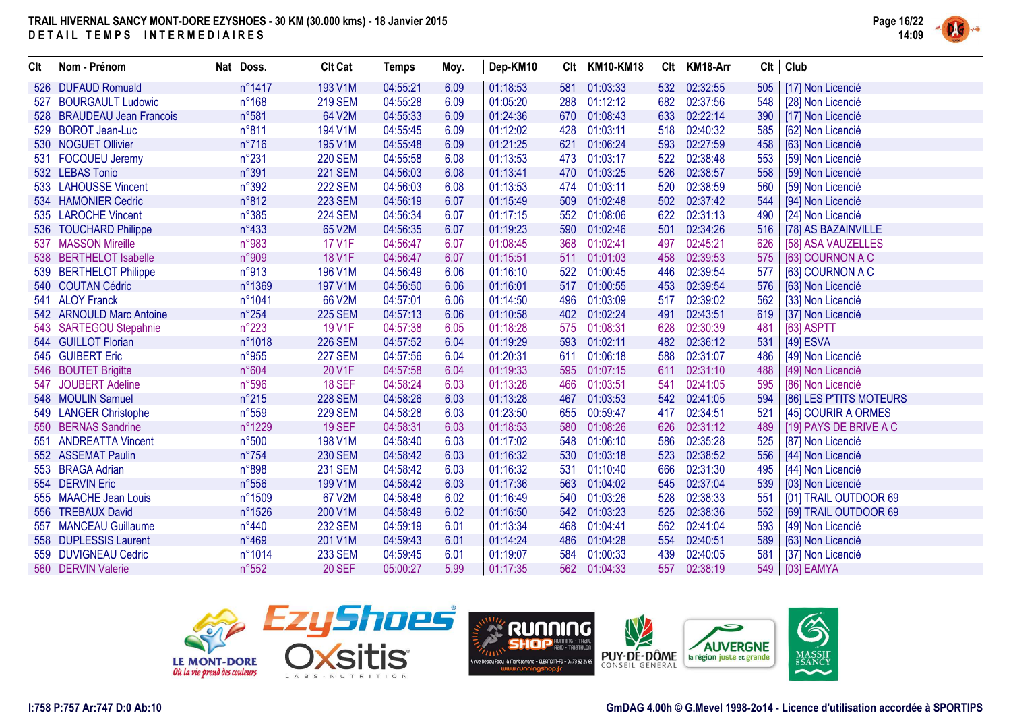

| Clt | Nom - Prénom               | Nat Doss.      | <b>Clt Cat</b> | <b>Temps</b> | Moy. | Dep-KM10 |     | Clt   KM10-KM18 | Clt | KM18-Arr |     | Clt   Club              |
|-----|----------------------------|----------------|----------------|--------------|------|----------|-----|-----------------|-----|----------|-----|-------------------------|
|     | 526 DUFAUD Romuald         | n°1417         | 193 V1M        | 04:55:21     | 6.09 | 01:18:53 | 581 | 01:03:33        | 532 | 02:32:55 | 505 | [17] Non Licencié       |
| 527 | <b>BOURGAULT Ludowic</b>   | $n^{\circ}168$ | <b>219 SEM</b> | 04:55:28     | 6.09 | 01:05:20 | 288 | 01:12:12        | 682 | 02:37:56 | 548 | [28] Non Licencié       |
|     | 528 BRAUDEAU Jean Francois | n°581          | 64 V2M         | 04:55:33     | 6.09 | 01:24:36 | 670 | 01:08:43        | 633 | 02:22:14 | 390 | [17] Non Licencié       |
| 529 | <b>BOROT Jean-Luc</b>      | n°811          | 194 V1M        | 04:55:45     | 6.09 | 01:12:02 | 428 | 01:03:11        | 518 | 02:40:32 | 585 | [62] Non Licencié       |
|     | 530 NOGUET Ollivier        | $n^{\circ}716$ | 195 V1M        | 04:55:48     | 6.09 | 01:21:25 | 621 | 01:06:24        | 593 | 02:27:59 | 458 | [63] Non Licencié       |
|     | 531 FOCQUEU Jeremy         | $n^{\circ}231$ | <b>220 SEM</b> | 04:55:58     | 6.08 | 01:13:53 | 473 | 01:03:17        | 522 | 02:38:48 | 553 | [59] Non Licencié       |
|     | 532 LEBAS Tonio            | n°391          | <b>221 SEM</b> | 04:56:03     | 6.08 | 01:13:41 | 470 | 01:03:25        | 526 | 02:38:57 | 558 | [59] Non Licencié       |
|     | 533 LAHOUSSE Vincent       | n°392          | <b>222 SEM</b> | 04:56:03     | 6.08 | 01:13:53 | 474 | 01:03:11        | 520 | 02:38:59 | 560 | [59] Non Licencié       |
|     | 534 HAMONIER Cedric        | n°812          | <b>223 SEM</b> | 04:56:19     | 6.07 | 01:15:49 | 509 | 01:02:48        | 502 | 02:37:42 | 544 | [94] Non Licencié       |
|     | 535 LAROCHE Vincent        | n°385          | <b>224 SEM</b> | 04:56:34     | 6.07 | 01:17:15 | 552 | 01:08:06        | 622 | 02:31:13 | 490 | [24] Non Licencié       |
|     | 536 TOUCHARD Philippe      | $n^{\circ}433$ | 65 V2M         | 04:56:35     | 6.07 | 01:19:23 | 590 | 01:02:46        | 501 | 02:34:26 | 516 | [78] AS BAZAINVILLE     |
|     | 537 MASSON Mireille        | n°983          | <b>17 V1F</b>  | 04:56:47     | 6.07 | 01:08:45 | 368 | 01:02:41        | 497 | 02:45:21 | 626 | [58] ASA VAUZELLES      |
|     | 538 BERTHELOT Isabelle     | n°909          | <b>18 V1F</b>  | 04:56:47     | 6.07 | 01:15:51 | 511 | 01:01:03        | 458 | 02:39:53 | 575 | [63] COURNON A C        |
|     | 539 BERTHELOT Philippe     | n°913          | 196 V1M        | 04:56:49     | 6.06 | 01:16:10 | 522 | 01:00:45        | 446 | 02:39:54 | 577 | [63] COURNON A C        |
|     | 540 COUTAN Cédric          | n°1369         | 197 V1M        | 04:56:50     | 6.06 | 01:16:01 | 517 | 01:00:55        | 453 | 02:39:54 | 576 | [63] Non Licencié       |
|     | 541 ALOY Franck            | n°1041         | 66 V2M         | 04:57:01     | 6.06 | 01:14:50 | 496 | 01:03:09        | 517 | 02:39:02 | 562 | [33] Non Licencié       |
|     | 542 ARNOULD Marc Antoine   | $n^{\circ}254$ | <b>225 SEM</b> | 04:57:13     | 6.06 | 01:10:58 | 402 | 01:02:24        | 491 | 02:43:51 | 619 | [37] Non Licencié       |
|     | 543 SARTEGOU Stepahnie     | $n^{\circ}223$ | 19 V1F         | 04:57:38     | 6.05 | 01:18:28 | 575 | 01:08:31        | 628 | 02:30:39 | 481 | [63] ASPTT              |
|     | 544 GUILLOT Florian        | n°1018         | <b>226 SEM</b> | 04:57:52     | 6.04 | 01:19:29 | 593 | 01:02:11        | 482 | 02:36:12 | 531 | [49] ESVA               |
|     | 545 GUIBERT Eric           | n°955          | <b>227 SEM</b> | 04:57:56     | 6.04 | 01:20:31 | 611 | 01:06:18        | 588 | 02:31:07 | 486 | [49] Non Licencié       |
|     | 546 BOUTET Brigitte        | n°604          | 20 V1F         | 04:57:58     | 6.04 | 01:19:33 | 595 | 01:07:15        | 611 | 02:31:10 | 488 | [49] Non Licencié       |
| 547 | <b>JOUBERT Adeline</b>     | n°596          | <b>18 SEF</b>  | 04:58:24     | 6.03 | 01:13:28 | 466 | 01:03:51        | 541 | 02:41:05 | 595 | [86] Non Licencié       |
|     | 548 MOULIN Samuel          | $n^{\circ}215$ | <b>228 SEM</b> | 04:58:26     | 6.03 | 01:13:28 | 467 | 01:03:53        | 542 | 02:41:05 | 594 | [86] LES P'TITS MOTEURS |
|     | 549 LANGER Christophe      | n°559          | <b>229 SEM</b> | 04:58:28     | 6.03 | 01:23:50 | 655 | 00:59:47        | 417 | 02:34:51 | 521 | [45] COURIR A ORMES     |
|     | 550 BERNAS Sandrine        | n°1229         | <b>19 SEF</b>  | 04:58:31     | 6.03 | 01:18:53 | 580 | 01:08:26        | 626 | 02:31:12 | 489 | [19] PAYS DE BRIVE A C  |
|     | 551 ANDREATTA Vincent      | n°500          | 198 V1M        | 04:58:40     | 6.03 | 01:17:02 | 548 | 01:06:10        | 586 | 02:35:28 | 525 | [87] Non Licencié       |
|     | 552 ASSEMAT Paulin         | $n^{\circ}754$ | <b>230 SEM</b> | 04:58:42     | 6.03 | 01:16:32 | 530 | 01:03:18        | 523 | 02:38:52 | 556 | [44] Non Licencié       |
|     | 553 BRAGA Adrian           | n°898          | <b>231 SEM</b> | 04:58:42     | 6.03 | 01:16:32 | 531 | 01:10:40        | 666 | 02:31:30 | 495 | [44] Non Licencié       |
|     | 554 DERVIN Eric            | $n^{\circ}556$ | 199 V1M        | 04:58:42     | 6.03 | 01:17:36 | 563 | 01:04:02        | 545 | 02:37:04 | 539 | [03] Non Licencié       |
|     | 555 MAACHE Jean Louis      | n°1509         | 67 V2M         | 04:58:48     | 6.02 | 01:16:49 | 540 | 01:03:26        | 528 | 02:38:33 | 551 | [01] TRAIL OUTDOOR 69   |
|     | 556 TREBAUX David          | n°1526         | 200 V1M        | 04:58:49     | 6.02 | 01:16:50 | 542 | 01:03:23        | 525 | 02:38:36 | 552 | [69] TRAIL OUTDOOR 69   |
|     | 557 MANCEAU Guillaume      | $n^{\circ}440$ | <b>232 SEM</b> | 04:59:19     | 6.01 | 01:13:34 | 468 | 01:04:41        | 562 | 02:41:04 | 593 | [49] Non Licencié       |
|     | 558 DUPLESSIS Laurent      | $n^{\circ}469$ | 201 V1M        | 04:59:43     | 6.01 | 01:14:24 | 486 | 01:04:28        | 554 | 02:40:51 | 589 | [63] Non Licencié       |
|     | 559 DUVIGNEAU Cedric       | n°1014         | <b>233 SEM</b> | 04:59:45     | 6.01 | 01:19:07 | 584 | 01:00:33        | 439 | 02:40:05 | 581 | [37] Non Licencié       |
|     | 560 DERVIN Valerie         | n°552          | <b>20 SEF</b>  | 05:00:27     | 5.99 | 01:17:35 |     | 562 01:04:33    | 557 | 02:38:19 |     | 549   [03] EAMYA        |

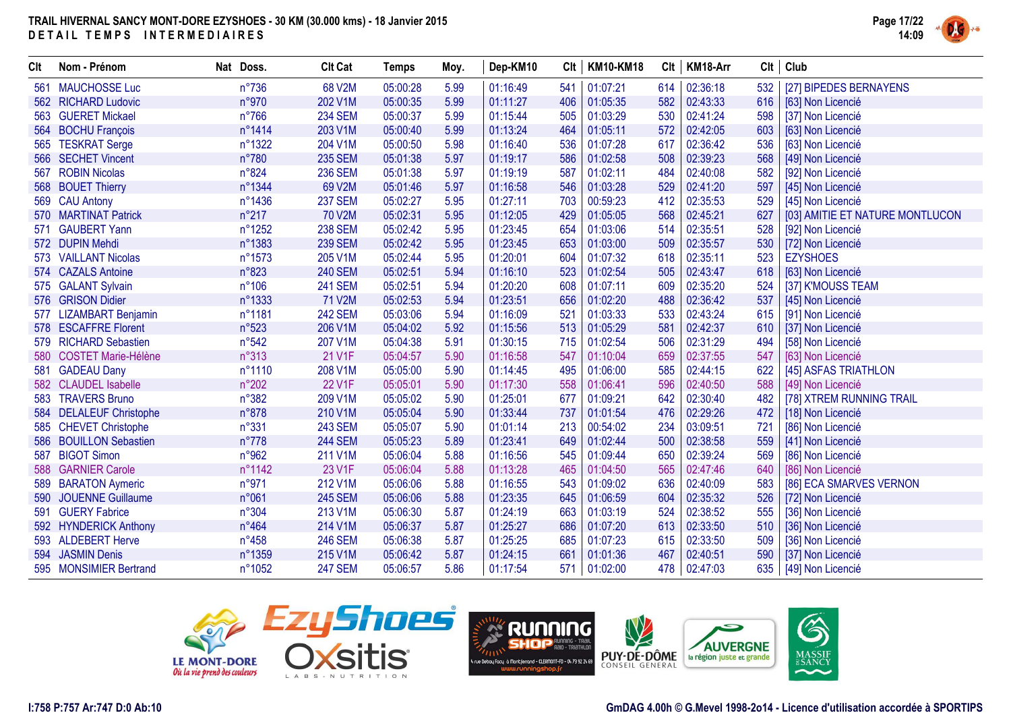

| Clt | Nom - Prénom               | Nat Doss.      | <b>Clt Cat</b> | <b>Temps</b> | Moy. | Dep-KM10 |     | Clt   KM10-KM18 | Clt | KM18-Arr |     | $Clt$ Club                      |
|-----|----------------------------|----------------|----------------|--------------|------|----------|-----|-----------------|-----|----------|-----|---------------------------------|
| 561 | <b>MAUCHOSSE Luc</b>       | $n^{\circ}736$ | 68 V2M         | 05:00:28     | 5.99 | 01:16:49 | 541 | 01:07:21        | 614 | 02:36:18 | 532 | [27] BIPEDES BERNAYENS          |
|     | 562 RICHARD Ludovic        | n°970          | 202 V1M        | 05:00:35     | 5.99 | 01:11:27 | 406 | 01:05:35        | 582 | 02:43:33 | 616 | [63] Non Licencié               |
|     | 563 GUERET Mickael         | $n^{\circ}766$ | <b>234 SEM</b> | 05:00:37     | 5.99 | 01:15:44 | 505 | 01:03:29        | 530 | 02:41:24 | 598 | [37] Non Licencié               |
|     | 564 BOCHU François         | n°1414         | 203 V1M        | 05:00:40     | 5.99 | 01:13:24 | 464 | 01:05:11        | 572 | 02:42:05 | 603 | [63] Non Licencié               |
|     | 565 TESKRAT Serge          | n°1322         | 204 V1M        | 05:00:50     | 5.98 | 01:16:40 | 536 | 01:07:28        | 617 | 02:36:42 | 536 | [63] Non Licencié               |
| 566 | <b>SECHET Vincent</b>      | $n^{\circ}780$ | <b>235 SEM</b> | 05:01:38     | 5.97 | 01:19:17 | 586 | 01:02:58        | 508 | 02:39:23 | 568 | [49] Non Licencié               |
| 567 | <b>ROBIN Nicolas</b>       | $n^{\circ}824$ | <b>236 SEM</b> | 05:01:38     | 5.97 | 01:19:19 | 587 | 01:02:11        | 484 | 02:40:08 | 582 | [92] Non Licencié               |
|     | 568 BOUET Thierry          | n°1344         | 69 V2M         | 05:01:46     | 5.97 | 01:16:58 | 546 | 01:03:28        | 529 | 02:41:20 | 597 | [45] Non Licencié               |
| 569 | <b>CAU Antony</b>          | n°1436         | <b>237 SEM</b> | 05:02:27     | 5.95 | 01:27:11 | 703 | 00:59:23        | 412 | 02:35:53 | 529 | [45] Non Licencié               |
|     | 570 MARTINAT Patrick       | $n^{\circ}217$ | 70 V2M         | 05:02:31     | 5.95 | 01:12:05 | 429 | 01:05:05        | 568 | 02:45:21 | 627 | [03] AMITIE ET NATURE MONTLUCON |
| 571 | <b>GAUBERT Yann</b>        | n°1252         | <b>238 SEM</b> | 05:02:42     | 5.95 | 01:23:45 | 654 | 01:03:06        | 514 | 02:35:51 | 528 | [92] Non Licencié               |
|     | 572 DUPIN Mehdi            | n°1383         | <b>239 SEM</b> | 05:02:42     | 5.95 | 01:23:45 | 653 | 01:03:00        | 509 | 02:35:57 | 530 | [72] Non Licencié               |
|     | 573 VAILLANT Nicolas       | n°1573         | 205 V1M        | 05:02:44     | 5.95 | 01:20:01 | 604 | 01:07:32        | 618 | 02:35:11 | 523 | <b>EZYSHOES</b>                 |
|     | 574 CAZALS Antoine         | n°823          | <b>240 SEM</b> | 05:02:51     | 5.94 | 01:16:10 | 523 | 01:02:54        | 505 | 02:43:47 | 618 | [63] Non Licencié               |
|     | 575 GALANT Sylvain         | $n^{\circ}106$ | <b>241 SEM</b> | 05:02:51     | 5.94 | 01:20:20 | 608 | 01:07:11        | 609 | 02:35:20 | 524 | [37] K'MOUSS TEAM               |
|     | 576 GRISON Didier          | n°1333         | 71 V2M         | 05:02:53     | 5.94 | 01:23:51 | 656 | 01:02:20        | 488 | 02:36:42 | 537 | [45] Non Licencié               |
| 577 | <b>LIZAMBART Benjamin</b>  | n°1181         | <b>242 SEM</b> | 05:03:06     | 5.94 | 01:16:09 | 521 | 01:03:33        | 533 | 02:43:24 | 615 | [91] Non Licencié               |
|     | 578 ESCAFFRE Florent       | $n^{\circ}523$ | 206 V1M        | 05:04:02     | 5.92 | 01:15:56 | 513 | 01:05:29        | 581 | 02:42:37 | 610 | [37] Non Licencié               |
|     | 579 RICHARD Sebastien      | n°542          | 207 V1M        | 05:04:38     | 5.91 | 01:30:15 | 715 | 01:02:54        | 506 | 02:31:29 | 494 | [58] Non Licencié               |
| 580 | <b>COSTET Marie-Hélène</b> | $n^{\circ}313$ | 21 V1F         | 05:04:57     | 5.90 | 01:16:58 | 547 | 01:10:04        | 659 | 02:37:55 | 547 | [63] Non Licencié               |
|     | 581 GADEAU Dany            | n°1110         | 208 V1M        | 05:05:00     | 5.90 | 01:14:45 | 495 | 01:06:00        | 585 | 02:44:15 | 622 | [45] ASFAS TRIATHLON            |
|     | 582 CLAUDEL Isabelle       | $n^{\circ}202$ | <b>22 V1F</b>  | 05:05:01     | 5.90 | 01:17:30 | 558 | 01:06:41        | 596 | 02:40:50 | 588 | [49] Non Licencié               |
|     | 583 TRAVERS Bruno          | n°382          | 209 V1M        | 05:05:02     | 5.90 | 01:25:01 | 677 | 01:09:21        | 642 | 02:30:40 | 482 | [78] XTREM RUNNING TRAIL        |
|     | 584 DELALEUF Christophe    | n°878          | 210 V1M        | 05:05:04     | 5.90 | 01:33:44 | 737 | 01:01:54        | 476 | 02:29:26 | 472 | [18] Non Licencié               |
|     | 585 CHEVET Christophe      | n°331          | <b>243 SEM</b> | 05:05:07     | 5.90 | 01:01:14 | 213 | 00:54:02        | 234 | 03:09:51 | 721 | [86] Non Licencié               |
|     | 586 BOUILLON Sebastien     | $n^{\circ}778$ | <b>244 SEM</b> | 05:05:23     | 5.89 | 01:23:41 | 649 | 01:02:44        | 500 | 02:38:58 | 559 | [41] Non Licencié               |
| 587 | <b>BIGOT Simon</b>         | n°962          | 211 V1M        | 05:06:04     | 5.88 | 01:16:56 | 545 | 01:09:44        | 650 | 02:39:24 | 569 | [86] Non Licencié               |
| 588 | <b>GARNIER Carole</b>      | n°1142         | 23 V1F         | 05:06:04     | 5.88 | 01:13:28 | 465 | 01:04:50        | 565 | 02:47:46 | 640 | [86] Non Licencié               |
|     | 589 BARATON Aymeric        | n°971          | 212 V1M        | 05:06:06     | 5.88 | 01:16:55 | 543 | 01:09:02        | 636 | 02:40:09 | 583 | [86] ECA SMARVES VERNON         |
| 590 | <b>JOUENNE Guillaume</b>   | n°061          | <b>245 SEM</b> | 05:06:06     | 5.88 | 01:23:35 | 645 | 01:06:59        | 604 | 02:35:32 | 526 | [72] Non Licencié               |
|     | 591 GUERY Fabrice          | n°304          | 213 V1M        | 05:06:30     | 5.87 | 01:24:19 | 663 | 01:03:19        | 524 | 02:38:52 | 555 | [36] Non Licencié               |
|     | 592 HYNDERICK Anthony      | $n^{\circ}464$ | 214 V1M        | 05:06:37     | 5.87 | 01:25:27 | 686 | 01:07:20        | 613 | 02:33:50 | 510 | [36] Non Licencié               |
|     | 593 ALDEBERT Herve         | $n^{\circ}458$ | <b>246 SEM</b> | 05:06:38     | 5.87 | 01:25:25 | 685 | 01:07:23        | 615 | 02:33:50 | 509 | [36] Non Licencié               |
|     | 594 JASMIN Denis           | n°1359         | 215 V1M        | 05:06:42     | 5.87 | 01:24:15 | 661 | 01:01:36        | 467 | 02:40:51 | 590 | [37] Non Licencié               |
|     | 595 MONSIMIER Bertrand     | n°1052         | <b>247 SEM</b> | 05:06:57     | 5.86 | 01:17:54 | 571 | 01:02:00        | 478 | 02:47:03 | 635 | [49] Non Licencié               |



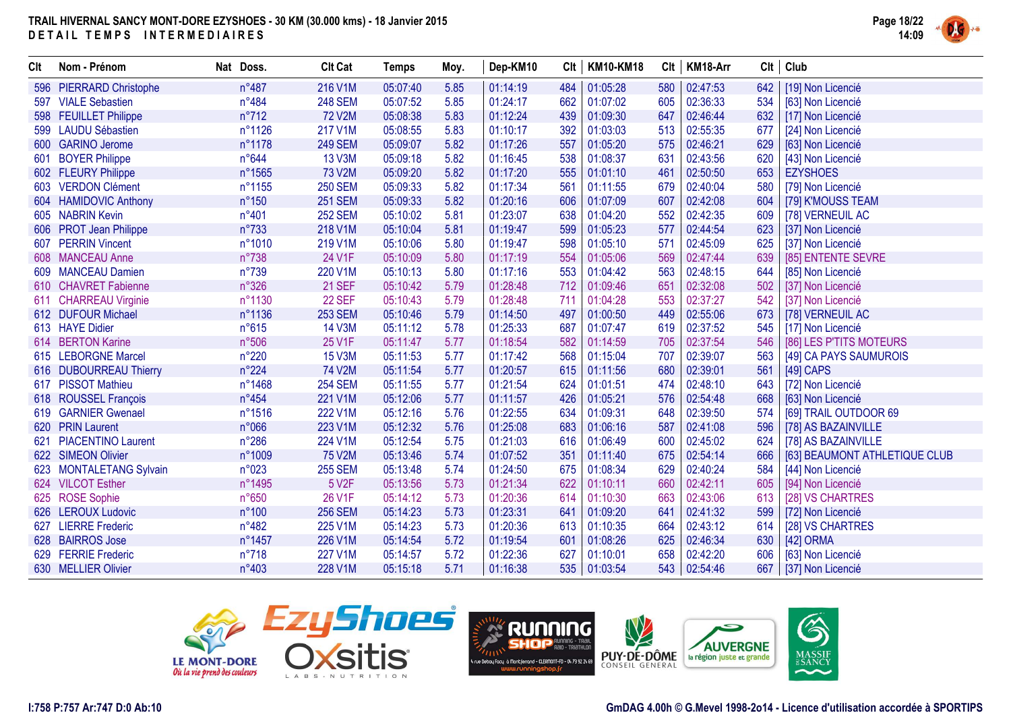

| Clt | Nom - Prénom              | Nat Doss.      | <b>Clt Cat</b>     | <b>Temps</b> | Moy. | Dep-KM10 | Clt | <b>KM10-KM18</b> | Clt | KM18-Arr |     | $Clt$ Club                    |
|-----|---------------------------|----------------|--------------------|--------------|------|----------|-----|------------------|-----|----------|-----|-------------------------------|
|     | 596 PIERRARD Christophe   | n°487          | 216 V1M            | 05:07:40     | 5.85 | 01:14:19 | 484 | 01:05:28         | 580 | 02:47:53 | 642 | [19] Non Licencié             |
| 597 | <b>VIALE Sebastien</b>    | n°484          | <b>248 SEM</b>     | 05:07:52     | 5.85 | 01:24:17 | 662 | 01:07:02         | 605 | 02:36:33 | 534 | [63] Non Licencié             |
|     | 598 FEUILLET Philippe     | $n^{\circ}712$ | <b>72 V2M</b>      | 05:08:38     | 5.83 | 01:12:24 | 439 | 01:09:30         | 647 | 02:46:44 | 632 | [17] Non Licencié             |
| 599 | <b>LAUDU Sébastien</b>    | n°1126         | 217 V1M            | 05:08:55     | 5.83 | 01:10:17 | 392 | 01:03:03         | 513 | 02:55:35 | 677 | [24] Non Licencié             |
|     | 600 GARINO Jerome         | n°1178         | <b>249 SEM</b>     | 05:09:07     | 5.82 | 01:17:26 | 557 | 01:05:20         | 575 | 02:46:21 | 629 | [63] Non Licencié             |
| 601 | <b>BOYER Philippe</b>     | n°644          | <b>13 V3M</b>      | 05:09:18     | 5.82 | 01:16:45 | 538 | 01:08:37         | 631 | 02:43:56 | 620 | [43] Non Licencié             |
|     | 602 FLEURY Philippe       | n°1565         | 73 V2M             | 05:09:20     | 5.82 | 01:17:20 | 555 | 01:01:10         | 461 | 02:50:50 | 653 | <b>EZYSHOES</b>               |
|     | 603 VERDON Clément        | n°1155         | <b>250 SEM</b>     | 05:09:33     | 5.82 | 01:17:34 | 561 | 01:11:55         | 679 | 02:40:04 | 580 | [79] Non Licencié             |
|     | 604 HAMIDOVIC Anthony     | $n^{\circ}150$ | <b>251 SEM</b>     | 05:09:33     | 5.82 | 01:20:16 | 606 | 01:07:09         | 607 | 02:42:08 | 604 | [79] K'MOUSS TEAM             |
|     | 605 NABRIN Kevin          | n°401          | <b>252 SEM</b>     | 05:10:02     | 5.81 | 01:23:07 | 638 | 01:04:20         | 552 | 02:42:35 | 609 | [78] VERNEUIL AC              |
| 606 | <b>PROT Jean Philippe</b> | $n^{\circ}733$ | 218 V1M            | 05:10:04     | 5.81 | 01:19:47 | 599 | 01:05:23         | 577 | 02:44:54 | 623 | [37] Non Licencié             |
| 607 | <b>PERRIN Vincent</b>     | n°1010         | 219 V1M            | 05:10:06     | 5.80 | 01:19:47 | 598 | 01:05:10         | 571 | 02:45:09 | 625 | [37] Non Licencié             |
|     | 608 MANCEAU Anne          | $n^{\circ}738$ | 24 V1F             | 05:10:09     | 5.80 | 01:17:19 | 554 | 01:05:06         | 569 | 02:47:44 | 639 | [85] ENTENTE SEVRE            |
| 609 | <b>MANCEAU Damien</b>     | n°739          | 220 V1M            | 05:10:13     | 5.80 | 01:17:16 | 553 | 01:04:42         | 563 | 02:48:15 | 644 | [85] Non Licencié             |
|     | 610 CHAVRET Fabienne      | n°326          | <b>21 SEF</b>      | 05:10:42     | 5.79 | 01:28:48 | 712 | 01:09:46         | 651 | 02:32:08 | 502 | [37] Non Licencié             |
|     | 611 CHARREAU Virginie     | n°1130         | 22 SEF             | 05:10:43     | 5.79 | 01:28:48 | 711 | 01:04:28         | 553 | 02:37:27 | 542 | [37] Non Licencié             |
|     | 612 DUFOUR Michael        | n°1136         | <b>253 SEM</b>     | 05:10:46     | 5.79 | 01:14:50 | 497 | 01:00:50         | 449 | 02:55:06 | 673 | [78] VERNEUIL AC              |
|     | 613 HAYE Didier           | n°615          | <b>14 V3M</b>      | 05:11:12     | 5.78 | 01:25:33 | 687 | 01:07:47         | 619 | 02:37:52 | 545 | [17] Non Licencié             |
|     | 614 BERTON Karine         | n°506          | 25 V1F             | 05:11:47     | 5.77 | 01:18:54 | 582 | 01:14:59         | 705 | 02:37:54 | 546 | [86] LES P'TITS MOTEURS       |
|     | 615 LEBORGNE Marcel       | $n^{\circ}220$ | <b>15 V3M</b>      | 05:11:53     | 5.77 | 01:17:42 | 568 | 01:15:04         | 707 | 02:39:07 | 563 | [49] CA PAYS SAUMUROIS        |
|     | 616 DUBOURREAU Thierry    | $n^{\circ}224$ | 74 V2M             | 05:11:54     | 5.77 | 01:20:57 | 615 | 01:11:56         | 680 | 02:39:01 | 561 | [49] CAPS                     |
|     | 617 PISSOT Mathieu        | n°1468         | <b>254 SEM</b>     | 05:11:55     | 5.77 | 01:21:54 | 624 | 01:01:51         | 474 | 02:48:10 | 643 | [72] Non Licencié             |
|     | 618 ROUSSEL François      | $n^{\circ}454$ | 221 V1M            | 05:12:06     | 5.77 | 01:11:57 | 426 | 01:05:21         | 576 | 02:54:48 | 668 | [63] Non Licencié             |
| 619 | <b>GARNIER Gwenael</b>    | n°1516         | 222 V1M            | 05:12:16     | 5.76 | 01:22:55 | 634 | 01:09:31         | 648 | 02:39:50 | 574 | [69] TRAIL OUTDOOR 69         |
| 620 | <b>PRIN Laurent</b>       | n°066          | 223 V1M            | 05:12:32     | 5.76 | 01:25:08 | 683 | 01:06:16         | 587 | 02:41:08 | 596 | [78] AS BAZAINVILLE           |
| 621 | <b>PIACENTINO Laurent</b> | $n^{\circ}286$ | 224 V1M            | 05:12:54     | 5.75 | 01:21:03 | 616 | 01:06:49         | 600 | 02:45:02 | 624 | [78] AS BAZAINVILLE           |
|     | 622 SIMEON Olivier        | n°1009         | <b>75 V2M</b>      | 05:13:46     | 5.74 | 01:07:52 | 351 | 01:11:40         | 675 | 02:54:14 | 666 | [63] BEAUMONT ATHLETIQUE CLUB |
|     | 623 MONTALETANG Sylvain   | n°023          | <b>255 SEM</b>     | 05:13:48     | 5.74 | 01:24:50 | 675 | 01:08:34         | 629 | 02:40:24 | 584 | [44] Non Licencié             |
|     | 624 VILCOT Esther         | n°1495         | 5 V <sub>2</sub> F | 05:13:56     | 5.73 | 01:21:34 | 622 | 01:10:11         | 660 | 02:42:11 | 605 | [94] Non Licencié             |
|     | 625 ROSE Sophie           | n°650          | 26 V1F             | 05:14:12     | 5.73 | 01:20:36 | 614 | 01:10:30         | 663 | 02:43:06 | 613 | [28] VS CHARTRES              |
|     | 626 LEROUX Ludovic        | n°100          | <b>256 SEM</b>     | 05:14:23     | 5.73 | 01:23:31 | 641 | 01:09:20         | 641 | 02:41:32 | 599 | [72] Non Licencié             |
| 627 | <b>LIERRE Frederic</b>    | $n^{\circ}482$ | 225 V1M            | 05:14:23     | 5.73 | 01:20:36 | 613 | 01:10:35         | 664 | 02:43:12 | 614 | [28] VS CHARTRES              |
|     | 628 BAIRROS Jose          | n°1457         | 226 V1M            | 05:14:54     | 5.72 | 01:19:54 | 601 | 01:08:26         | 625 | 02:46:34 | 630 | [42] ORMA                     |
|     | 629 FERRIE Frederic       | $n^{\circ}718$ | 227 V1M            | 05:14:57     | 5.72 | 01:22:36 | 627 | 01:10:01         | 658 | 02:42:20 | 606 | [63] Non Licencié             |
|     | 630 MELLIER Olivier       | n°403          | 228 V1M            | 05:15:18     | 5.71 | 01:16:38 | 535 | 01:03:54         | 543 | 02:54:46 | 667 | [37] Non Licencié             |







G)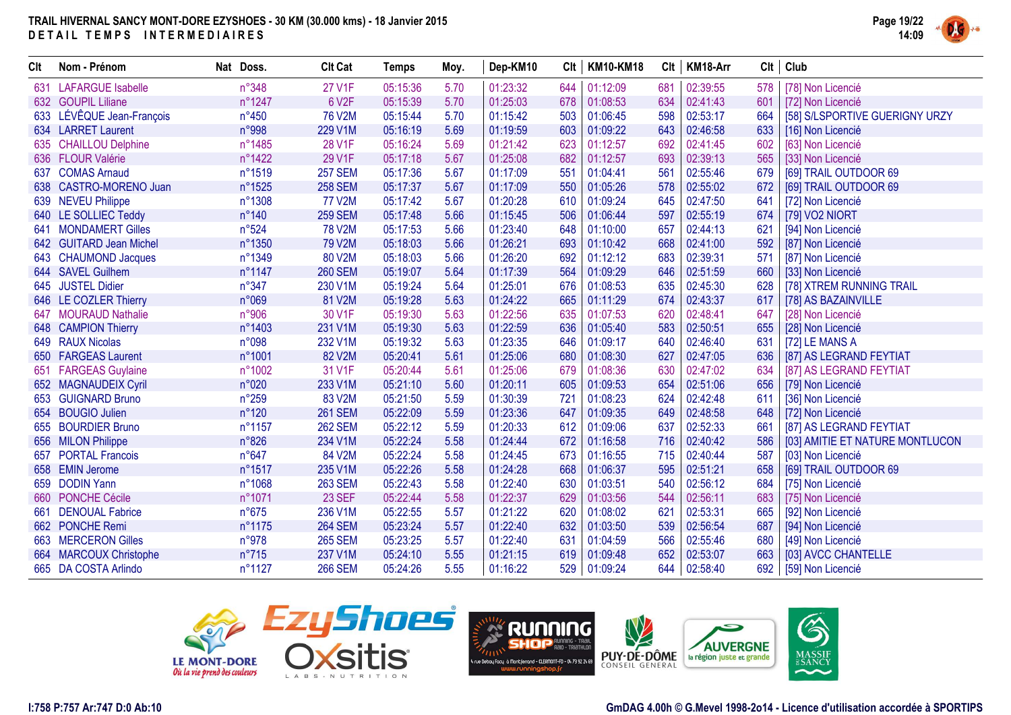

| Clt | Nom - Prénom              | Nat Doss.       | <b>Clt Cat</b> | <b>Temps</b> | Moy. | Dep-KM10 | Clt | <b>KM10-KM18</b> | Clt | KM18-Arr | Clt | Club                            |
|-----|---------------------------|-----------------|----------------|--------------|------|----------|-----|------------------|-----|----------|-----|---------------------------------|
|     | 631 LAFARGUE Isabelle     | n°348           | <b>27 V1F</b>  | 05:15:36     | 5.70 | 01:23:32 | 644 | 01:12:09         | 681 | 02:39:55 | 578 | [78] Non Licencié               |
|     | 632 GOUPIL Liliane        | n°1247          | 6 V2F          | 05:15:39     | 5.70 | 01:25:03 | 678 | 01:08:53         | 634 | 02:41:43 | 601 | [72] Non Licencié               |
|     | 633 LÉVÊQUE Jean-François | $n^{\circ}450$  | <b>76 V2M</b>  | 05:15:44     | 5.70 | 01:15:42 | 503 | 01:06:45         | 598 | 02:53:17 | 664 | [58] S/LSPORTIVE GUERIGNY URZY  |
|     | 634 LARRET Laurent        | n°998           | 229 V1M        | 05:16:19     | 5.69 | 01:19:59 | 603 | 01:09:22         | 643 | 02:46:58 | 633 | [16] Non Licencié               |
|     | 635 CHAILLOU Delphine     | n°1485          | 28 V1F         | 05:16:24     | 5.69 | 01:21:42 | 623 | 01:12:57         | 692 | 02:41:45 | 602 | [63] Non Licencié               |
|     | 636 FLOUR Valérie         | n°1422          | 29 V1F         | 05:17:18     | 5.67 | 01:25:08 | 682 | 01:12:57         | 693 | 02:39:13 | 565 | [33] Non Licencié               |
| 637 | <b>COMAS Arnaud</b>       | n°1519          | <b>257 SEM</b> | 05:17:36     | 5.67 | 01:17:09 | 551 | 01:04:41         | 561 | 02:55:46 | 679 | [69] TRAIL OUTDOOR 69           |
|     | 638 CASTRO-MORENO Juan    | n°1525          | <b>258 SEM</b> | 05:17:37     | 5.67 | 01:17:09 | 550 | 01:05:26         | 578 | 02:55:02 | 672 | [69] TRAIL OUTDOOR 69           |
|     | 639 NEVEU Philippe        | n°1308          | 77 V2M         | 05:17:42     | 5.67 | 01:20:28 | 610 | 01:09:24         | 645 | 02:47:50 | 641 | [72] Non Licencié               |
|     | 640 LE SOLLIEC Teddy      | $n^{\circ}$ 140 | <b>259 SEM</b> | 05:17:48     | 5.66 | 01:15:45 | 506 | 01:06:44         | 597 | 02:55:19 | 674 | [79] VO2 NIORT                  |
| 641 | <b>MONDAMERT Gilles</b>   | n°524           | <b>78 V2M</b>  | 05:17:53     | 5.66 | 01:23:40 | 648 | 01:10:00         | 657 | 02:44:13 | 621 | [94] Non Licencié               |
|     | 642 GUITARD Jean Michel   | n°1350          | 79 V2M         | 05:18:03     | 5.66 | 01:26:21 | 693 | 01:10:42         | 668 | 02:41:00 | 592 | [87] Non Licencié               |
|     | 643 CHAUMOND Jacques      | n°1349          | 80 V2M         | 05:18:03     | 5.66 | 01:26:20 | 692 | 01:12:12         | 683 | 02:39:31 | 571 | [87] Non Licencié               |
|     | 644 SAVEL Guilhem         | n°1147          | <b>260 SEM</b> | 05:19:07     | 5.64 | 01:17:39 | 564 | 01:09:29         | 646 | 02:51:59 | 660 | [33] Non Licencié               |
|     | 645 JUSTEL Didier         | n°347           | 230 V1M        | 05:19:24     | 5.64 | 01:25:01 | 676 | 01:08:53         | 635 | 02:45:30 | 628 | [78] XTREM RUNNING TRAIL        |
|     | 646 LE COZLER Thierry     | n°069           | 81 V2M         | 05:19:28     | 5.63 | 01:24:22 | 665 | 01:11:29         | 674 | 02:43:37 | 617 | [78] AS BAZAINVILLE             |
|     | 647 MOURAUD Nathalie      | n°906           | 30 V1F         | 05:19:30     | 5.63 | 01:22:56 | 635 | 01:07:53         | 620 | 02:48:41 | 647 | [28] Non Licencié               |
|     | 648 CAMPION Thierry       | n°1403          | 231 V1M        | 05:19:30     | 5.63 | 01:22:59 | 636 | 01:05:40         | 583 | 02:50:51 | 655 | [28] Non Licencié               |
|     | 649 RAUX Nicolas          | n°098           | 232 V1M        | 05:19:32     | 5.63 | 01:23:35 | 646 | 01:09:17         | 640 | 02:46:40 | 631 | [72] LE MANS A                  |
|     | 650 FARGEAS Laurent       | n°1001          | 82 V2M         | 05:20:41     | 5.61 | 01:25:06 | 680 | 01:08:30         | 627 | 02:47:05 | 636 | [87] AS LEGRAND FEYTIAT         |
|     | 651 FARGEAS Guylaine      | n°1002          | 31 V1F         | 05:20:44     | 5.61 | 01:25:06 | 679 | 01:08:36         | 630 | 02:47:02 | 634 | [87] AS LEGRAND FEYTIAT         |
|     | 652 MAGNAUDEIX Cyril      | n°020           | 233 V1M        | 05:21:10     | 5.60 | 01:20:11 | 605 | 01:09:53         | 654 | 02:51:06 | 656 | [79] Non Licencié               |
|     | 653 GUIGNARD Bruno        | $n^{\circ}259$  | 83 V2M         | 05:21:50     | 5.59 | 01:30:39 | 721 | 01:08:23         | 624 | 02:42:48 | 611 | [36] Non Licencié               |
|     | 654 BOUGIO Julien         | $n^{\circ}120$  | <b>261 SEM</b> | 05:22:09     | 5.59 | 01:23:36 | 647 | 01:09:35         | 649 | 02:48:58 | 648 | [72] Non Licencié               |
|     | 655 BOURDIER Bruno        | n°1157          | <b>262 SEM</b> | 05:22:12     | 5.59 | 01:20:33 | 612 | 01:09:06         | 637 | 02:52:33 | 661 | [87] AS LEGRAND FEYTIAT         |
|     | 656 MILON Philippe        | n°826           | 234 V1M        | 05:22:24     | 5.58 | 01:24:44 | 672 | 01:16:58         | 716 | 02:40:42 | 586 | [03] AMITIE ET NATURE MONTLUCON |
|     | 657 PORTAL Francois       | $n^{\circ}647$  | 84 V2M         | 05:22:24     | 5.58 | 01:24:45 | 673 | 01:16:55         | 715 | 02:40:44 | 587 | [03] Non Licencié               |
|     | 658 EMIN Jerome           | n°1517          | 235 V1M        | 05:22:26     | 5.58 | 01:24:28 | 668 | 01:06:37         | 595 | 02:51:21 | 658 | [69] TRAIL OUTDOOR 69           |
|     | 659 DODIN Yann            | n°1068          | <b>263 SEM</b> | 05:22:43     | 5.58 | 01:22:40 | 630 | 01:03:51         | 540 | 02:56:12 | 684 | [75] Non Licencié               |
|     | 660 PONCHE Cécile         | n°1071          | 23 SEF         | 05:22:44     | 5.58 | 01:22:37 | 629 | 01:03:56         | 544 | 02:56:11 | 683 | [75] Non Licencié               |
| 661 | <b>DENOUAL Fabrice</b>    | $n^{\circ}675$  | 236 V1M        | 05:22:55     | 5.57 | 01:21:22 | 620 | 01:08:02         | 621 | 02:53:31 | 665 | [92] Non Licencié               |
|     | 662 PONCHE Remi           | n°1175          | <b>264 SEM</b> | 05:23:24     | 5.57 | 01:22:40 | 632 | 01:03:50         | 539 | 02:56:54 | 687 | [94] Non Licencié               |
|     | 663 MERCERON Gilles       | n°978           | <b>265 SEM</b> | 05:23:25     | 5.57 | 01:22:40 | 631 | 01:04:59         | 566 | 02:55:46 | 680 | [49] Non Licencié               |
|     | 664 MARCOUX Christophe    | $n^{\circ}715$  | 237 V1M        | 05:24:10     | 5.55 | 01:21:15 | 619 | 01:09:48         | 652 | 02:53:07 | 663 | [03] AVCC CHANTELLE             |
|     | 665 DA COSTA Arlindo      | n°1127          | <b>266 SEM</b> | 05:24:26     | 5.55 | 01:16:22 | 529 | 01:09:24         | 644 | 02:58:40 | 692 | [59] Non Licencié               |



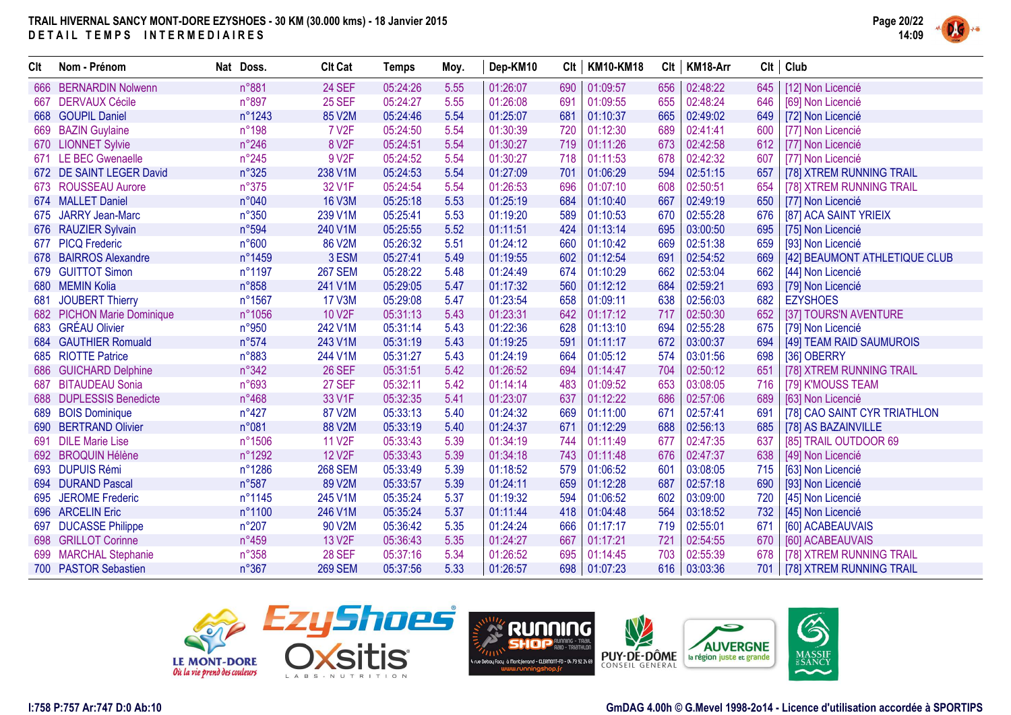

| Clt | Nom - Prénom               | Nat Doss.      | <b>Clt Cat</b>      | <b>Temps</b> | Moy. | Dep-KM10 | Clt | <b>KM10-KM18</b> | Clt | KM18-Arr |      | $Clt$ Club                    |
|-----|----------------------------|----------------|---------------------|--------------|------|----------|-----|------------------|-----|----------|------|-------------------------------|
| 666 | <b>BERNARDIN Nolwenn</b>   | n°881          | 24 SEF              | 05:24:26     | 5.55 | 01:26:07 | 690 | 01:09:57         | 656 | 02:48:22 | 645  | [12] Non Licencié             |
| 667 | <b>DERVAUX Cécile</b>      | n°897          | <b>25 SEF</b>       | 05:24:27     | 5.55 | 01:26:08 | 691 | 01:09:55         | 655 | 02:48:24 | 646  | [69] Non Licencié             |
|     | 668 GOUPIL Daniel          | n°1243         | 85 V2M              | 05:24:46     | 5.54 | 01:25:07 | 681 | 01:10:37         | 665 | 02:49:02 | 649  | [72] Non Licencié             |
|     | 669 BAZIN Guylaine         | $n^{\circ}198$ | <b>7 V2F</b>        | 05:24:50     | 5.54 | 01:30:39 | 720 | 01:12:30         | 689 | 02:41:41 | 600  | [77] Non Licencié             |
|     | 670 LIONNET Sylvie         | $n^{\circ}246$ | 8 V <sub>2</sub> F  | 05:24:51     | 5.54 | 01:30:27 | 719 | 01:11:26         | 673 | 02:42:58 | 612  | [77] Non Licencié             |
|     | 671 LE BEC Gwenaelle       | $n^{\circ}245$ | 9 V <sub>2</sub> F  | 05:24:52     | 5.54 | 01:30:27 | 718 | 01:11:53         | 678 | 02:42:32 | 607  | [77] Non Licencié             |
|     | 672 DE SAINT LEGER David   | $n^{\circ}325$ | 238 V1M             | 05:24:53     | 5.54 | 01:27:09 | 701 | 01:06:29         | 594 | 02:51:15 | 657  | [78] XTREM RUNNING TRAIL      |
|     | 673 ROUSSEAU Aurore        | $n^{\circ}375$ | 32 V1F              | 05:24:54     | 5.54 | 01:26:53 | 696 | 01:07:10         | 608 | 02:50:51 | 654  | [78] XTREM RUNNING TRAIL      |
|     | 674 MALLET Daniel          | n°040          | <b>16 V3M</b>       | 05:25:18     | 5.53 | 01:25:19 | 684 | 01:10:40         | 667 | 02:49:19 | 650  | [77] Non Licencié             |
| 675 | JARRY Jean-Marc            | $n^{\circ}350$ | 239 V1M             | 05:25:41     | 5.53 | 01:19:20 | 589 | 01:10:53         | 670 | 02:55:28 | 676  | [87] ACA SAINT YRIEIX         |
|     | 676 RAUZIER Sylvain        | n°594          | 240 V1M             | 05:25:55     | 5.52 | 01:11:51 | 424 | 01:13:14         | 695 | 03:00:50 | 695  | [75] Non Licencié             |
|     | 677 PICQ Frederic          | n°600          | 86 V2M              | 05:26:32     | 5.51 | 01:24:12 | 660 | 01:10:42         | 669 | 02:51:38 | 659  | [93] Non Licencié             |
|     | 678 BAIRROS Alexandre      | n°1459         | 3 ESM               | 05:27:41     | 5.49 | 01:19:55 | 602 | 01:12:54         | 691 | 02:54:52 | 669  | [42] BEAUMONT ATHLETIQUE CLUB |
|     | 679 GUITTOT Simon          | n°1197         | <b>267 SEM</b>      | 05:28:22     | 5.48 | 01:24:49 | 674 | 01:10:29         | 662 | 02:53:04 | 662  | [44] Non Licencié             |
|     | 680 MEMIN Kolia            | n°858          | 241 V1M             | 05:29:05     | 5.47 | 01:17:32 | 560 | 01:12:12         | 684 | 02:59:21 | 693  | [79] Non Licencié             |
| 681 | JOUBERT Thierry            | n°1567         | <b>17 V3M</b>       | 05:29:08     | 5.47 | 01:23:54 | 658 | 01:09:11         | 638 | 02:56:03 | 682  | <b>EZYSHOES</b>               |
|     | 682 PICHON Marie Dominique | n°1056         | 10 V2F              | 05:31:13     | 5.43 | 01:23:31 | 642 | 01:17:12         | 717 | 02:50:30 | 652  | [37] TOURS'N AVENTURE         |
|     | 683 GRÉAU Olivier          | n°950          | 242 V1M             | 05:31:14     | 5.43 | 01:22:36 | 628 | 01:13:10         | 694 | 02:55:28 | 675  | [79] Non Licencié             |
|     | 684 GAUTHIER Romuald       | n°574          | 243 V1M             | 05:31:19     | 5.43 | 01:19:25 | 591 | 01:11:17         | 672 | 03:00:37 | 694  | [49] TEAM RAID SAUMUROIS      |
|     | 685 RIOTTE Patrice         | n°883          | 244 V1M             | 05:31:27     | 5.43 | 01:24:19 | 664 | 01:05:12         | 574 | 03:01:56 | 698  | [36] OBERRY                   |
|     | 686 GUICHARD Delphine      | n°342          | <b>26 SEF</b>       | 05:31:51     | 5.42 | 01:26:52 | 694 | 01:14:47         | 704 | 02:50:12 | 651  | [78] XTREM RUNNING TRAIL      |
| 687 | <b>BITAUDEAU Sonia</b>     | n°693          | <b>27 SEF</b>       | 05:32:11     | 5.42 | 01:14:14 | 483 | 01:09:52         | 653 | 03:08:05 | 716  | [79] K'MOUSS TEAM             |
|     | 688 DUPLESSIS Benedicte    | $n^{\circ}468$ | 33 V1F              | 05:32:35     | 5.41 | 01:23:07 | 637 | 01:12:22         | 686 | 02:57:06 | 689  | [63] Non Licencié             |
|     | 689 BOIS Dominique         | $n^{\circ}427$ | 87 V2M              | 05:33:13     | 5.40 | 01:24:32 | 669 | 01:11:00         | 671 | 02:57:41 | 691  | [78] CAO SAINT CYR TRIATHLON  |
|     | 690 BERTRAND Olivier       | n°081          | 88 V2M              | 05:33:19     | 5.40 | 01:24:37 | 671 | 01:12:29         | 688 | 02:56:13 | 685  | [78] AS BAZAINVILLE           |
| 691 | <b>DILE Marie Lise</b>     | n°1506         | <b>11 V2F</b>       | 05:33:43     | 5.39 | 01:34:19 | 744 | 01:11:49         | 677 | 02:47:35 | 637  | [85] TRAIL OUTDOOR 69         |
|     | 692 BROQUIN Hélène         | n°1292         | <b>12 V2F</b>       | 05:33:43     | 5.39 | 01:34:18 | 743 | 01:11:48         | 676 | 02:47:37 | 638  | [49] Non Licencié             |
|     | 693 DUPUIS Rémi            | n°1286         | <b>268 SEM</b>      | 05:33:49     | 5.39 | 01:18:52 | 579 | 01:06:52         | 601 | 03:08:05 | 715  | [63] Non Licencié             |
|     | 694 DURAND Pascal          | n°587          | 89 V2M              | 05:33:57     | 5.39 | 01:24:11 | 659 | 01:12:28         | 687 | 02:57:18 | 690  | [93] Non Licencié             |
| 695 | <b>JEROME Frederic</b>     | n°1145         | 245 V1M             | 05:35:24     | 5.37 | 01:19:32 | 594 | 01:06:52         | 602 | 03:09:00 | 720  | [45] Non Licencié             |
|     | 696 ARCELIN Eric           | n°1100         | 246 V1M             | 05:35:24     | 5.37 | 01:11:44 | 418 | 01:04:48         | 564 | 03:18:52 | 732  | [45] Non Licencié             |
|     | 697 DUCASSE Philippe       | $n^{\circ}207$ | 90 V2M              | 05:36:42     | 5.35 | 01:24:24 | 666 | 01:17:17         | 719 | 02:55:01 | -671 | [60] ACABEAUVAIS              |
|     | 698 GRILLOT Corinne        | n°459          | 13 V <sub>2</sub> F | 05:36:43     | 5.35 | 01:24:27 | 667 | 01:17:21         | 721 | 02:54:55 | 670  | [60] ACABEAUVAIS              |
|     | 699 MARCHAL Stephanie      | $n^{\circ}358$ | <b>28 SEF</b>       | 05:37:16     | 5.34 | 01:26:52 | 695 | 01:14:45         | 703 | 02:55:39 | 678  | [78] XTREM RUNNING TRAIL      |
|     | 700 PASTOR Sebastien       | n°367          | <b>269 SEM</b>      | 05:37:56     | 5.33 | 01:26:57 | 698 | 01:07:23         | 616 | 03:03:36 | 701  | [78] XTREM RUNNING TRAIL      |





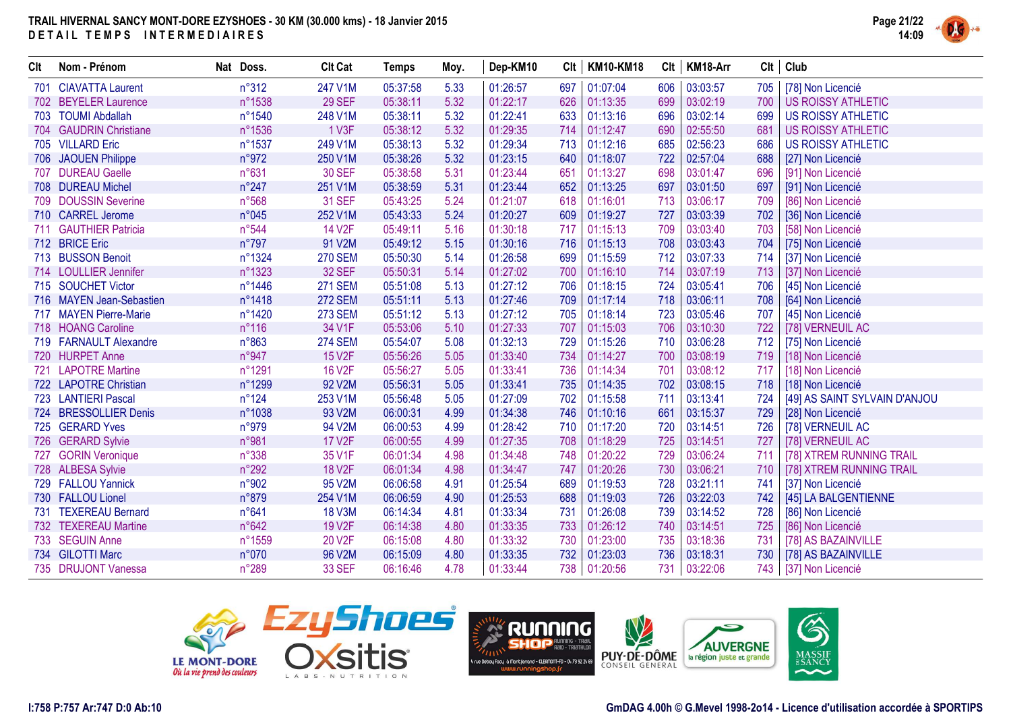

| Clt | Nom - Prénom             | Nat Doss.        | <b>Clt Cat</b>      | <b>Temps</b> | Moy. | Dep-KM10 | Clt | <b>KM10-KM18</b> | Clt | KM18-Arr |     | Clt   Club                    |
|-----|--------------------------|------------------|---------------------|--------------|------|----------|-----|------------------|-----|----------|-----|-------------------------------|
|     | 701 CIAVATTA Laurent     | $n^{\circ}312$   | 247 V1M             | 05:37:58     | 5.33 | 01:26:57 | 697 | 01:07:04         | 606 | 03:03:57 | 705 | [78] Non Licencié             |
|     | 702 BEYELER Laurence     | n°1538           | <b>29 SEF</b>       | 05:38:11     | 5.32 | 01:22:17 | 626 | 01:13:35         | 699 | 03:02:19 | 700 | <b>US ROISSY ATHLETIC</b>     |
|     | 703 TOUMI Abdallah       | n°1540           | 248 V1M             | 05:38:11     | 5.32 | 01:22:41 | 633 | 01:13:16         | 696 | 03:02:14 | 699 | <b>US ROISSY ATHLETIC</b>     |
|     | 704 GAUDRIN Christiane   | n°1536           | 1 V3F               | 05:38:12     | 5.32 | 01:29:35 | 714 | 01:12:47         | 690 | 02:55:50 | 681 | <b>US ROISSY ATHLETIC</b>     |
|     | 705 VILLARD Eric         | n°1537           | 249 V1M             | 05:38:13     | 5.32 | 01:29:34 | 713 | 01:12:16         | 685 | 02:56:23 | 686 | <b>US ROISSY ATHLETIC</b>     |
|     | 706 JAOUEN Philippe      | n°972            | 250 V1M             | 05:38:26     | 5.32 | 01:23:15 | 640 | 01:18:07         | 722 | 02:57:04 | 688 | [27] Non Licencié             |
|     | 707 DUREAU Gaelle        | n°631            | <b>30 SEF</b>       | 05:38:58     | 5.31 | 01:23:44 | 651 | 01:13:27         | 698 | 03:01:47 | 696 | [91] Non Licencié             |
|     | 708 DUREAU Michel        | $n^{\circ}247$   | 251 V1M             | 05:38:59     | 5.31 | 01:23:44 | 652 | 01:13:25         | 697 | 03:01:50 | 697 | [91] Non Licencié             |
|     | 709 DOUSSIN Severine     | n°568            | <b>31 SEF</b>       | 05:43:25     | 5.24 | 01:21:07 | 618 | 01:16:01         | 713 | 03:06:17 | 709 | [86] Non Licencié             |
|     | 710 CARREL Jerome        | n°045            | 252 V1M             | 05:43:33     | 5.24 | 01:20:27 | 609 | 01:19:27         | 727 | 03:03:39 | 702 | [36] Non Licencié             |
|     | 711 GAUTHIER Patricia    | n°544            | 14 V <sub>2</sub> F | 05:49:11     | 5.16 | 01:30:18 | 717 | 01:15:13         | 709 | 03:03:40 | 703 | [58] Non Licencié             |
|     | 712 BRICE Eric           | $n^{\circ}797$   | 91 V2M              | 05:49:12     | 5.15 | 01:30:16 | 716 | 01:15:13         | 708 | 03:03:43 | 704 | [75] Non Licencié             |
|     | 713 BUSSON Benoit        | n°1324           | <b>270 SEM</b>      | 05:50:30     | 5.14 | 01:26:58 | 699 | 01:15:59         | 712 | 03:07:33 | 714 | [37] Non Licencié             |
|     | 714 LOULLIER Jennifer    | n°1323           | <b>32 SEF</b>       | 05:50:31     | 5.14 | 01:27:02 | 700 | 01:16:10         | 714 | 03:07:19 | 713 | [37] Non Licencié             |
|     | 715 SOUCHET Victor       | $n^{\circ}$ 1446 | <b>271 SEM</b>      | 05:51:08     | 5.13 | 01:27:12 | 706 | 01:18:15         | 724 | 03:05:41 | 706 | [45] Non Licencié             |
|     | 716 MAYEN Jean-Sebastien | n°1418           | <b>272 SEM</b>      | 05:51:11     | 5.13 | 01:27:46 | 709 | 01:17:14         | 718 | 03:06:11 | 708 | [64] Non Licencié             |
|     | 717 MAYEN Pierre-Marie   | n°1420           | <b>273 SEM</b>      | 05:51:12     | 5.13 | 01:27:12 | 705 | 01:18:14         | 723 | 03:05:46 | 707 | [45] Non Licencié             |
|     | 718 HOANG Caroline       | $n^{\circ}116$   | 34 V1F              | 05:53:06     | 5.10 | 01:27:33 | 707 | 01:15:03         | 706 | 03:10:30 | 722 | [78] VERNEUIL AC              |
|     | 719 FARNAULT Alexandre   | $n^{\circ}863$   | <b>274 SEM</b>      | 05:54:07     | 5.08 | 01:32:13 | 729 | 01:15:26         | 710 | 03:06:28 | 712 | [75] Non Licencié             |
|     | 720 HURPET Anne          | n°947            | <b>15 V2F</b>       | 05:56:26     | 5.05 | 01:33:40 | 734 | 01:14:27         | 700 | 03:08:19 | 719 | [18] Non Licencié             |
|     | 721 LAPOTRE Martine      | n°1291           | <b>16 V2F</b>       | 05:56:27     | 5.05 | 01:33:41 | 736 | 01:14:34         | 701 | 03:08:12 | 717 | [18] Non Licencié             |
|     | 722 LAPOTRE Christian    | n°1299           | 92 V2M              | 05:56:31     | 5.05 | 01:33:41 | 735 | 01:14:35         | 702 | 03:08:15 | 718 | [18] Non Licencié             |
|     | 723 LANTIERI Pascal      | $n^{\circ}124$   | 253 V1M             | 05:56:48     | 5.05 | 01:27:09 | 702 | 01:15:58         | 711 | 03:13:41 | 724 | [49] AS SAINT SYLVAIN D'ANJOU |
|     | 724 BRESSOLLIER Denis    | n°1038           | 93 V2M              | 06:00:31     | 4.99 | 01:34:38 | 746 | 01:10:16         | 661 | 03:15:37 | 729 | [28] Non Licencié             |
|     | 725 GERARD Yves          | n°979            | 94 V2M              | 06:00:53     | 4.99 | 01:28:42 | 710 | 01:17:20         | 720 | 03:14:51 | 726 | [78] VERNEUIL AC              |
|     | 726 GERARD Sylvie        | n°981            | <b>17 V2F</b>       | 06:00:55     | 4.99 | 01:27:35 | 708 | 01:18:29         | 725 | 03:14:51 | 727 | [78] VERNEUIL AC              |
|     | 727 GORIN Veronique      | n°338            | 35 V1F              | 06:01:34     | 4.98 | 01:34:48 | 748 | 01:20:22         | 729 | 03:06:24 | 711 | [78] XTREM RUNNING TRAIL      |
|     | 728 ALBESA Sylvie        | n°292            | <b>18 V2F</b>       | 06:01:34     | 4.98 | 01:34:47 | 747 | 01:20:26         | 730 | 03:06:21 | 710 | [78] XTREM RUNNING TRAIL      |
|     | 729 FALLOU Yannick       | n°902            | 95 V2M              | 06:06:58     | 4.91 | 01:25:54 | 689 | 01:19:53         | 728 | 03:21:11 | 741 | [37] Non Licencié             |
|     | 730 FALLOU Lionel        | n°879            | 254 V1M             | 06:06:59     | 4.90 | 01:25:53 | 688 | 01:19:03         | 726 | 03:22:03 | 742 | [45] LA BALGENTIENNE          |
|     | 731 TEXEREAU Bernard     | n°641            | <b>18 V3M</b>       | 06:14:34     | 4.81 | 01:33:34 | 731 | 01:26:08         | 739 | 03:14:52 | 728 | [86] Non Licencié             |
|     | 732 TEXEREAU Martine     | n°642            | 19 V <sub>2</sub> F | 06:14:38     | 4.80 | 01:33:35 | 733 | 01:26:12         | 740 | 03:14:51 | 725 | [86] Non Licencié             |
|     | 733 SEGUIN Anne          | n°1559           | 20 V2F              | 06:15:08     | 4.80 | 01:33:32 | 730 | 01:23:00         | 735 | 03:18:36 | 731 | [78] AS BAZAINVILLE           |
|     | 734 GILOTTI Marc         | n°070            | 96 V2M              | 06:15:09     | 4.80 | 01:33:35 | 732 | 01:23:03         | 736 | 03:18:31 | 730 | [78] AS BAZAINVILLE           |
|     | 735 DRUJONT Vanessa      | n°289            | <b>33 SEF</b>       | 06:16:46     | 4.78 | 01:33:44 |     | 738 01:20:56     | 731 | 03:22:06 |     | 743   [37] Non Licencié       |